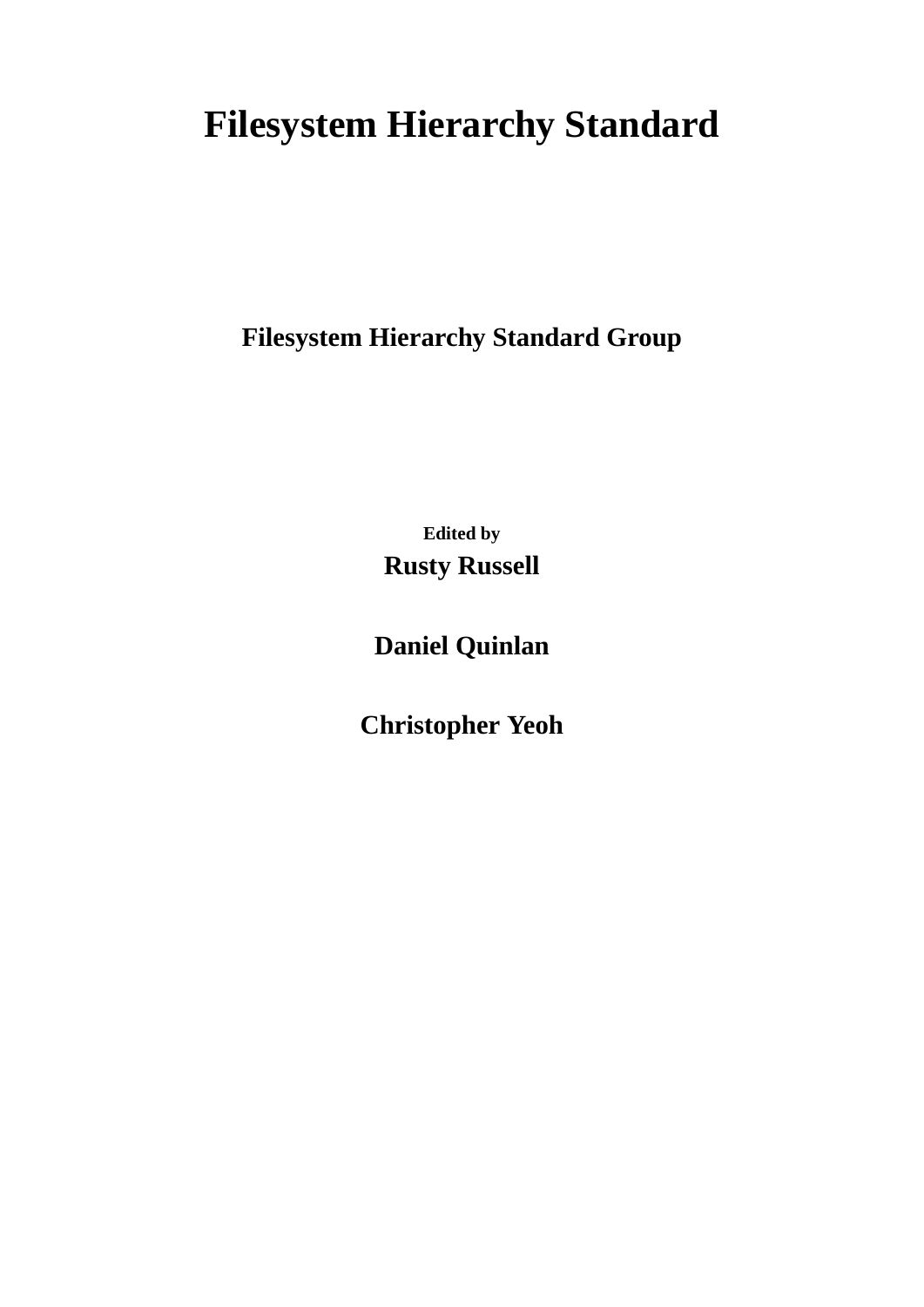# **Filesystem Hierarchy Standard**

**Filesystem Hierarchy Standard Group**

**Edited by Rusty Russell**

**Daniel Quinlan**

**Christopher Yeoh**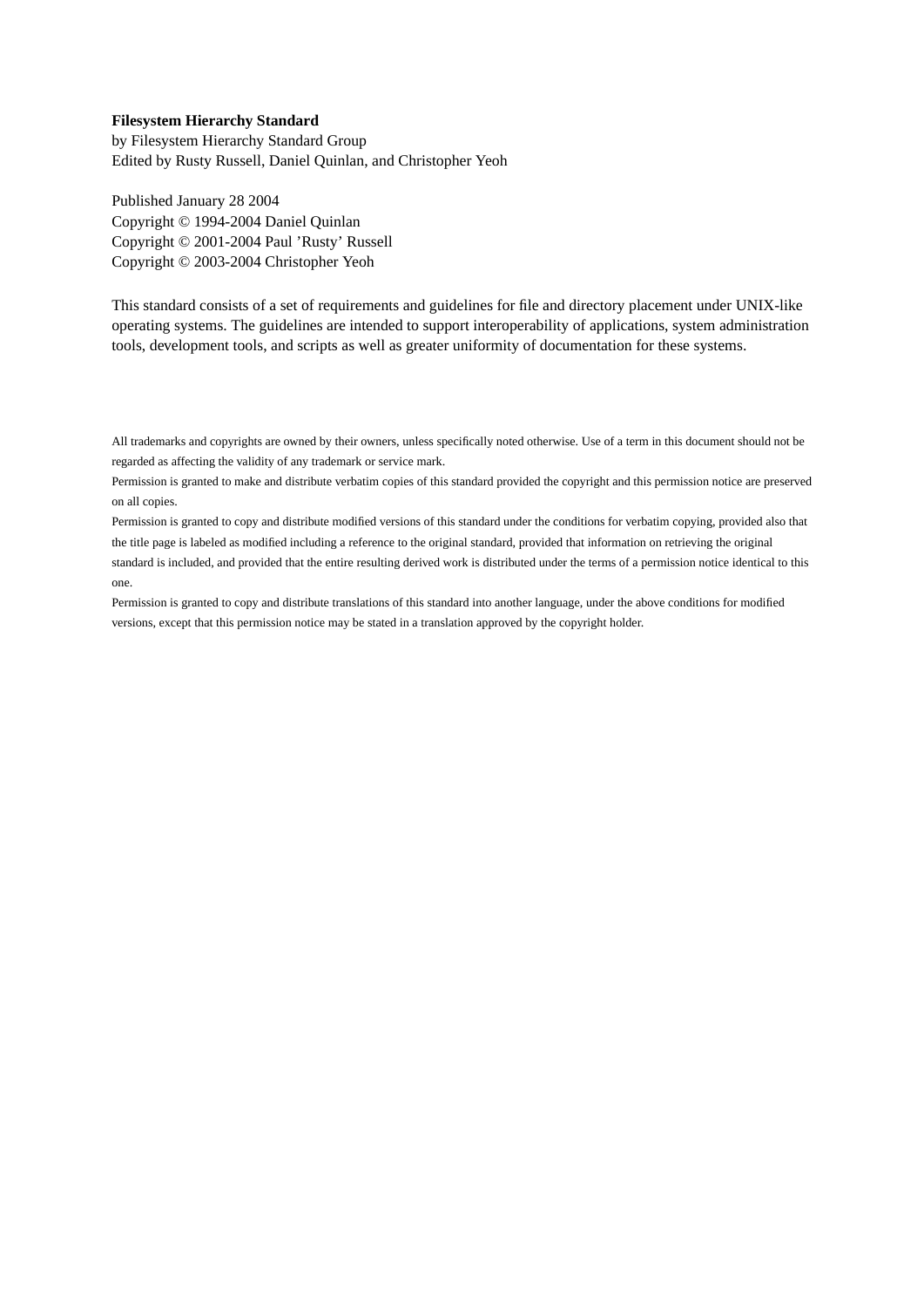#### **Filesystem Hierarchy Standard**

by Filesystem Hierarchy Standard Group Edited by Rusty Russell, Daniel Quinlan, and Christopher Yeoh

Published January 28 2004 Copyright © 1994-2004 Daniel Quinlan Copyright © 2001-2004 Paul 'Rusty' Russell Copyright © 2003-2004 Christopher Yeoh

This standard consists of a set of requirements and guidelines for file and directory placement under UNIX-like operating systems. The guidelines are intended to support interoperability of applications, system administration tools, development tools, and scripts as well as greater uniformity of documentation for these systems.

All trademarks and copyrights are owned by their owners, unless specifically noted otherwise. Use of a term in this document should not be regarded as affecting the validity of any trademark or service mark.

Permission is granted to make and distribute verbatim copies of this standard provided the copyright and this permission notice are preserved on all copies.

Permission is granted to copy and distribute modified versions of this standard under the conditions for verbatim copying, provided also that the title page is labeled as modified including a reference to the original standard, provided that information on retrieving the original standard is included, and provided that the entire resulting derived work is distributed under the terms of a permission notice identical to this one.

Permission is granted to copy and distribute translations of this standard into another language, under the above conditions for modified versions, except that this permission notice may be stated in a translation approved by the copyright holder.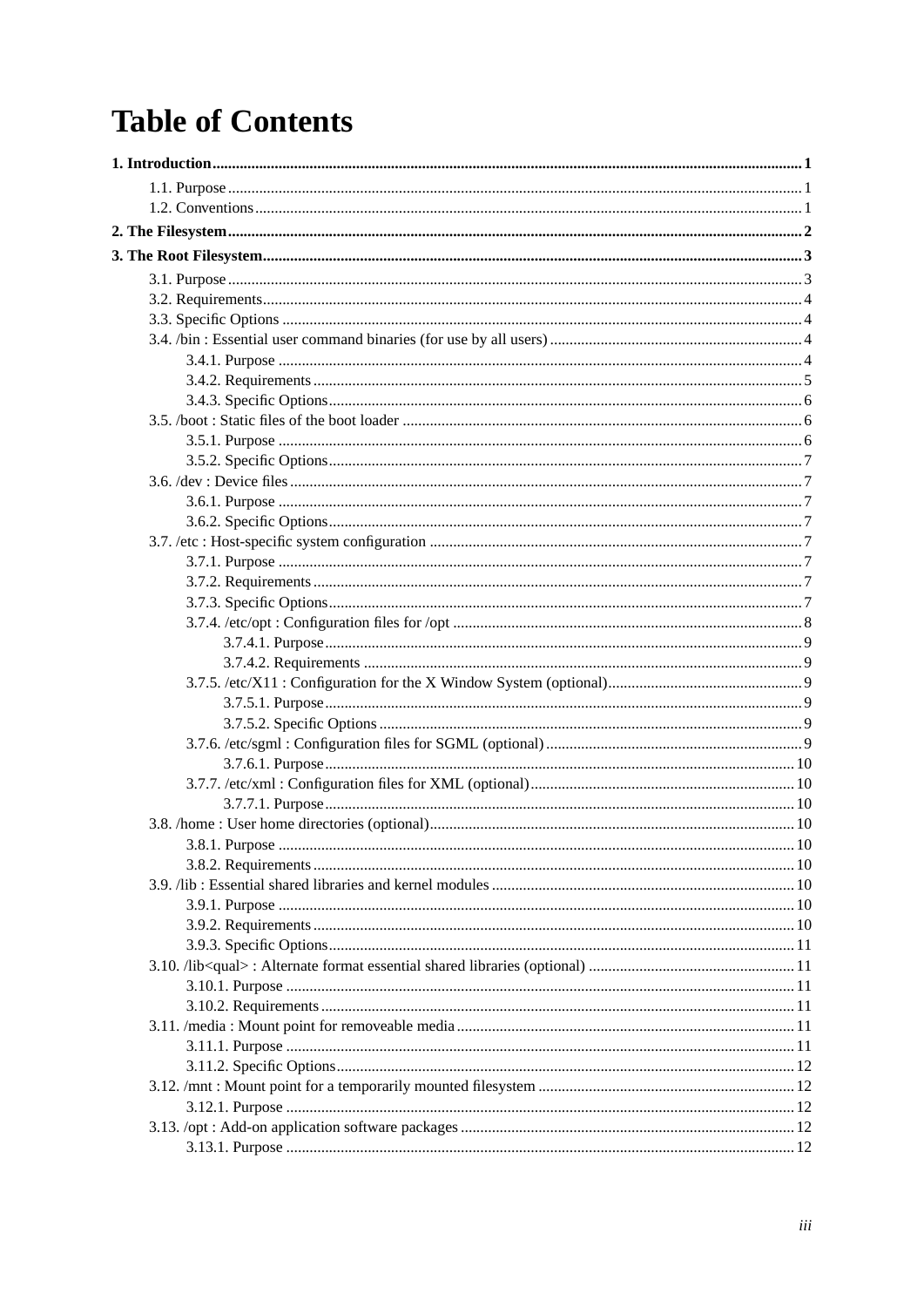# **Table of Contents**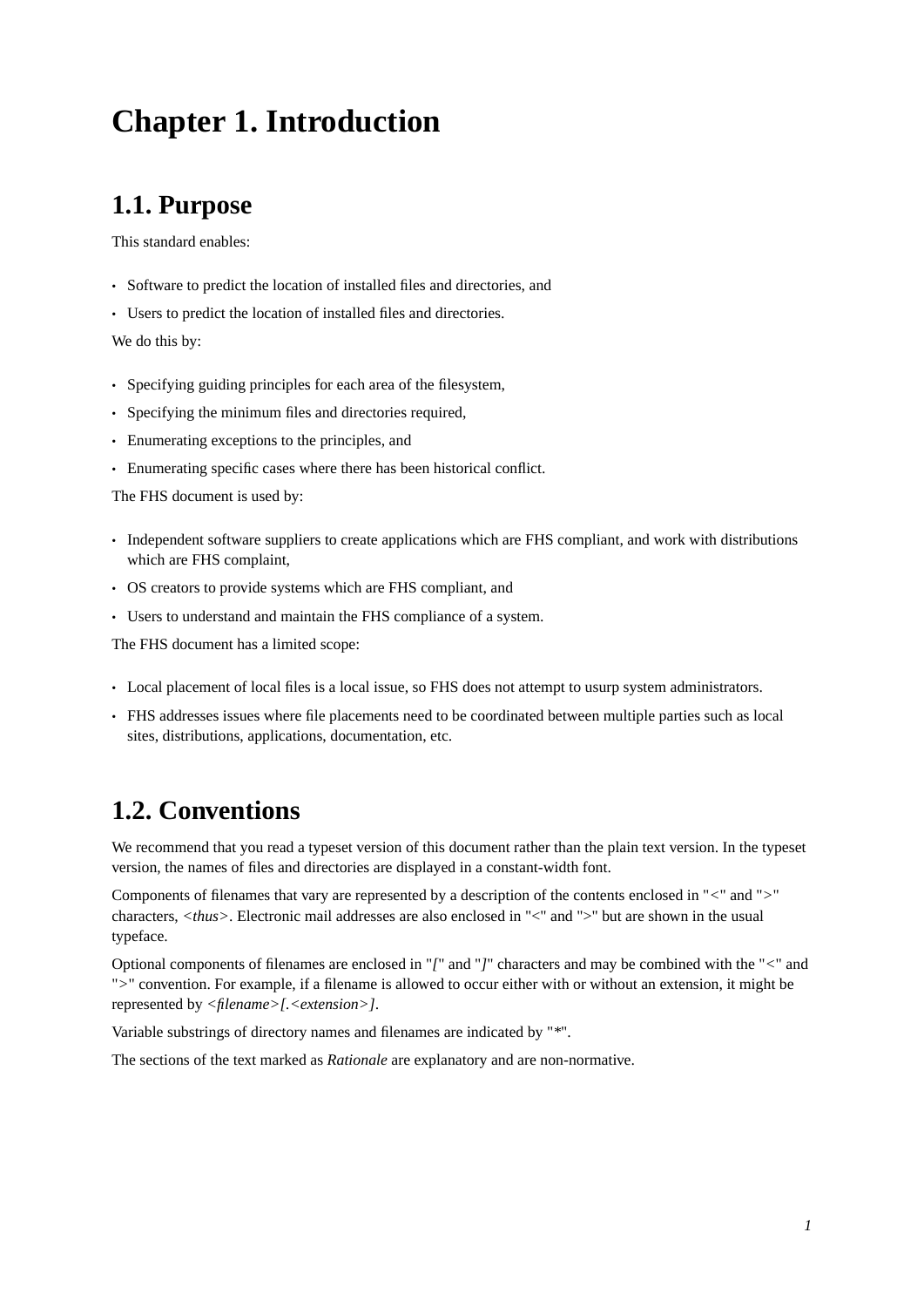# <span id="page-6-0"></span>**Chapter 1. Introduction**

# <span id="page-6-1"></span>**1.1. Purpose**

This standard enables:

- Software to predict the location of installed files and directories, and
- Users to predict the location of installed files and directories.

We do this by:

- Specifying guiding principles for each area of the filesystem,
- Specifying the minimum files and directories required,
- Enumerating exceptions to the principles, and
- Enumerating specific cases where there has been historical conflict.

The FHS document is used by:

- Independent software suppliers to create applications which are FHS compliant, and work with distributions which are FHS complaint,
- OS creators to provide systems which are FHS compliant, and
- Users to understand and maintain the FHS compliance of a system.

The FHS document has a limited scope:

- Local placement of local files is a local issue, so FHS does not attempt to usurp system administrators.
- <span id="page-6-2"></span>• FHS addresses issues where file placements need to be coordinated between multiple parties such as local sites, distributions, applications, documentation, etc.

# **1.2. Conventions**

We recommend that you read a typeset version of this document rather than the plain text version. In the typeset version, the names of files and directories are displayed in a constant-width font.

Components of filenames that vary are represented by a description of the contents enclosed in "*<*" and "*>*" characters, *<thus>*. Electronic mail addresses are also enclosed in "<" and ">" but are shown in the usual typeface.

Optional components of filenames are enclosed in "*[*" and "*]*" characters and may be combined with the "*<*" and "*>*" convention. For example, if a filename is allowed to occur either with or without an extension, it might be represented by *<filename>[.<extension>]*.

Variable substrings of directory names and filenames are indicated by "*\**".

The sections of the text marked as *Rationale* are explanatory and are non-normative.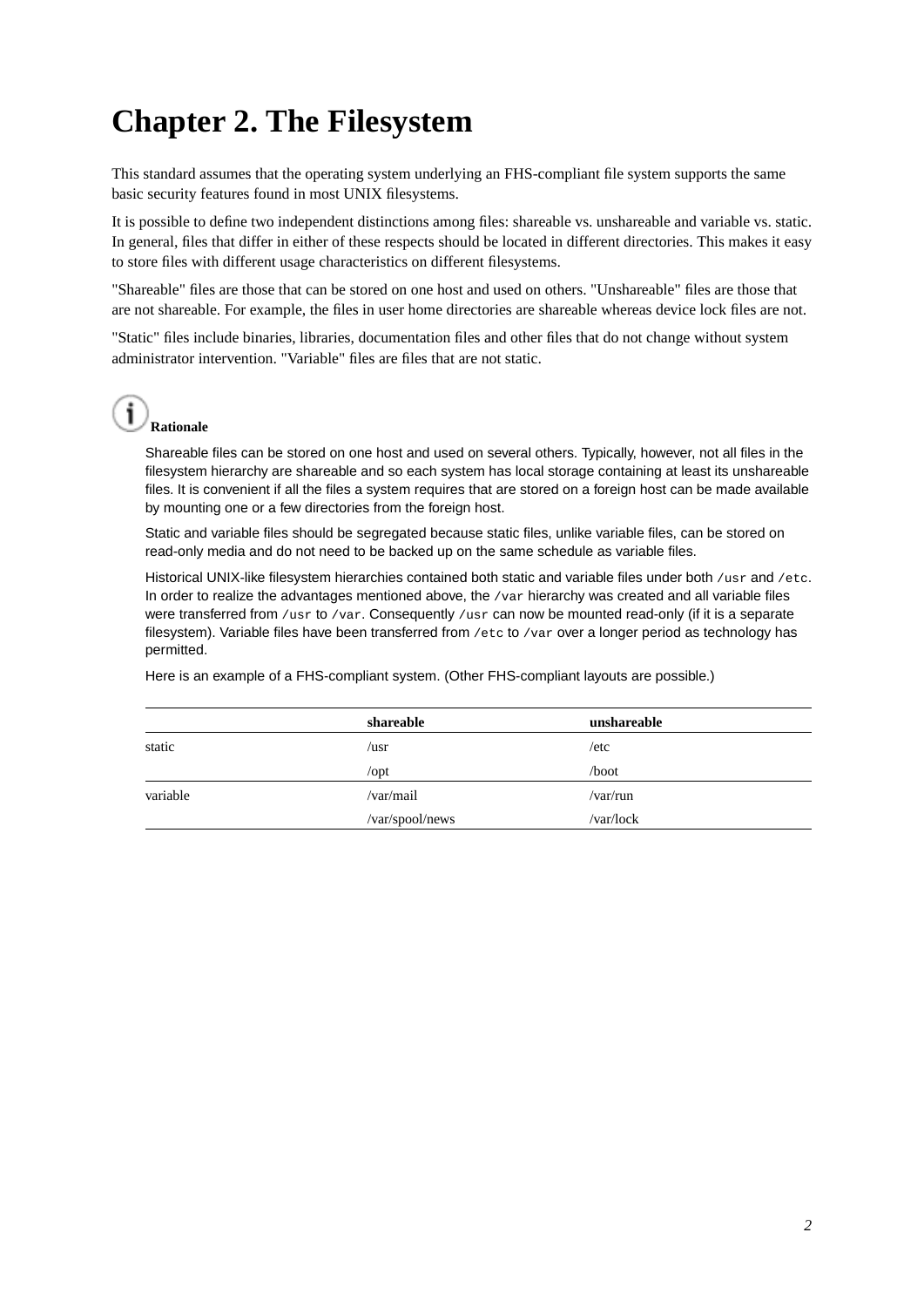# <span id="page-7-0"></span>**Chapter 2. The Filesystem**

This standard assumes that the operating system underlying an FHS-compliant file system supports the same basic security features found in most UNIX filesystems.

It is possible to define two independent distinctions among files: shareable vs. unshareable and variable vs. static. In general, files that differ in either of these respects should be located in different directories. This makes it easy to store files with different usage characteristics on different filesystems.

"Shareable" files are those that can be stored on one host and used on others. "Unshareable" files are those that are not shareable. For example, the files in user home directories are shareable whereas device lock files are not.

"Static" files include binaries, libraries, documentation files and other files that do not change without system administrator intervention. "Variable" files are files that are not static.

# **Rationale**

Shareable files can be stored on one host and used on several others. Typically, however, not all files in the filesystem hierarchy are shareable and so each system has local storage containing at least its unshareable files. It is convenient if all the files a system requires that are stored on a foreign host can be made available by mounting one or a few directories from the foreign host.

Static and variable files should be segregated because static files, unlike variable files, can be stored on read-only media and do not need to be backed up on the same schedule as variable files.

Historical UNIX-like filesystem hierarchies contained both static and variable files under both /usr and /etc. In order to realize the advantages mentioned above, the /var hierarchy was created and all variable files were transferred from  $/$ usr to  $/$ var. Consequently  $/$ usr can now be mounted read-only (if it is a separate filesystem). Variable files have been transferred from /etc to /var over a longer period as technology has permitted.

Here is an example of a FHS-compliant system. (Other FHS-compliant layouts are possible.)

|          | shareable       | unshareable |
|----------|-----------------|-------------|
| static   | /usr            | /etc        |
|          | $\sqrt{opt}$    | /boot       |
| variable | /var/mail       | /var/run    |
|          | /var/spool/news | /var/lock   |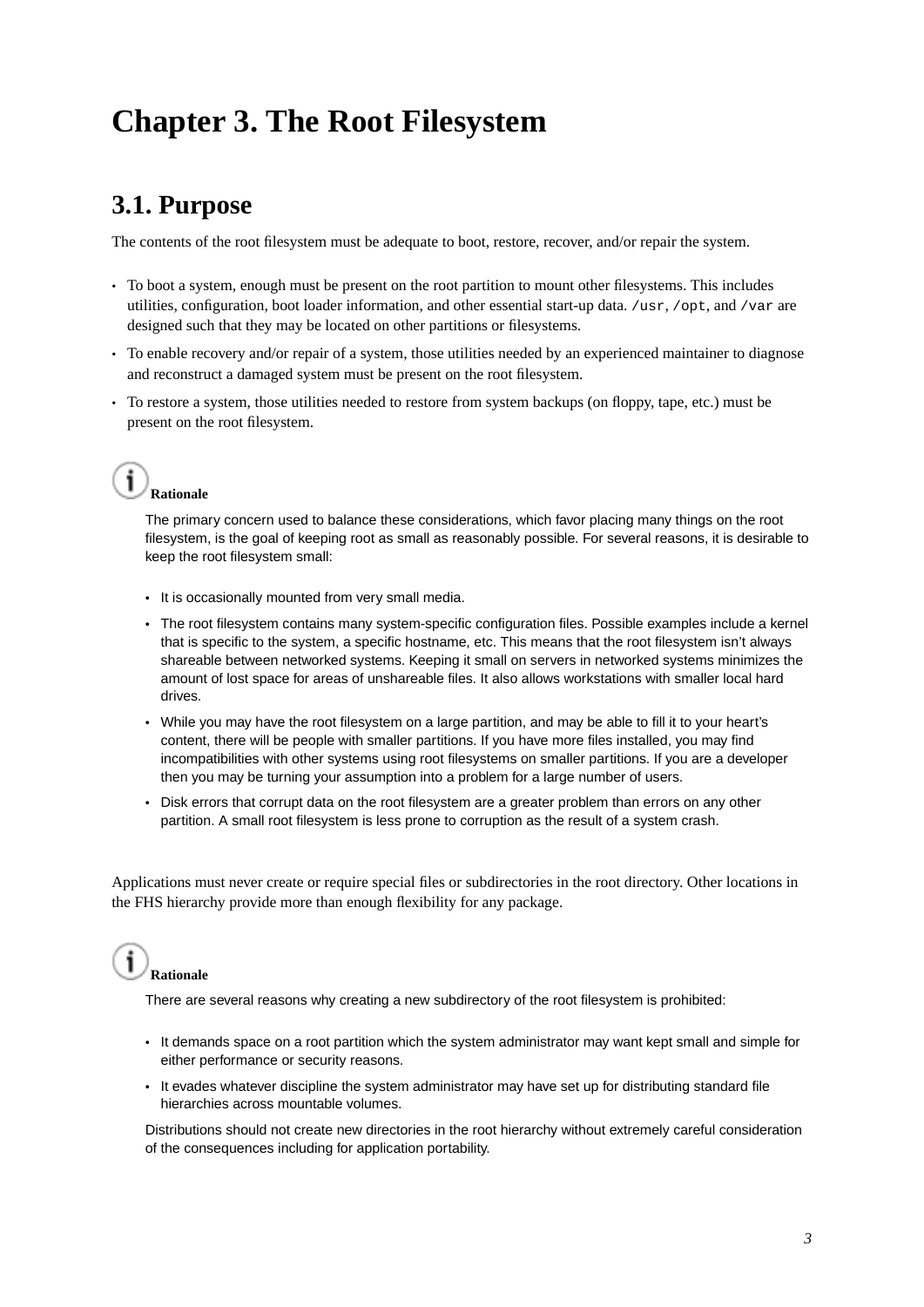# <span id="page-8-0"></span>**Chapter 3. The Root Filesystem**

# <span id="page-8-1"></span>**3.1. Purpose**

The contents of the root filesystem must be adequate to boot, restore, recover, and/or repair the system.

- To boot a system, enough must be present on the root partition to mount other filesystems. This includes utilities, configuration, boot loader information, and other essential start-up data. /usr, /opt, and /var are designed such that they may be located on other partitions or filesystems.
- To enable recovery and/or repair of a system, those utilities needed by an experienced maintainer to diagnose and reconstruct a damaged system must be present on the root filesystem.
- To restore a system, those utilities needed to restore from system backups (on floppy, tape, etc.) must be present on the root filesystem.

# **Rationale**

The primary concern used to balance these considerations, which favor placing many things on the root filesystem, is the goal of keeping root as small as reasonably possible. For several reasons, it is desirable to keep the root filesystem small:

- It is occasionally mounted from very small media.
- The root filesystem contains many system-specific configuration files. Possible examples include a kernel that is specific to the system, a specific hostname, etc. This means that the root filesystem isn't always shareable between networked systems. Keeping it small on servers in networked systems minimizes the amount of lost space for areas of unshareable files. It also allows workstations with smaller local hard drives.
- While you may have the root filesystem on a large partition, and may be able to fill it to your heart's content, there will be people with smaller partitions. If you have more files installed, you may find incompatibilities with other systems using root filesystems on smaller partitions. If you are a developer then you may be turning your assumption into a problem for a large number of users.
- Disk errors that corrupt data on the root filesystem are a greater problem than errors on any other partition. A small root filesystem is less prone to corruption as the result of a system crash.

Applications must never create or require special files or subdirectories in the root directory. Other locations in the FHS hierarchy provide more than enough flexibility for any package.



There are several reasons why creating a new subdirectory of the root filesystem is prohibited:

- It demands space on a root partition which the system administrator may want kept small and simple for either performance or security reasons.
- It evades whatever discipline the system administrator may have set up for distributing standard file hierarchies across mountable volumes.

<span id="page-8-2"></span>Distributions should not create new directories in the root hierarchy without extremely careful consideration of the consequences including for application portability.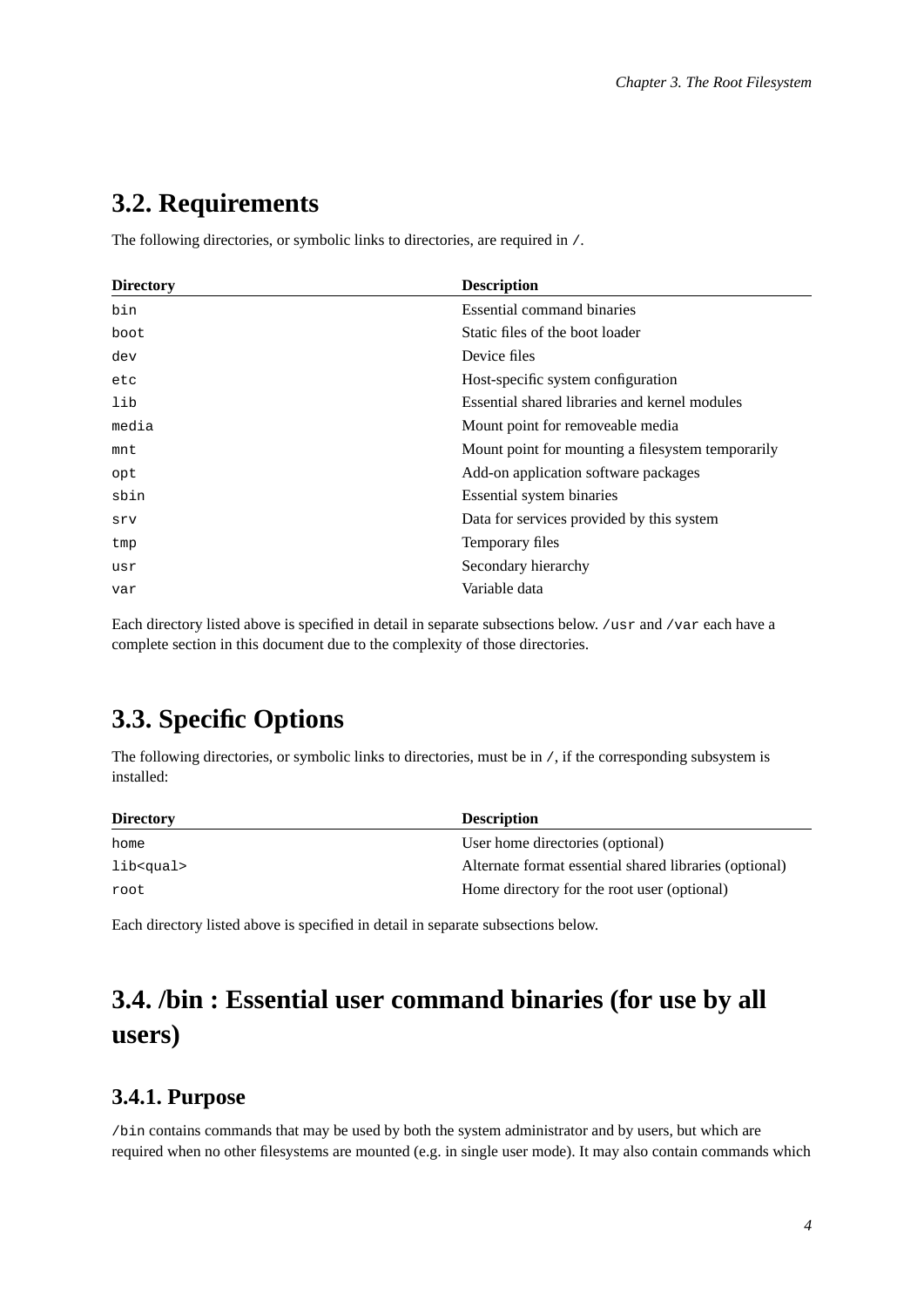## <span id="page-9-3"></span>**3.2. Requirements**

The following directories, or symbolic links to directories, are required in /.

| <b>Essential command binaries</b><br>Static files of the boot loader<br>Device files<br>Host-specific system configuration<br>Essential shared libraries and kernel modules<br>Mount point for removeable media<br>Mount point for mounting a filesystem temporarily<br>Add-on application software packages<br>Essential system binaries<br>sbin<br>Data for services provided by this system<br>srv<br>Temporary files | <b>Directory</b> | <b>Description</b> |
|--------------------------------------------------------------------------------------------------------------------------------------------------------------------------------------------------------------------------------------------------------------------------------------------------------------------------------------------------------------------------------------------------------------------------|------------------|--------------------|
|                                                                                                                                                                                                                                                                                                                                                                                                                          | bin              |                    |
|                                                                                                                                                                                                                                                                                                                                                                                                                          | boot             |                    |
|                                                                                                                                                                                                                                                                                                                                                                                                                          | dev              |                    |
|                                                                                                                                                                                                                                                                                                                                                                                                                          | etc              |                    |
|                                                                                                                                                                                                                                                                                                                                                                                                                          | lib              |                    |
|                                                                                                                                                                                                                                                                                                                                                                                                                          | media            |                    |
|                                                                                                                                                                                                                                                                                                                                                                                                                          | mnt              |                    |
|                                                                                                                                                                                                                                                                                                                                                                                                                          | opt              |                    |
|                                                                                                                                                                                                                                                                                                                                                                                                                          |                  |                    |
|                                                                                                                                                                                                                                                                                                                                                                                                                          |                  |                    |
|                                                                                                                                                                                                                                                                                                                                                                                                                          | tmp              |                    |
| Secondary hierarchy                                                                                                                                                                                                                                                                                                                                                                                                      | usr              |                    |
| Variable data                                                                                                                                                                                                                                                                                                                                                                                                            | var              |                    |

<span id="page-9-0"></span>Each directory listed above is specified in detail in separate subsections below. /usr and /var each have a complete section in this document due to the complexity of those directories.

# **3.3. Specific Options**

The following directories, or symbolic links to directories, must be in /, if the corresponding subsystem is installed:

| <b>Directory</b>  | <b>Description</b>                                     |
|-------------------|--------------------------------------------------------|
| home              | User home directories (optional)                       |
| lib <gual></gual> | Alternate format essential shared libraries (optional) |
| root              | Home directory for the root user (optional)            |

<span id="page-9-1"></span>Each directory listed above is specified in detail in separate subsections below.

# **3.4. /bin : Essential user command binaries (for use by all users)**

## <span id="page-9-2"></span>**3.4.1. Purpose**

/bin contains commands that may be used by both the system administrator and by users, but which are required when no other filesystems are mounted (e.g. in single user mode). It may also contain commands which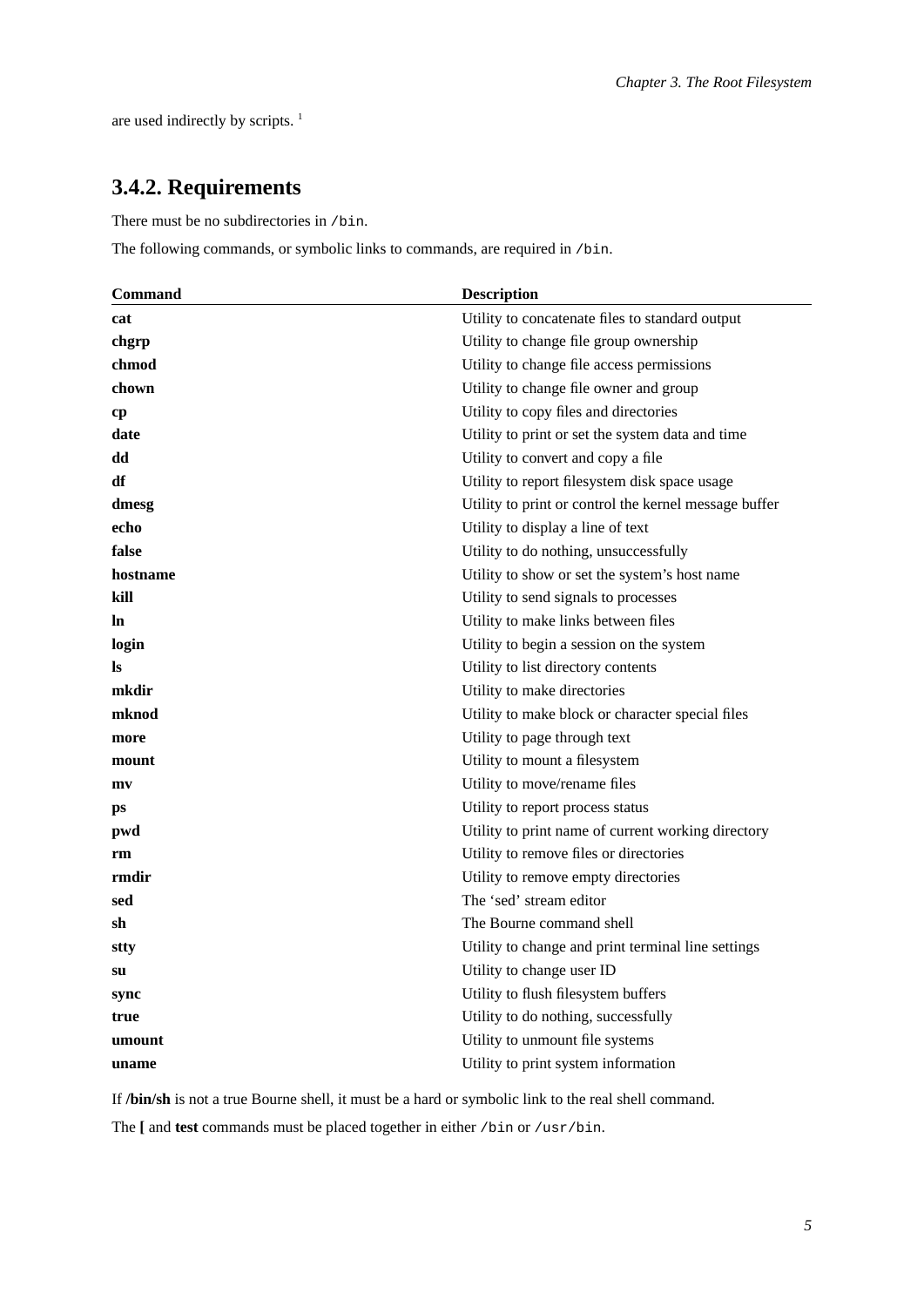are used indirectly by scripts.<sup>1</sup>

## **3.4.2. Requirements**

There must be no subdirectories in /bin.

The following commands, or symbolic links to commands, are required in /bin.

| <b>Command</b> | <b>Description</b>                                    |
|----------------|-------------------------------------------------------|
| cat            | Utility to concatenate files to standard output       |
| chgrp          | Utility to change file group ownership                |
| chmod          | Utility to change file access permissions             |
| chown          | Utility to change file owner and group                |
| cр             | Utility to copy files and directories                 |
| date           | Utility to print or set the system data and time      |
| dd             | Utility to convert and copy a file                    |
| df             | Utility to report filesystem disk space usage         |
| dmesg          | Utility to print or control the kernel message buffer |
| echo           | Utility to display a line of text                     |
| false          | Utility to do nothing, unsuccessfully                 |
| hostname       | Utility to show or set the system's host name         |
| kill           | Utility to send signals to processes                  |
| ln             | Utility to make links between files                   |
| login          | Utility to begin a session on the system              |
| ls             | Utility to list directory contents                    |
| mkdir          | Utility to make directories                           |
| mknod          | Utility to make block or character special files      |
| more           | Utility to page through text                          |
| mount          | Utility to mount a filesystem                         |
| mv             | Utility to move/rename files                          |
| ps             | Utility to report process status                      |
| pwd            | Utility to print name of current working directory    |
| rm             | Utility to remove files or directories                |
| rmdir          | Utility to remove empty directories                   |
| sed            | The 'sed' stream editor                               |
| sh             | The Bourne command shell                              |
| stty           | Utility to change and print terminal line settings    |
| su             | Utility to change user ID                             |
| sync           | Utility to flush filesystem buffers                   |
| true           | Utility to do nothing, successfully                   |
| umount         | Utility to unmount file systems                       |
| uname          | Utility to print system information                   |

If **/bin/sh** is not a true Bourne shell, it must be a hard or symbolic link to the real shell command.

The **[** and **test** commands must be placed together in either /bin or /usr/bin.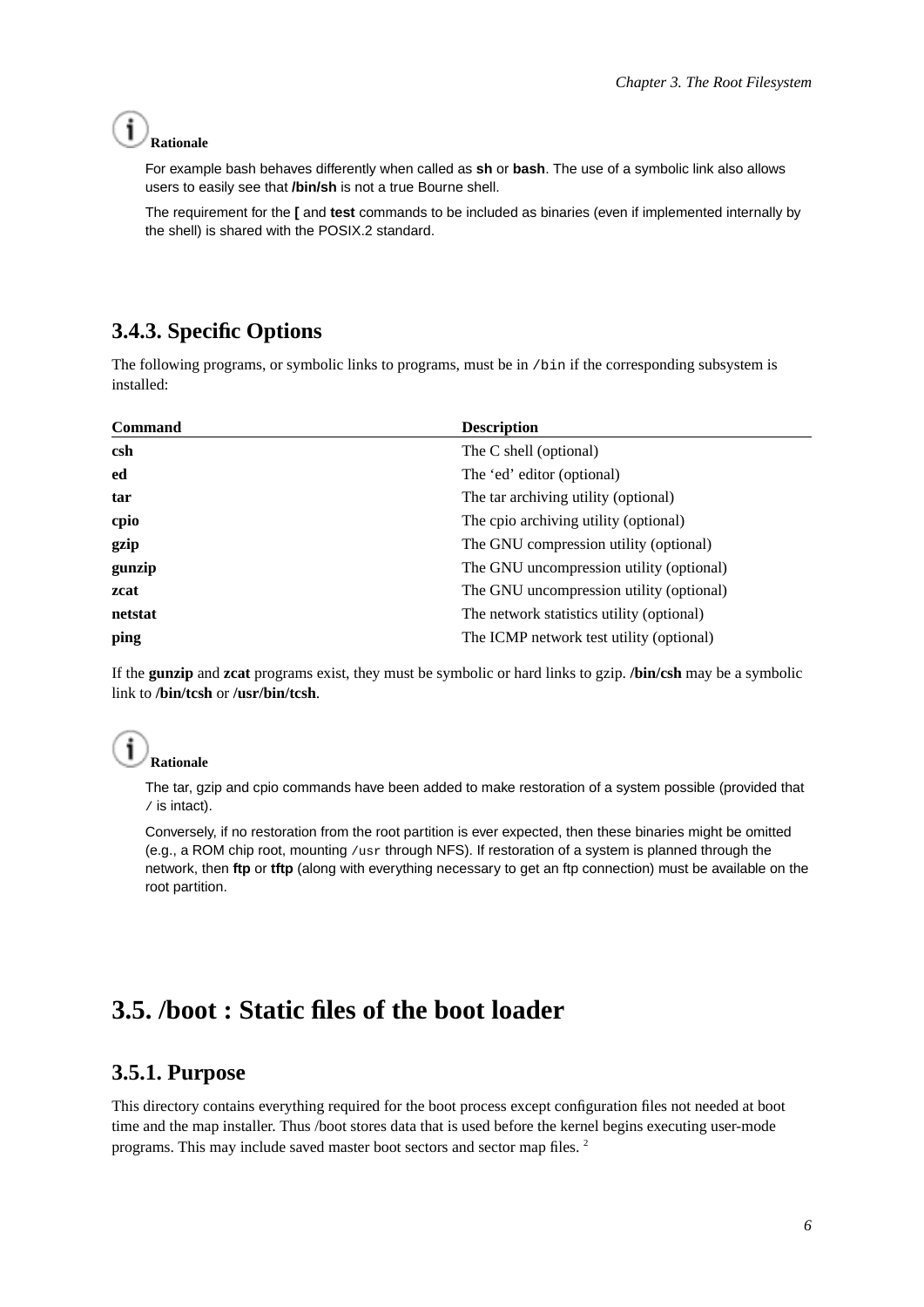#### **Rationale**

For example bash behaves differently when called as **sh** or **bash**. The use of a symbolic link also allows users to easily see that **/bin/sh** is not a true Bourne shell.

The requirement for the **[** and **test** commands to be included as binaries (even if implemented internally by the shell) is shared with the POSIX.2 standard.

## <span id="page-11-0"></span>**3.4.3. Specific Options**

The following programs, or symbolic links to programs, must be in /bin if the corresponding subsystem is installed:

| <b>Command</b> | <b>Description</b>                        |
|----------------|-------------------------------------------|
| csh            | The C shell (optional)                    |
| ed             | The 'ed' editor (optional)                |
| tar            | The tar archiving utility (optional)      |
| cpio           | The cpio archiving utility (optional)     |
| gzip           | The GNU compression utility (optional)    |
| gunzip         | The GNU uncompression utility (optional)  |
| zcat           | The GNU uncompression utility (optional)  |
| netstat        | The network statistics utility (optional) |
| ping           | The ICMP network test utility (optional)  |

If the **gunzip** and **zcat** programs exist, they must be symbolic or hard links to gzip. **/bin/csh** may be a symbolic link to **/bin/tcsh** or **/usr/bin/tcsh**.

#### Ĩ **Rationale**

The tar, gzip and cpio commands have been added to make restoration of a system possible (provided that / is intact).

Conversely, if no restoration from the root partition is ever expected, then these binaries might be omitted (e.g., a ROM chip root, mounting /usr through NFS). If restoration of a system is planned through the network, then **ftp** or **tftp** (along with everything necessary to get an ftp connection) must be available on the root partition.

# <span id="page-11-2"></span><span id="page-11-1"></span>**3.5. /boot : Static files of the boot loader**

## **3.5.1. Purpose**

This directory contains everything required for the boot process except configuration files not needed at boot time and the map installer. Thus /boot stores data that is used before the kernel begins executing user-mode programs. This may include saved master boot sectors and sector map files. <sup>2</sup>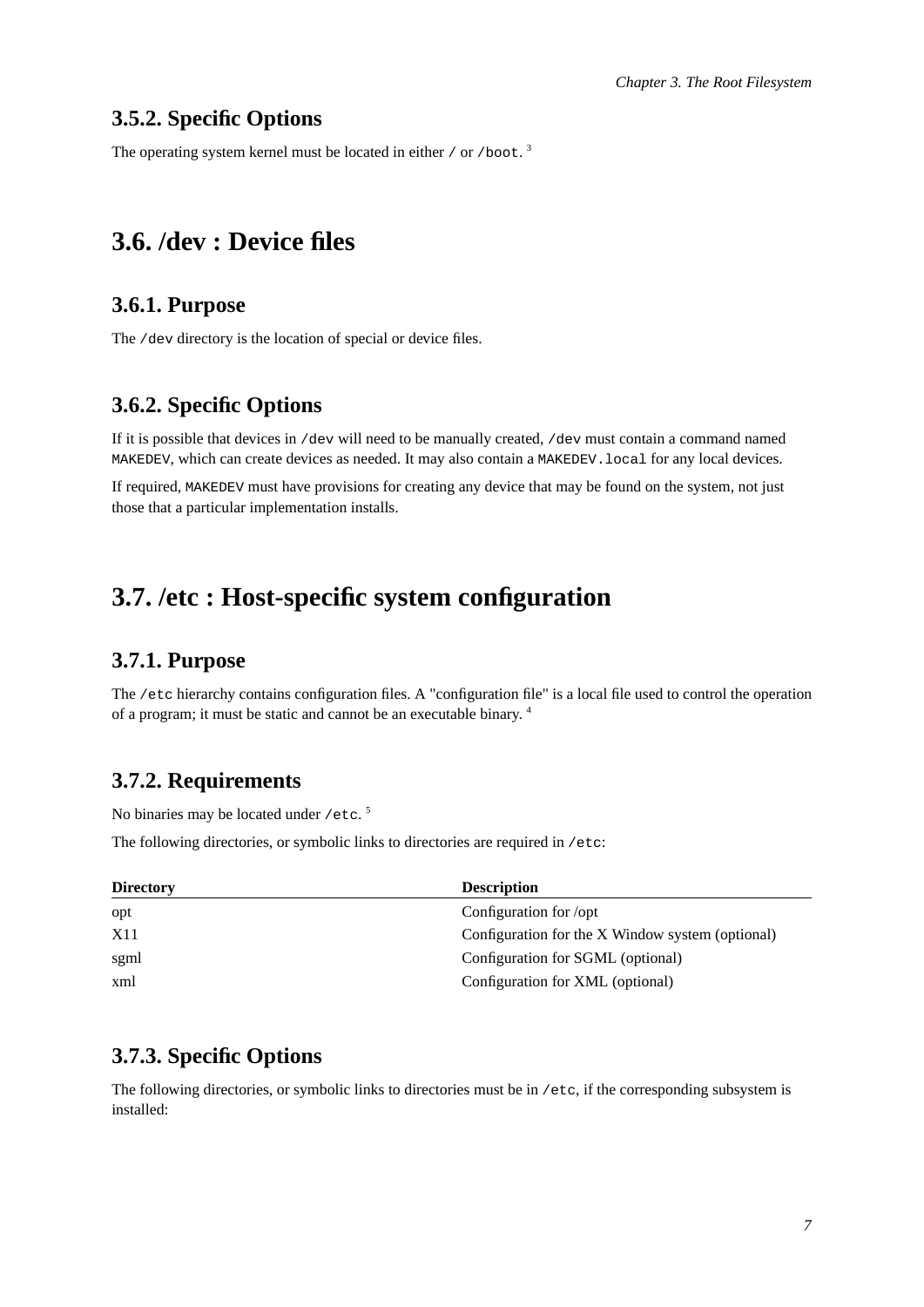## <span id="page-12-0"></span>**3.5.2. Specific Options**

<span id="page-12-1"></span>The operating system kernel must be located in either / or /boot.<sup>3</sup>

## <span id="page-12-2"></span>**3.6. /dev : Device files**

## **3.6.1. Purpose**

<span id="page-12-3"></span>The /dev directory is the location of special or device files.

## **3.6.2. Specific Options**

If it is possible that devices in /dev will need to be manually created, /dev must contain a command named MAKEDEV, which can create devices as needed. It may also contain a MAKEDEV.local for any local devices.

If required, MAKEDEV must have provisions for creating any device that may be found on the system, not just those that a particular implementation installs.

## <span id="page-12-5"></span><span id="page-12-4"></span>**3.7. /etc : Host-specific system configuration**

## **3.7.1. Purpose**

The /etc hierarchy contains configuration files. A "configuration file" is a local file used to control the operation of a program; it must be static and cannot be an executable binary. <sup>4</sup>

#### <span id="page-12-6"></span>**3.7.2. Requirements**

No binaries may be located under /etc.<sup>5</sup>

The following directories, or symbolic links to directories are required in /etc:

| <b>Directory</b> | <b>Description</b>                               |
|------------------|--------------------------------------------------|
| opt              | Configuration for /opt                           |
| X11              | Configuration for the X Window system (optional) |
| sgml             | Configuration for SGML (optional)                |
| xml              | Configuration for XML (optional)                 |

## <span id="page-12-7"></span>**3.7.3. Specific Options**

The following directories, or symbolic links to directories must be in /etc, if the corresponding subsystem is installed: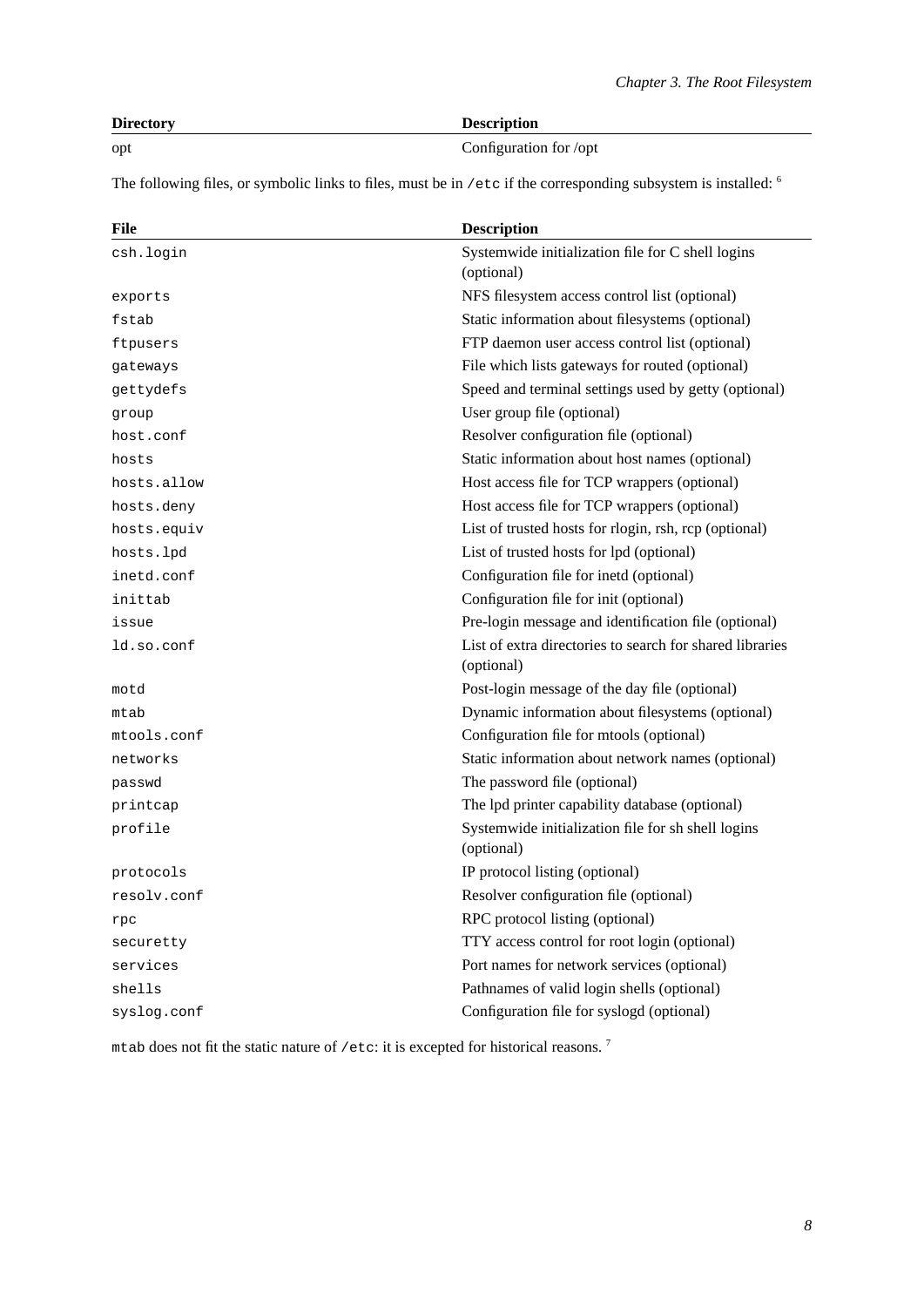| <b>Directory</b> | <b>Description</b>     |
|------------------|------------------------|
| opt              | Configuration for /opt |

The following files, or symbolic links to files, must be in /etc if the corresponding subsystem is installed: <sup>6</sup>

| File        | <b>Description</b>                                                     |
|-------------|------------------------------------------------------------------------|
| csh.login   | Systemwide initialization file for C shell logins<br>(optional)        |
| exports     | NFS filesystem access control list (optional)                          |
| fstab       | Static information about filesystems (optional)                        |
| ftpusers    | FTP daemon user access control list (optional)                         |
| gateways    | File which lists gateways for routed (optional)                        |
| gettydefs   | Speed and terminal settings used by getty (optional)                   |
| group       | User group file (optional)                                             |
| host.conf   | Resolver configuration file (optional)                                 |
| hosts       | Static information about host names (optional)                         |
| hosts.allow | Host access file for TCP wrappers (optional)                           |
| hosts.deny  | Host access file for TCP wrappers (optional)                           |
| hosts.equiv | List of trusted hosts for rlogin, rsh, rcp (optional)                  |
| hosts.lpd   | List of trusted hosts for lpd (optional)                               |
| inetd.conf  | Configuration file for inetd (optional)                                |
| inittab     | Configuration file for init (optional)                                 |
| issue       | Pre-login message and identification file (optional)                   |
| ld.so.conf  | List of extra directories to search for shared libraries<br>(optional) |
| motd        | Post-login message of the day file (optional)                          |
| mtab        | Dynamic information about filesystems (optional)                       |
| mtools.conf | Configuration file for mtools (optional)                               |
| networks    | Static information about network names (optional)                      |
| passwd      | The password file (optional)                                           |
| printcap    | The lpd printer capability database (optional)                         |
| profile     | Systemwide initialization file for sh shell logins<br>(optional)       |
| protocols   | IP protocol listing (optional)                                         |
| resolv.conf | Resolver configuration file (optional)                                 |
| rpc         | RPC protocol listing (optional)                                        |
| securetty   | TTY access control for root login (optional)                           |
| services    | Port names for network services (optional)                             |
| shells      | Pathnames of valid login shells (optional)                             |
| syslog.conf | Configuration file for syslogd (optional)                              |

<span id="page-13-0"></span>mtab does not fit the static nature of /etc: it is excepted for historical reasons.  $^7$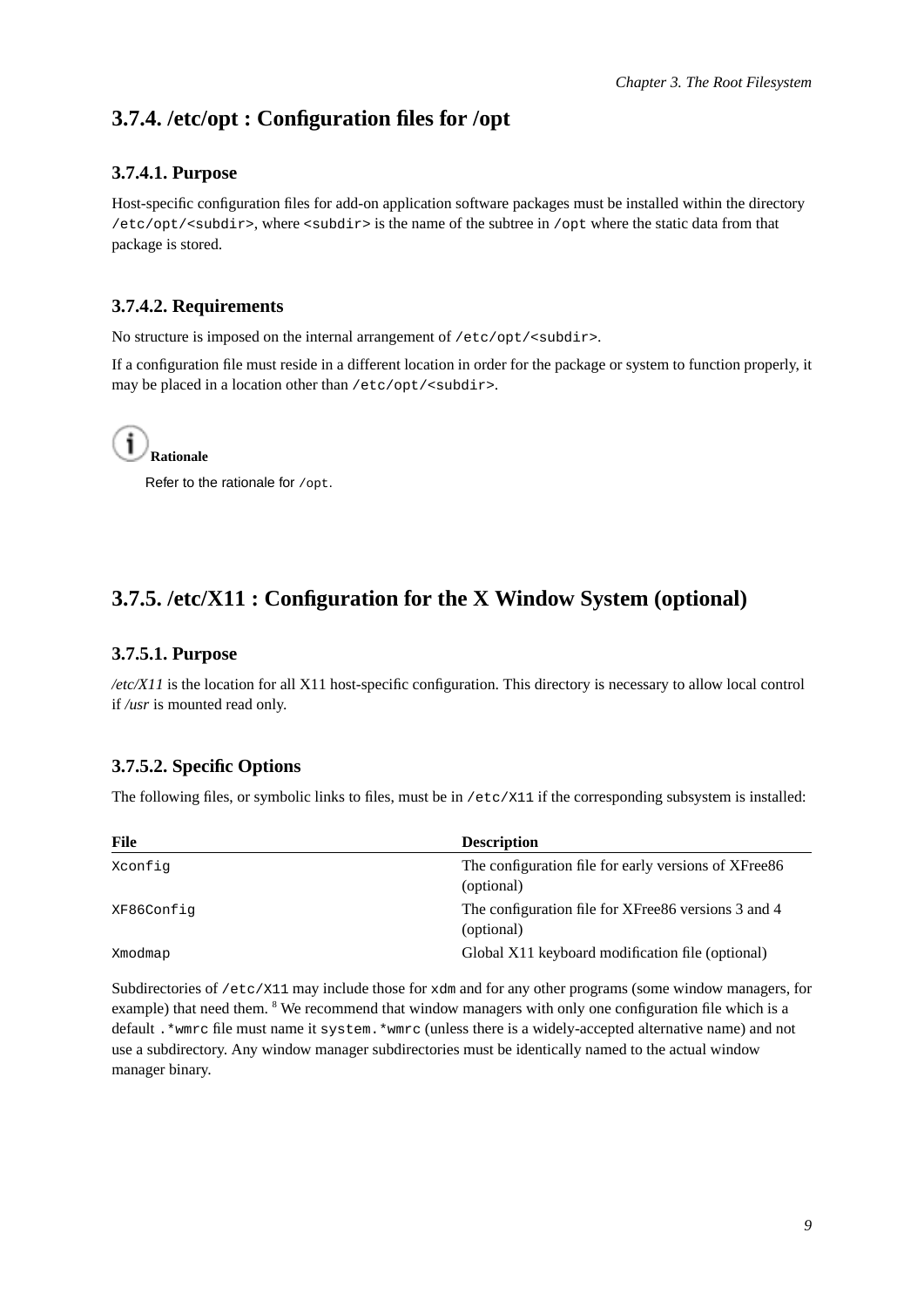## <span id="page-14-0"></span>**3.7.4. /etc/opt : Configuration files for /opt**

### **3.7.4.1. Purpose**

Host-specific configuration files for add-on application software packages must be installed within the directory /etc/opt/<subdir>, where <subdir> is the name of the subtree in /opt where the static data from that package is stored.

## <span id="page-14-1"></span>**3.7.4.2. Requirements**

No structure is imposed on the internal arrangement of /etc/opt/<subdir>.

If a configuration file must reside in a different location in order for the package or system to function properly, it may be placed in a location other than /etc/opt/<subdir>.



Refer to the rationale for /opt.

## <span id="page-14-3"></span><span id="page-14-2"></span>**3.7.5. /etc/X11 : Configuration for the X Window System (optional)**

#### **3.7.5.1. Purpose**

*/etc/X11* is the location for all X11 host-specific configuration. This directory is necessary to allow local control if */usr* is mounted read only.

## <span id="page-14-4"></span>**3.7.5.2. Specific Options**

The following files, or symbolic links to files, must be in /etc/X11 if the corresponding subsystem is installed:

| File       | <b>Description</b>                                    |
|------------|-------------------------------------------------------|
| Xconfig    | The configuration file for early versions of XFree 86 |
|            | (optional)                                            |
| XF86Config | The configuration file for XFree86 versions 3 and 4   |
|            | (optional)                                            |
| Xmodmap    | Global X11 keyboard modification file (optional)      |

<span id="page-14-5"></span>Subdirectories of /etc/X11 may include those for xdm and for any other programs (some window managers, for example) that need them. <sup>8</sup> We recommend that window managers with only one configuration file which is a default .\*wmrc file must name it system.\*wmrc (unless there is a widely-accepted alternative name) and not use a subdirectory. Any window manager subdirectories must be identically named to the actual window manager binary.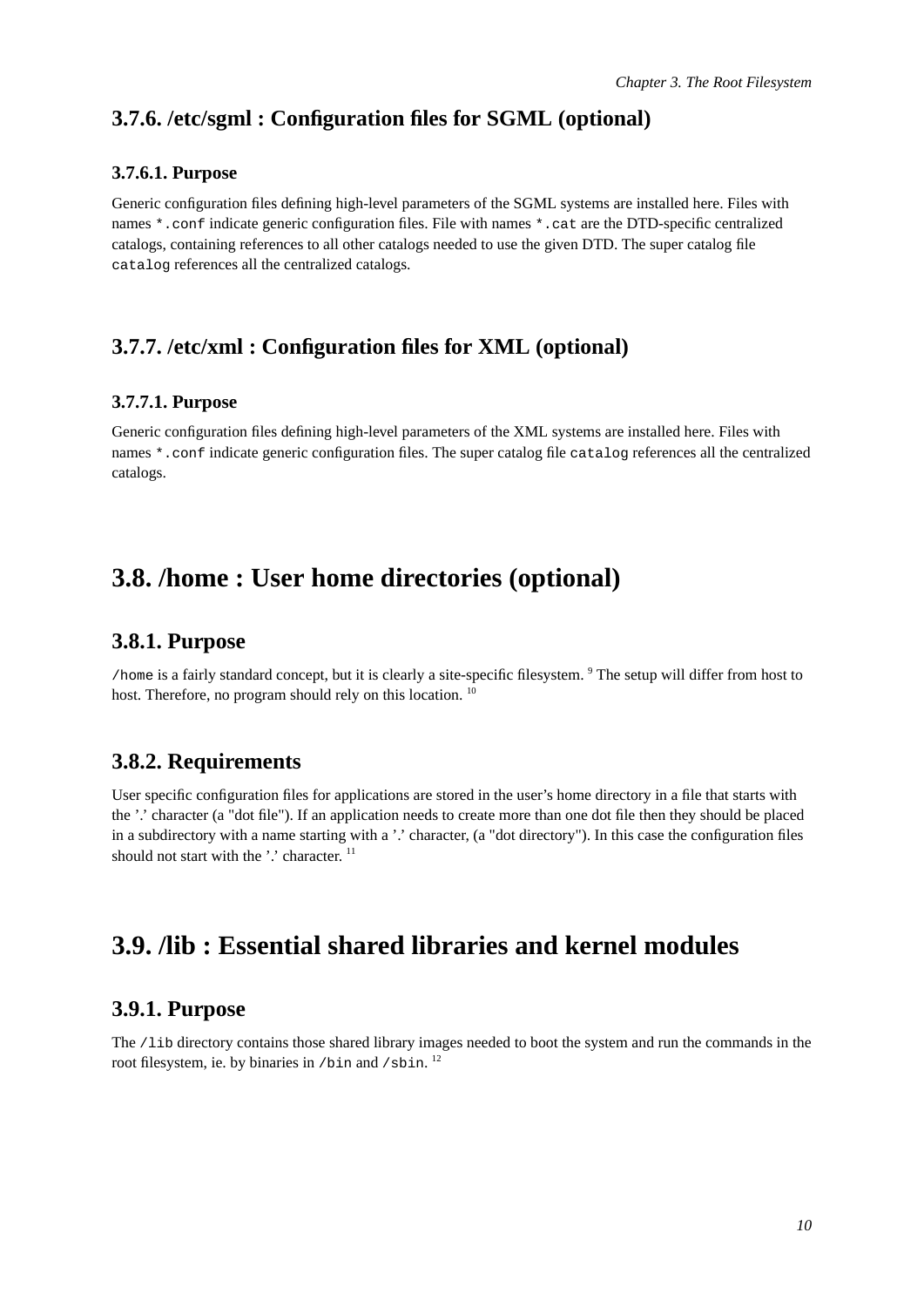## <span id="page-15-0"></span>**3.7.6. /etc/sgml : Configuration files for SGML (optional)**

#### **3.7.6.1. Purpose**

Generic configuration files defining high-level parameters of the SGML systems are installed here. Files with names \*.conf indicate generic configuration files. File with names \*.cat are the DTD-specific centralized catalogs, containing references to all other catalogs needed to use the given DTD. The super catalog file catalog references all the centralized catalogs.

## <span id="page-15-2"></span><span id="page-15-1"></span>**3.7.7. /etc/xml : Configuration files for XML (optional)**

#### **3.7.7.1. Purpose**

Generic configuration files defining high-level parameters of the XML systems are installed here. Files with names \*.conf indicate generic configuration files. The super catalog file catalog references all the centralized catalogs.

## <span id="page-15-4"></span><span id="page-15-3"></span>**3.8. /home : User home directories (optional)**

### **3.8.1. Purpose**

/home is a fairly standard concept, but it is clearly a site-specific filesystem. <sup>9</sup> The setup will differ from host to host. Therefore, no program should rely on this location.<sup>10</sup>

## <span id="page-15-5"></span>**3.8.2. Requirements**

User specific configuration files for applications are stored in the user's home directory in a file that starts with the '.' character (a "dot file"). If an application needs to create more than one dot file then they should be placed in a subdirectory with a name starting with a '.' character, (a "dot directory"). In this case the configuration files should not start with the '.' character.  $11$ 

# <span id="page-15-7"></span><span id="page-15-6"></span>**3.9. /lib : Essential shared libraries and kernel modules**

#### **3.9.1. Purpose**

<span id="page-15-8"></span>The /lib directory contains those shared library images needed to boot the system and run the commands in the root filesystem, ie. by binaries in /bin and /sbin. <sup>12</sup>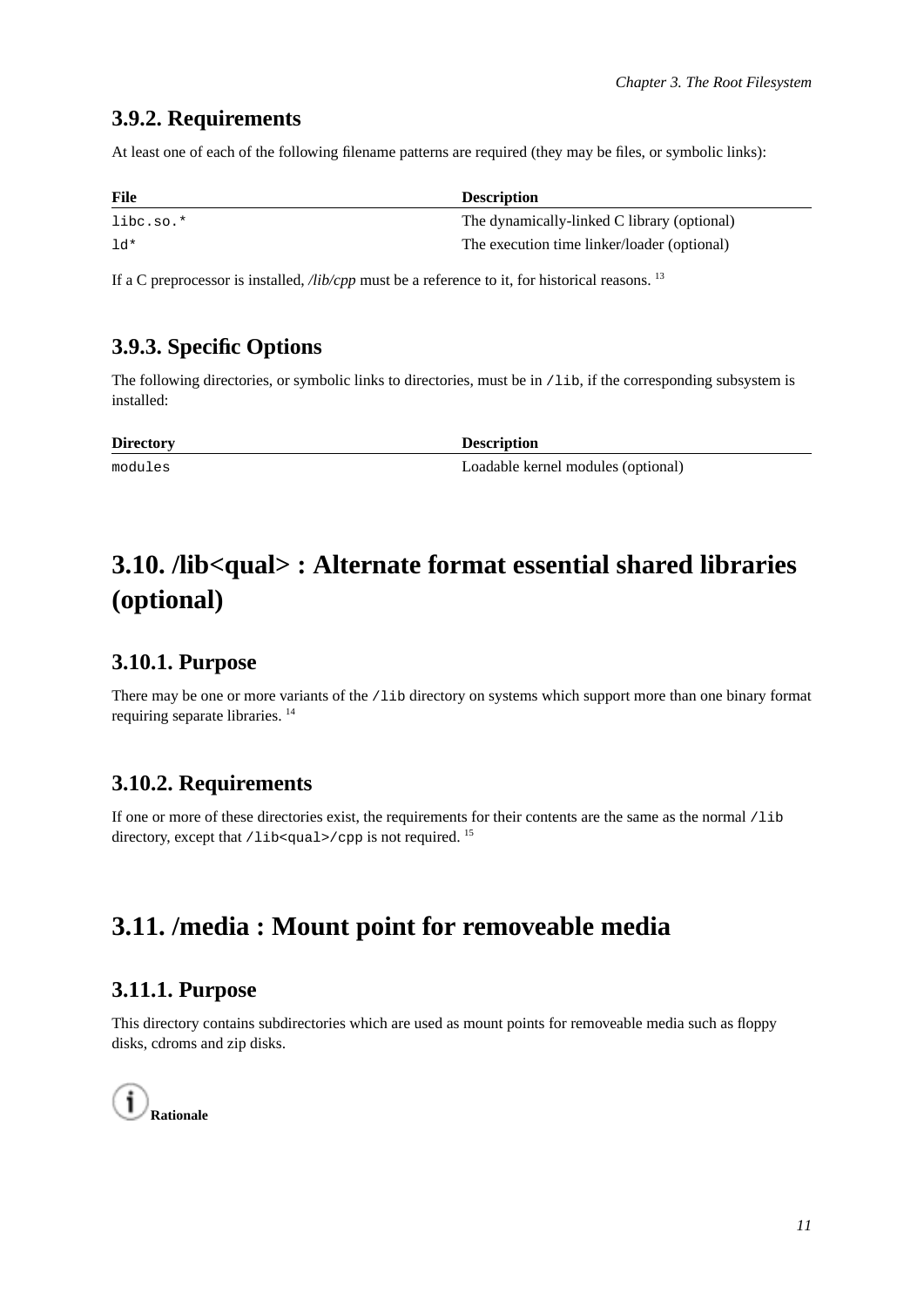## **3.9.2. Requirements**

At least one of each of the following filename patterns are required (they may be files, or symbolic links):

| <b>File</b> | <b>Description</b>                          |
|-------------|---------------------------------------------|
| $libc.so.*$ | The dynamically-linked C library (optional) |
| 1d*         | The execution time linker/loader (optional) |

<span id="page-16-0"></span>If a C preprocessor is installed, */lib/cpp* must be a reference to it, for historical reasons. <sup>13</sup>

## **3.9.3. Specific Options**

The following directories, or symbolic links to directories, must be in /lib, if the corresponding subsystem is installed:

| <b>Directory</b> | <b>Description</b>                 |
|------------------|------------------------------------|
| modules          | Loadable kernel modules (optional) |

# <span id="page-16-1"></span>**3.10. /lib<qual> : Alternate format essential shared libraries (optional)**

## <span id="page-16-2"></span>**3.10.1. Purpose**

There may be one or more variants of the /lib directory on systems which support more than one binary format requiring separate libraries. <sup>14</sup>

## <span id="page-16-3"></span>**3.10.2. Requirements**

If one or more of these directories exist, the requirements for their contents are the same as the normal /lib directory, except that  $/$ lib<qual> $/$ cpp is not required. <sup>15</sup>

# <span id="page-16-5"></span><span id="page-16-4"></span>**3.11. /media : Mount point for removeable media**

## **3.11.1. Purpose**

This directory contains subdirectories which are used as mount points for removeable media such as floppy disks, cdroms and zip disks.

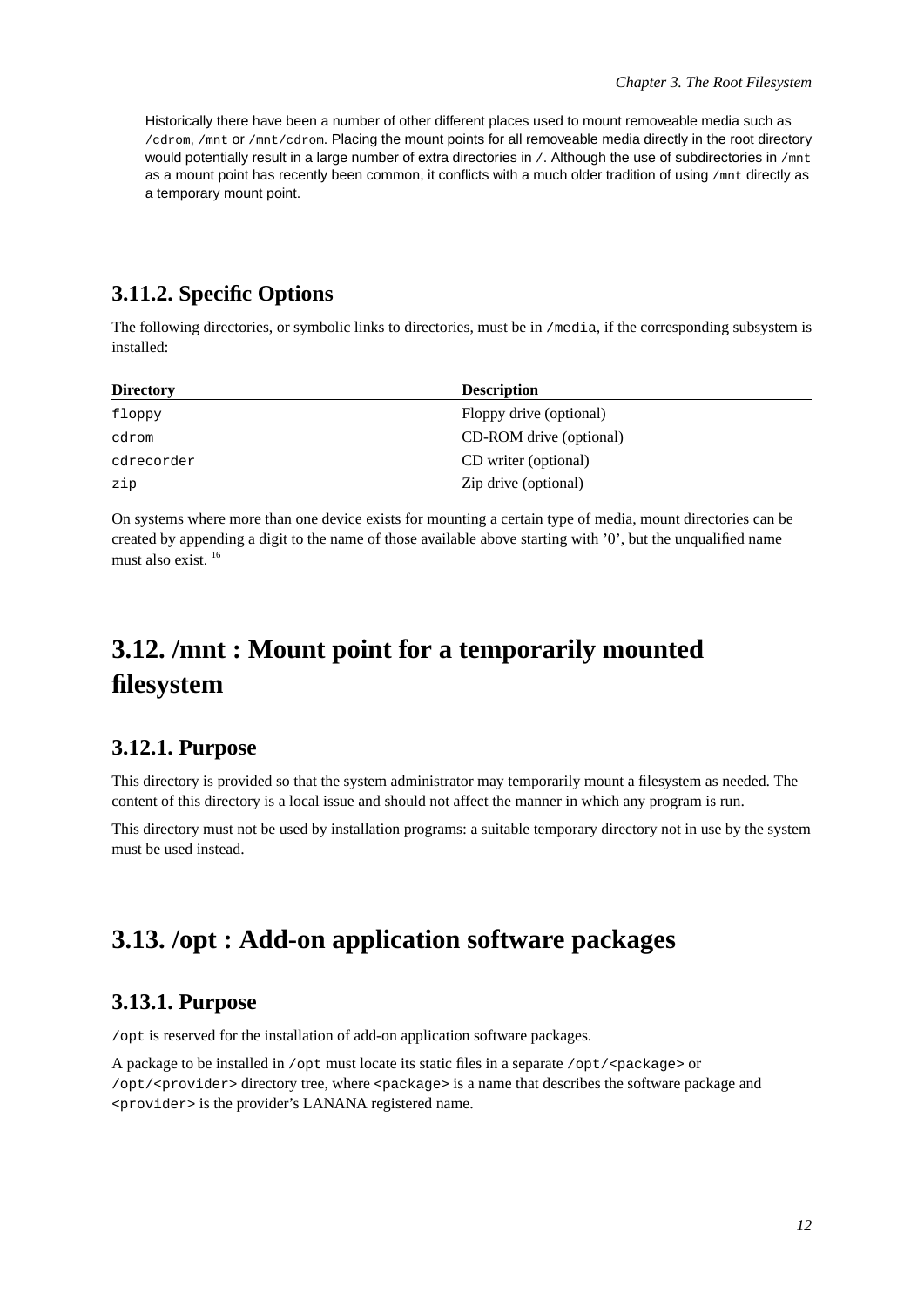Historically there have been a number of other different places used to mount removeable media such as /cdrom, /mnt or /mnt/cdrom. Placing the mount points for all removeable media directly in the root directory would potentially result in a large number of extra directories in  $/$ . Although the use of subdirectories in  $/$ mnt as a mount point has recently been common, it conflicts with a much older tradition of using  $/$ mnt directly as a temporary mount point.

## <span id="page-17-0"></span>**3.11.2. Specific Options**

The following directories, or symbolic links to directories, must be in /media, if the corresponding subsystem is installed:

| <b>Directory</b> | <b>Description</b>      |
|------------------|-------------------------|
| floppy           | Floppy drive (optional) |
| cdrom            | CD-ROM drive (optional) |
| cdrecorder       | CD writer (optional)    |
| zip              | Zip drive (optional)    |

On systems where more than one device exists for mounting a certain type of media, mount directories can be created by appending a digit to the name of those available above starting with '0', but the unqualified name must also exist. <sup>16</sup>

# <span id="page-17-1"></span>**3.12. /mnt : Mount point for a temporarily mounted filesystem**

#### <span id="page-17-2"></span>**3.12.1. Purpose**

This directory is provided so that the system administrator may temporarily mount a filesystem as needed. The content of this directory is a local issue and should not affect the manner in which any program is run.

This directory must not be used by installation programs: a suitable temporary directory not in use by the system must be used instead.

# <span id="page-17-4"></span><span id="page-17-3"></span>**3.13. /opt : Add-on application software packages**

## **3.13.1. Purpose**

/opt is reserved for the installation of add-on application software packages.

<span id="page-17-5"></span>A package to be installed in /opt must locate its static files in a separate /opt/<package> or /opt/<provider> directory tree, where <package> is a name that describes the software package and <provider> is the provider's LANANA registered name.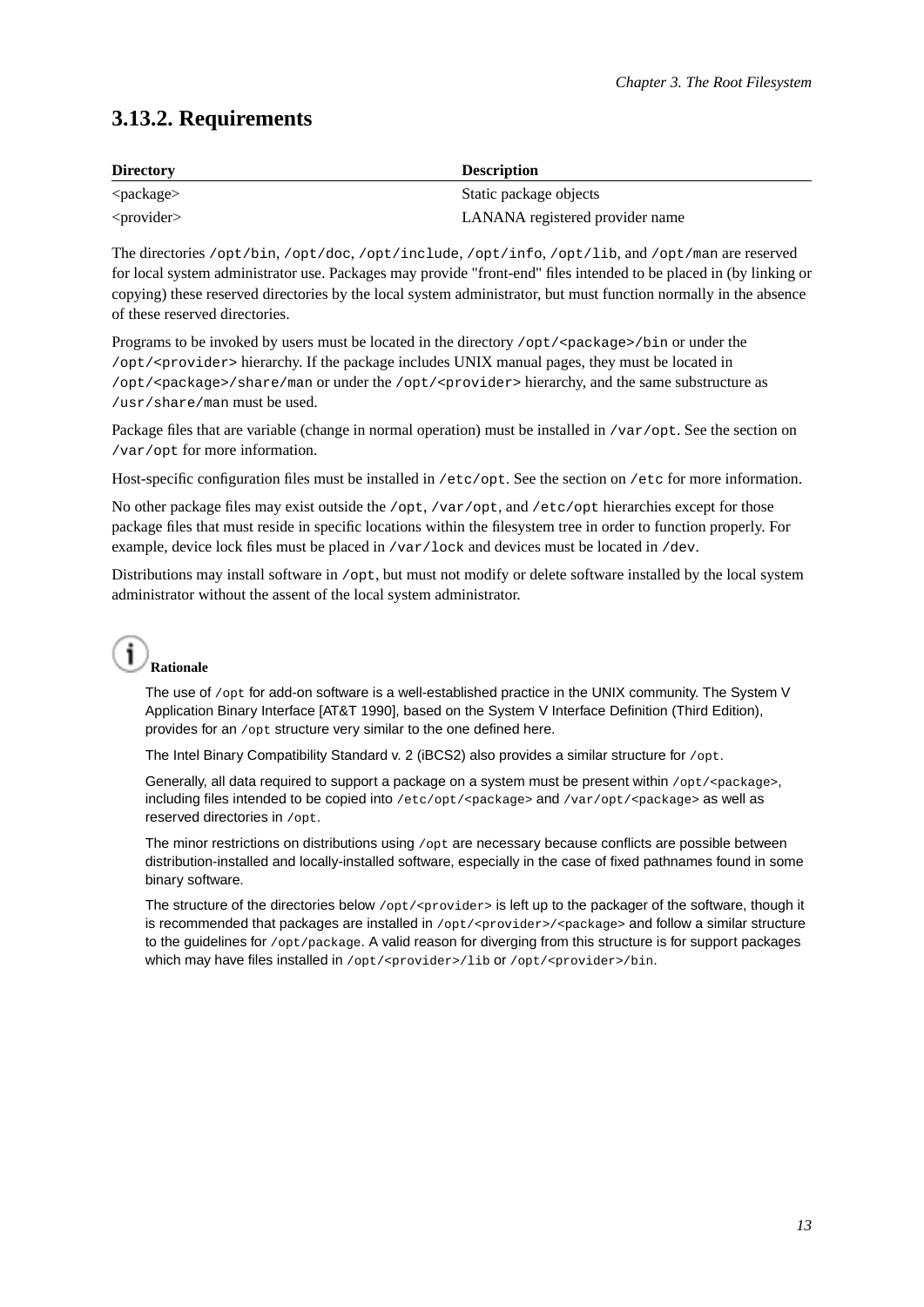## **3.13.2. Requirements**

| <b>Directory</b> | <b>Description</b>              |
|------------------|---------------------------------|
| $<$ package $>$  | Static package objects          |
| $<$ provider $>$ | LANANA registered provider name |

The directories /opt/bin, /opt/doc, /opt/include, /opt/info, /opt/lib, and /opt/man are reserved for local system administrator use. Packages may provide "front-end" files intended to be placed in (by linking or copying) these reserved directories by the local system administrator, but must function normally in the absence of these reserved directories.

Programs to be invoked by users must be located in the directory /opt/<package>/bin or under the /opt/<provider> hierarchy. If the package includes UNIX manual pages, they must be located in /opt/<package>/share/man or under the /opt/<provider> hierarchy, and the same substructure as /usr/share/man must be used.

Package files that are variable (change in normal operation) must be installed in /var/opt. See the section on /var/opt for more information.

Host-specific configuration files must be installed in /etc/opt. See the section on /etc for more information.

No other package files may exist outside the /opt, /var/opt, and /etc/opt hierarchies except for those package files that must reside in specific locations within the filesystem tree in order to function properly. For example, device lock files must be placed in /var/lock and devices must be located in /dev.

Distributions may install software in /opt, but must not modify or delete software installed by the local system administrator without the assent of the local system administrator.

# **Rationale**

The use of /opt for add-on software is a well-established practice in the UNIX community. The System V Application Binary Interface [AT&T 1990], based on the System V Interface Definition (Third Edition), provides for an /opt structure very similar to the one defined here.

The Intel Binary Compatibility Standard v. 2 (iBCS2) also provides a similar structure for /opt.

Generally, all data required to support a package on a system must be present within /opt/<package>, including files intended to be copied into /etc/opt/<package> and /var/opt/<package> as well as reserved directories in /opt.

The minor restrictions on distributions using  $/$  opt are necessary because conflicts are possible between distribution-installed and locally-installed software, especially in the case of fixed pathnames found in some binary software.

<span id="page-18-0"></span>The structure of the directories below  $\sqrt{\text{opt}}/\text{sp检er}$  is left up to the packager of the software, though it is recommended that packages are installed in /opt/<provider>/<package> and follow a similar structure to the guidelines for /opt/package. A valid reason for diverging from this structure is for support packages which may have files installed in /opt/<provider>/lib or /opt/<provider>/bin.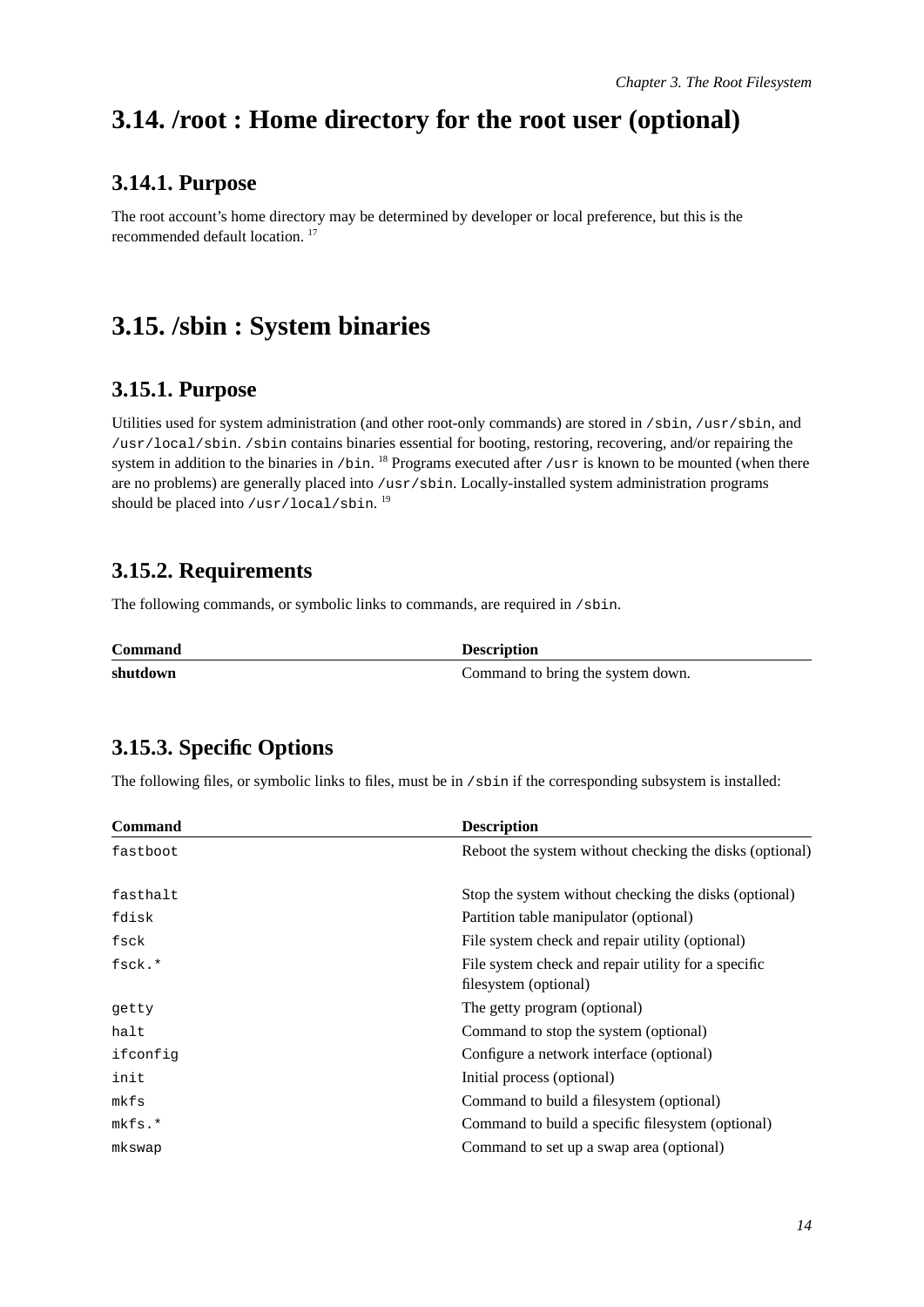# <span id="page-19-0"></span>**3.14. /root : Home directory for the root user (optional)**

## **3.14.1. Purpose**

The root account's home directory may be determined by developer or local preference, but this is the recommended default location.<sup>17</sup>

# <span id="page-19-2"></span><span id="page-19-1"></span>**3.15. /sbin : System binaries**

## **3.15.1. Purpose**

Utilities used for system administration (and other root-only commands) are stored in /sbin, /usr/sbin, and /usr/local/sbin. /sbin contains binaries essential for booting, restoring, recovering, and/or repairing the system in addition to the binaries in /bin.<sup>18</sup> Programs executed after /usr is known to be mounted (when there are no problems) are generally placed into /usr/sbin. Locally-installed system administration programs should be placed into /usr/local/sbin.  $^{19}$ 

## <span id="page-19-3"></span>**3.15.2. Requirements**

The following commands, or symbolic links to commands, are required in /sbin.

| <b>Command</b> | <b>Description</b>                |
|----------------|-----------------------------------|
| shutdown       | Command to bring the system down. |

## <span id="page-19-4"></span>**3.15.3. Specific Options**

The following files, or symbolic links to files, must be in /sbin if the corresponding subsystem is installed:

| <b>Command</b> | <b>Description</b>                                                           |
|----------------|------------------------------------------------------------------------------|
| fastboot       | Reboot the system without checking the disks (optional)                      |
| fasthalt       | Stop the system without checking the disks (optional)                        |
| fdisk          | Partition table manipulator (optional)                                       |
| fsck           | File system check and repair utility (optional)                              |
| fsck.*         | File system check and repair utility for a specific<br>filesystem (optional) |
| getty          | The getty program (optional)                                                 |
| halt           | Command to stop the system (optional)                                        |
| ifconfig       | Configure a network interface (optional)                                     |
| init           | Initial process (optional)                                                   |
| mkfs           | Command to build a filesystem (optional)                                     |
| $mkfs.*$       | Command to build a specific filesystem (optional)                            |
| mkswap         | Command to set up a swap area (optional)                                     |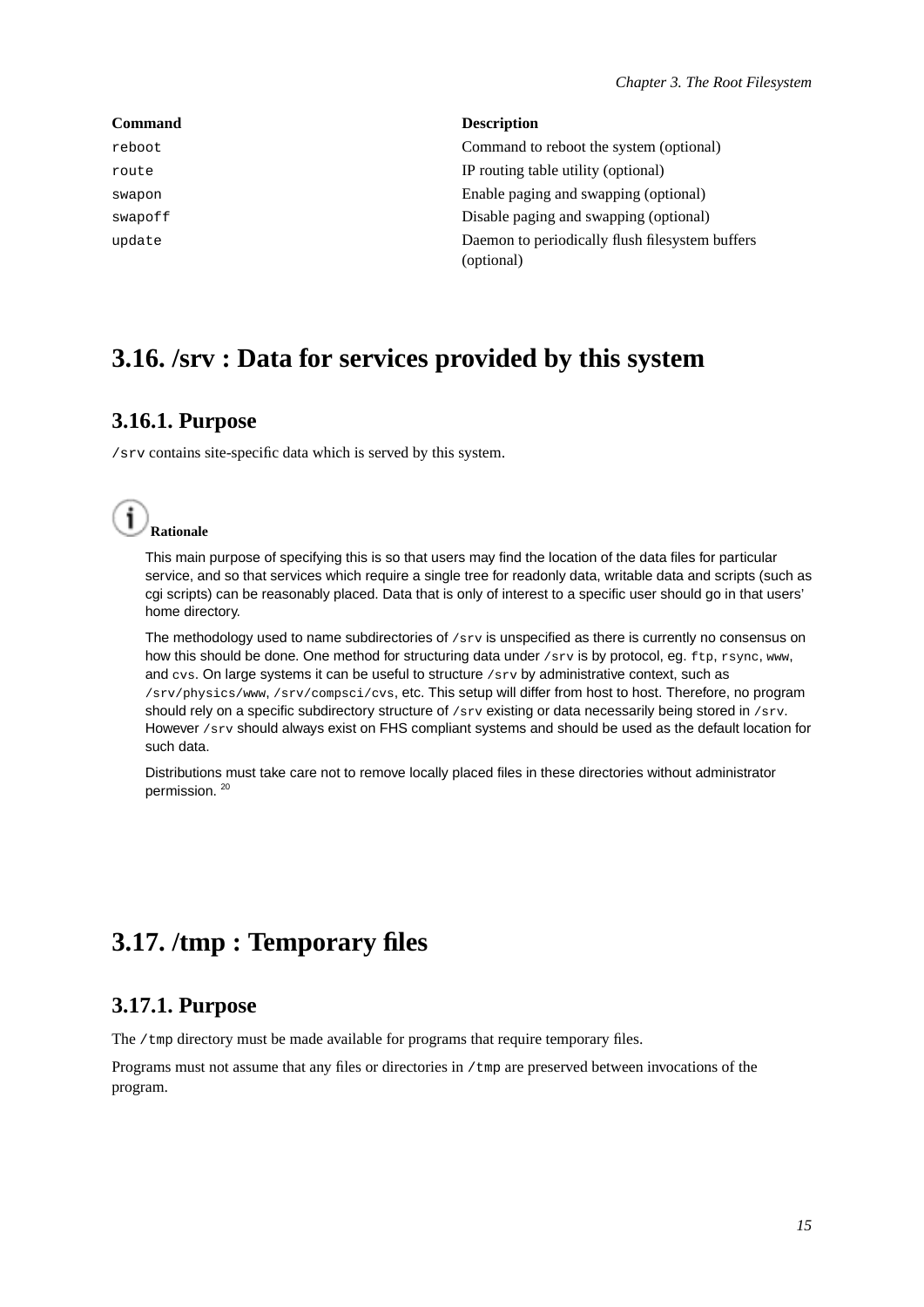| <b>Command</b> | <b>Description</b>                                            |
|----------------|---------------------------------------------------------------|
| reboot         | Command to reboot the system (optional)                       |
| route          | IP routing table utility (optional)                           |
| swapon         | Enable paging and swapping (optional)                         |
| swapoff        | Disable paging and swapping (optional)                        |
| update         | Daemon to periodically flush filesystem buffers<br>(optional) |

# <span id="page-20-1"></span><span id="page-20-0"></span>**3.16. /srv : Data for services provided by this system**

## **3.16.1. Purpose**

/srv contains site-specific data which is served by this system.



This main purpose of specifying this is so that users may find the location of the data files for particular service, and so that services which require a single tree for readonly data, writable data and scripts (such as cgi scripts) can be reasonably placed. Data that is only of interest to a specific user should go in that users' home directory.

The methodology used to name subdirectories of  $/$ s $_{z}$  is unspecified as there is currently no consensus on how this should be done. One method for structuring data under /srv is by protocol, eg. ftp, rsync, www, and  $\cos$ . On large systems it can be useful to structure  $\sin$  by administrative context, such as /srv/physics/www, /srv/compsci/cvs, etc. This setup will differ from host to host. Therefore, no program should rely on a specific subdirectory structure of  $/$ srv existing or data necessarily being stored in  $/$ srv. However /srv should always exist on FHS compliant systems and should be used as the default location for such data.

Distributions must take care not to remove locally placed files in these directories without administrator permission.<sup>20</sup>

# <span id="page-20-3"></span><span id="page-20-2"></span>**3.17. /tmp : Temporary files**

## **3.17.1. Purpose**

The /tmp directory must be made available for programs that require temporary files.

Programs must not assume that any files or directories in /tmp are preserved between invocations of the program.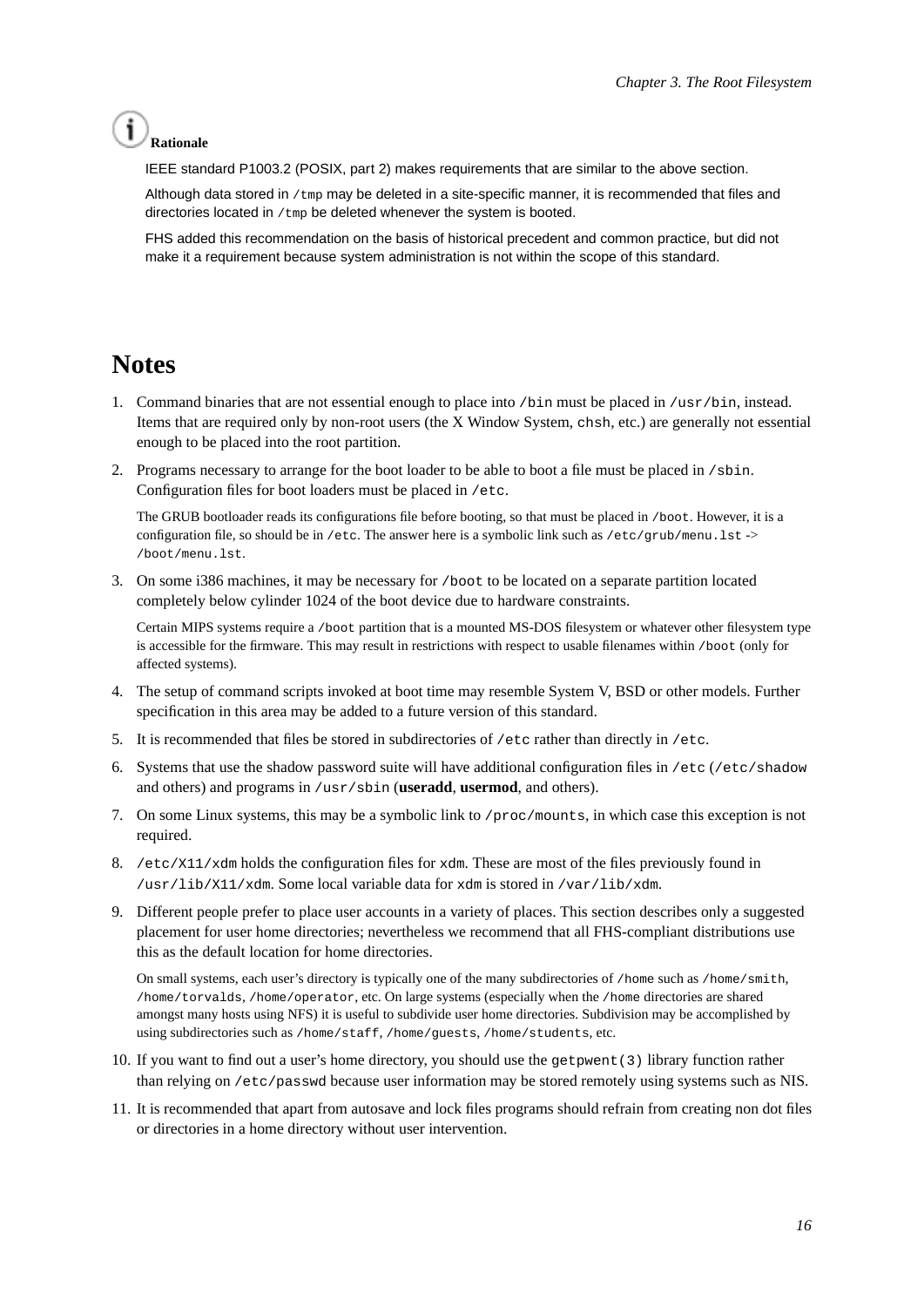## **Rationale**

IEEE standard P1003.2 (POSIX, part 2) makes requirements that are similar to the above section.

Although data stored in /tmp may be deleted in a site-specific manner, it is recommended that files and directories located in  $/\text{tmp}$  be deleted whenever the system is booted.

FHS added this recommendation on the basis of historical precedent and common practice, but did not make it a requirement because system administration is not within the scope of this standard.

## **Notes**

- 1. Command binaries that are not essential enough to place into /bin must be placed in /usr/bin, instead. Items that are required only by non-root users (the X Window System, chsh, etc.) are generally not essential enough to be placed into the root partition.
- 2. Programs necessary to arrange for the boot loader to be able to boot a file must be placed in /sbin. Configuration files for boot loaders must be placed in /etc.

The GRUB bootloader reads its configurations file before booting, so that must be placed in /boot. However, it is a configuration file, so should be in /etc. The answer here is a symbolic link such as /etc/grub/menu.lst -> /boot/menu.lst.

3. On some i386 machines, it may be necessary for /boot to be located on a separate partition located completely below cylinder 1024 of the boot device due to hardware constraints.

Certain MIPS systems require a /boot partition that is a mounted MS-DOS filesystem or whatever other filesystem type is accessible for the firmware. This may result in restrictions with respect to usable filenames within /boot (only for affected systems).

- 4. The setup of command scripts invoked at boot time may resemble System V, BSD or other models. Further specification in this area may be added to a future version of this standard.
- 5. It is recommended that files be stored in subdirectories of /etc rather than directly in /etc.
- 6. Systems that use the shadow password suite will have additional configuration files in /etc (/etc/shadow and others) and programs in /usr/sbin (**useradd**, **usermod**, and others).
- 7. On some Linux systems, this may be a symbolic link to /proc/mounts, in which case this exception is not required.
- 8. /etc/X11/xdm holds the configuration files for xdm. These are most of the files previously found in /usr/lib/X11/xdm. Some local variable data for xdm is stored in /var/lib/xdm.
- 9. Different people prefer to place user accounts in a variety of places. This section describes only a suggested placement for user home directories; nevertheless we recommend that all FHS-compliant distributions use this as the default location for home directories.

On small systems, each user's directory is typically one of the many subdirectories of /home such as /home/smith, /home/torvalds, /home/operator, etc. On large systems (especially when the /home directories are shared amongst many hosts using NFS) it is useful to subdivide user home directories. Subdivision may be accomplished by using subdirectories such as /home/staff, /home/guests, /home/students, etc.

- 10. If you want to find out a user's home directory, you should use the getpwent(3) library function rather than relying on /etc/passwd because user information may be stored remotely using systems such as NIS.
- 11. It is recommended that apart from autosave and lock files programs should refrain from creating non dot files or directories in a home directory without user intervention.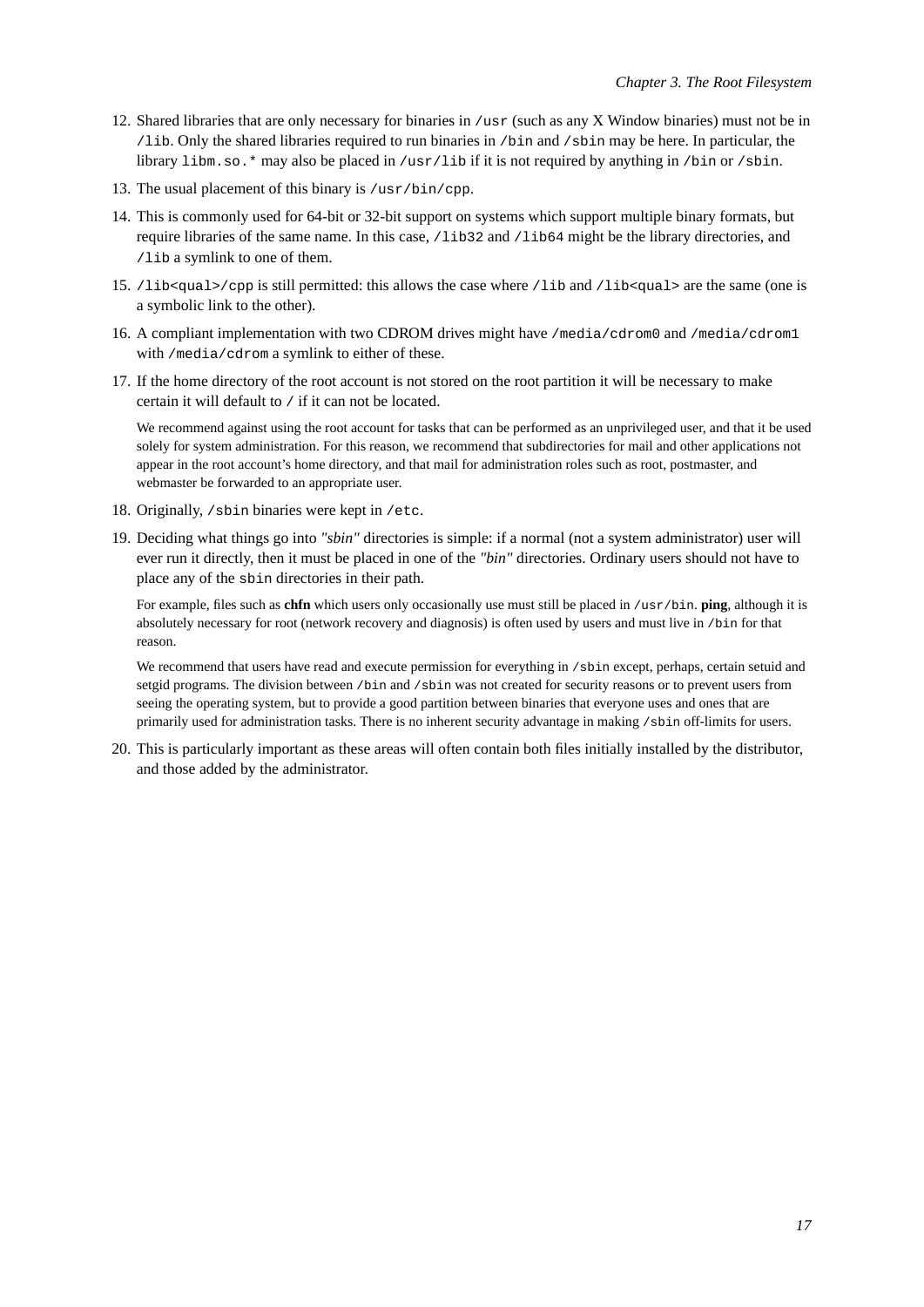- 12. Shared libraries that are only necessary for binaries in /usr (such as any X Window binaries) must not be in /lib. Only the shared libraries required to run binaries in /bin and /sbin may be here. In particular, the library libm.so.\* may also be placed in /usr/lib if it is not required by anything in /bin or /sbin.
- 13. The usual placement of this binary is  $/\text{usr/bin}/\text{cpp}$ .
- 14. This is commonly used for 64-bit or 32-bit support on systems which support multiple binary formats, but require libraries of the same name. In this case,  $/1$ ib32 and  $/1$ ib64 might be the library directories, and /lib a symlink to one of them.
- 15. /lib<qual>/cpp is still permitted: this allows the case where /lib and /lib<qual> are the same (one is a symbolic link to the other).
- 16. A compliant implementation with two CDROM drives might have /media/cdrom0 and /media/cdrom1 with /media/cdrom a symlink to either of these.
- 17. If the home directory of the root account is not stored on the root partition it will be necessary to make certain it will default to / if it can not be located.

We recommend against using the root account for tasks that can be performed as an unprivileged user, and that it be used solely for system administration. For this reason, we recommend that subdirectories for mail and other applications not appear in the root account's home directory, and that mail for administration roles such as root, postmaster, and webmaster be forwarded to an appropriate user.

- 18. Originally, /sbin binaries were kept in /etc.
- 19. Deciding what things go into *"sbin"* directories is simple: if a normal (not a system administrator) user will ever run it directly, then it must be placed in one of the *"bin"* directories. Ordinary users should not have to place any of the sbin directories in their path.

For example, files such as **chfn** which users only occasionally use must still be placed in /usr/bin. **ping**, although it is absolutely necessary for root (network recovery and diagnosis) is often used by users and must live in /bin for that reason.

We recommend that users have read and execute permission for everything in /sbin except, perhaps, certain setuid and setgid programs. The division between /bin and /sbin was not created for security reasons or to prevent users from seeing the operating system, but to provide a good partition between binaries that everyone uses and ones that are primarily used for administration tasks. There is no inherent security advantage in making /sbin off-limits for users.

20. This is particularly important as these areas will often contain both files initially installed by the distributor, and those added by the administrator.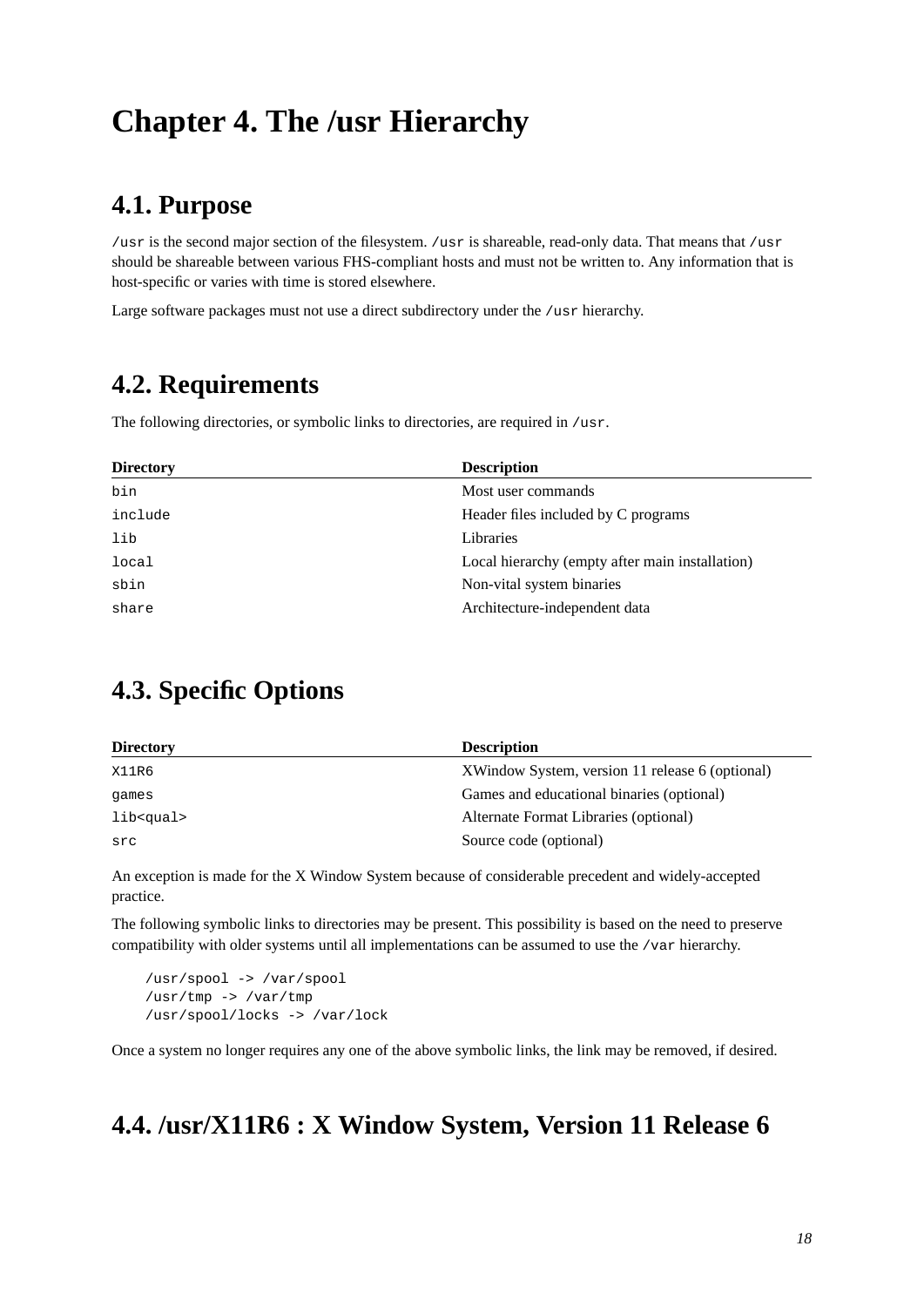# <span id="page-23-1"></span><span id="page-23-0"></span>**Chapter 4. The /usr Hierarchy**

# **4.1. Purpose**

/usr is the second major section of the filesystem. /usr is shareable, read-only data. That means that /usr should be shareable between various FHS-compliant hosts and must not be written to. Any information that is host-specific or varies with time is stored elsewhere.

<span id="page-23-2"></span>Large software packages must not use a direct subdirectory under the /usr hierarchy.

# **4.2. Requirements**

The following directories, or symbolic links to directories, are required in /usr.

| <b>Directory</b> | <b>Description</b>                              |
|------------------|-------------------------------------------------|
| bin              | Most user commands                              |
| include          | Header files included by C programs             |
| lib              | Libraries                                       |
| local            | Local hierarchy (empty after main installation) |
| sbin             | Non-vital system binaries                       |
| share            | Architecture-independent data                   |

# <span id="page-23-3"></span>**4.3. Specific Options**

| <b>Directory</b>  | <b>Description</b>                              |
|-------------------|-------------------------------------------------|
| X11R6             | XWindow System, version 11 release 6 (optional) |
| games             | Games and educational binaries (optional)       |
| lib <gual></gual> | Alternate Format Libraries (optional)           |
| src               | Source code (optional)                          |

An exception is made for the X Window System because of considerable precedent and widely-accepted practice.

The following symbolic links to directories may be present. This possibility is based on the need to preserve compatibility with older systems until all implementations can be assumed to use the /var hierarchy.

/usr/spool -> /var/spool /usr/tmp -> /var/tmp /usr/spool/locks -> /var/lock

<span id="page-23-4"></span>Once a system no longer requires any one of the above symbolic links, the link may be removed, if desired.

# **4.4. /usr/X11R6 : X Window System, Version 11 Release 6**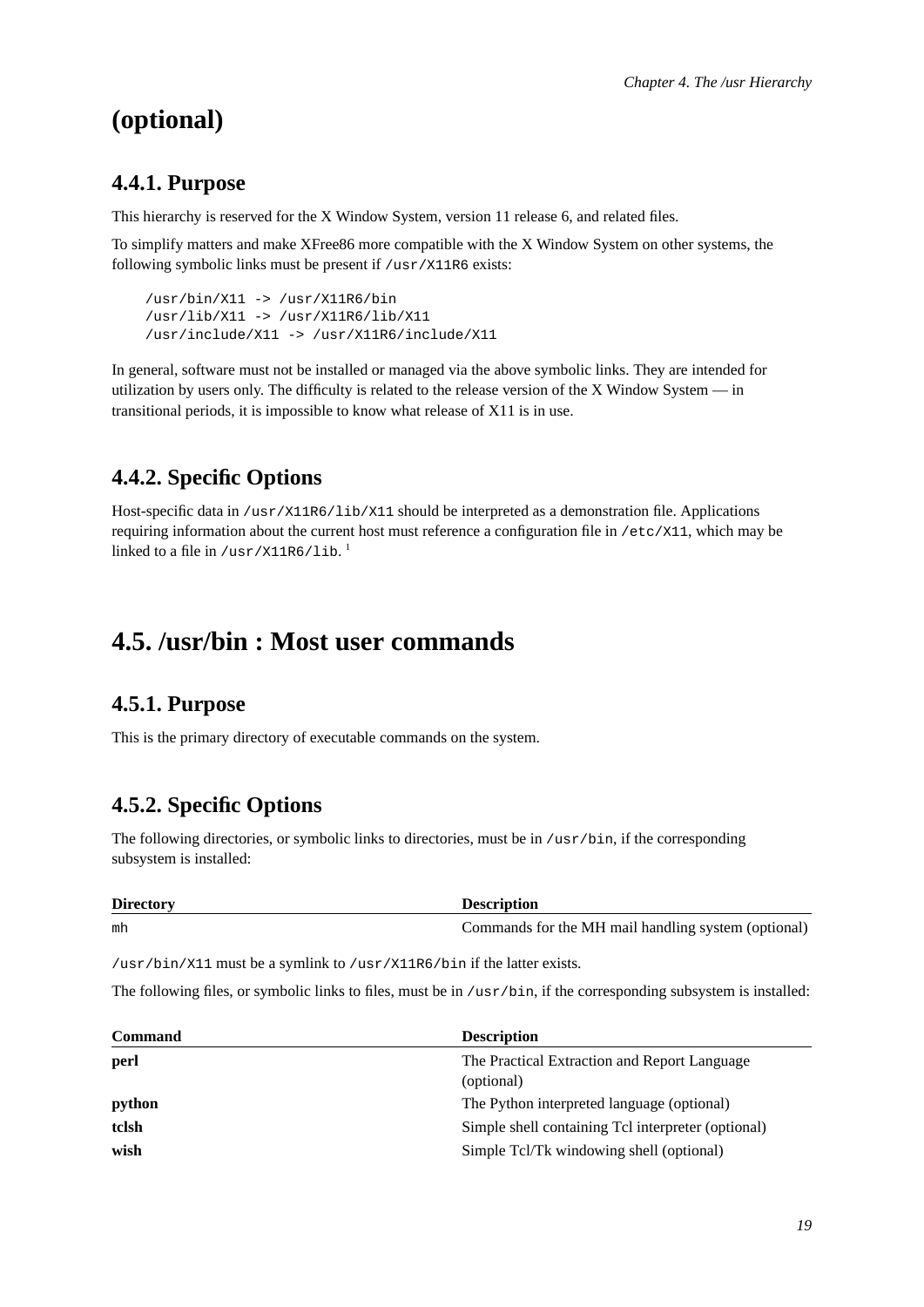# <span id="page-24-0"></span>**(optional)**

## **4.4.1. Purpose**

This hierarchy is reserved for the X Window System, version 11 release 6, and related files.

To simplify matters and make XFree86 more compatible with the X Window System on other systems, the following symbolic links must be present if /usr/X11R6 exists:

/usr/bin/X11 -> /usr/X11R6/bin /usr/lib/X11 -> /usr/X11R6/lib/X11 /usr/include/X11 -> /usr/X11R6/include/X11

In general, software must not be installed or managed via the above symbolic links. They are intended for utilization by users only. The difficulty is related to the release version of the X Window System — in transitional periods, it is impossible to know what release of X11 is in use.

## <span id="page-24-1"></span>**4.4.2. Specific Options**

Host-specific data in /usr/X11R6/lib/X11 should be interpreted as a demonstration file. Applications requiring information about the current host must reference a configuration file in /etc/X11, which may be linked to a file in /usr/X11R6/1ib.  $^{\mathrm{l}}$ 

## <span id="page-24-3"></span><span id="page-24-2"></span>**4.5. /usr/bin : Most user commands**

## **4.5.1. Purpose**

<span id="page-24-4"></span>This is the primary directory of executable commands on the system.

## **4.5.2. Specific Options**

The following directories, or symbolic links to directories, must be in /usr/bin, if the corresponding subsystem is installed:

| <b>Directory</b> | <b>Description</b>                                  |
|------------------|-----------------------------------------------------|
| mh               | Commands for the MH mail handling system (optional) |

/usr/bin/X11 must be a symlink to /usr/X11R6/bin if the latter exists.

The following files, or symbolic links to files, must be in /usr/bin, if the corresponding subsystem is installed:

| <b>Command</b> | <b>Description</b>                                 |
|----------------|----------------------------------------------------|
| perl           | The Practical Extraction and Report Language       |
|                | (optional)                                         |
| python         | The Python interpreted language (optional)         |
| tclsh          | Simple shell containing Tcl interpreter (optional) |
| wish           | Simple Tcl/Tk windowing shell (optional)           |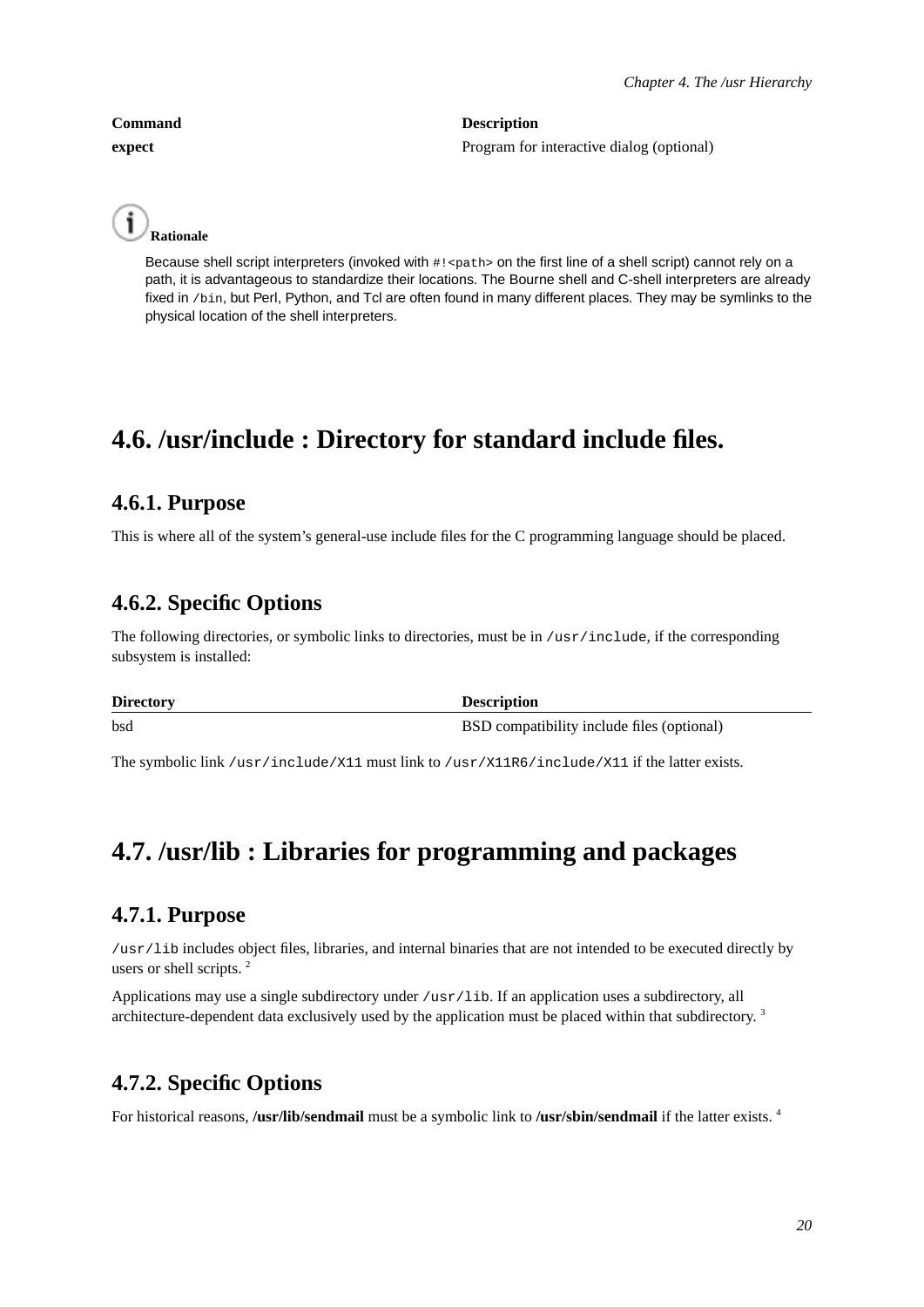**Command Description expect** Program for interactive dialog (optional)



Because shell script interpreters (invoked with #! <path> on the first line of a shell script) cannot rely on a path, it is advantageous to standardize their locations. The Bourne shell and C-shell interpreters are already fixed in /bin, but Perl, Python, and Tcl are often found in many different places. They may be symlinks to the physical location of the shell interpreters.

# <span id="page-25-1"></span><span id="page-25-0"></span>**4.6. /usr/include : Directory for standard include files.**

## **4.6.1. Purpose**

<span id="page-25-2"></span>This is where all of the system's general-use include files for the C programming language should be placed.

## **4.6.2. Specific Options**

The following directories, or symbolic links to directories, must be in /usr/include, if the corresponding subsystem is installed:

| <b>Directory</b> | <b>Description</b>                         |
|------------------|--------------------------------------------|
| bsd              | BSD compatibility include files (optional) |

<span id="page-25-3"></span>The symbolic link /usr/include/X11 must link to /usr/X11R6/include/X11 if the latter exists.

# <span id="page-25-4"></span>**4.7. /usr/lib : Libraries for programming and packages**

## **4.7.1. Purpose**

/usr/lib includes object files, libraries, and internal binaries that are not intended to be executed directly by users or shell scripts.<sup>2</sup>

Applications may use a single subdirectory under /usr/lib. If an application uses a subdirectory, all architecture-dependent data exclusively used by the application must be placed within that subdirectory.<sup>3</sup>

## <span id="page-25-5"></span>**4.7.2. Specific Options**

For historical reasons, **/usr/lib/sendmail** must be a symbolic link to **/usr/sbin/sendmail** if the latter exists. <sup>4</sup>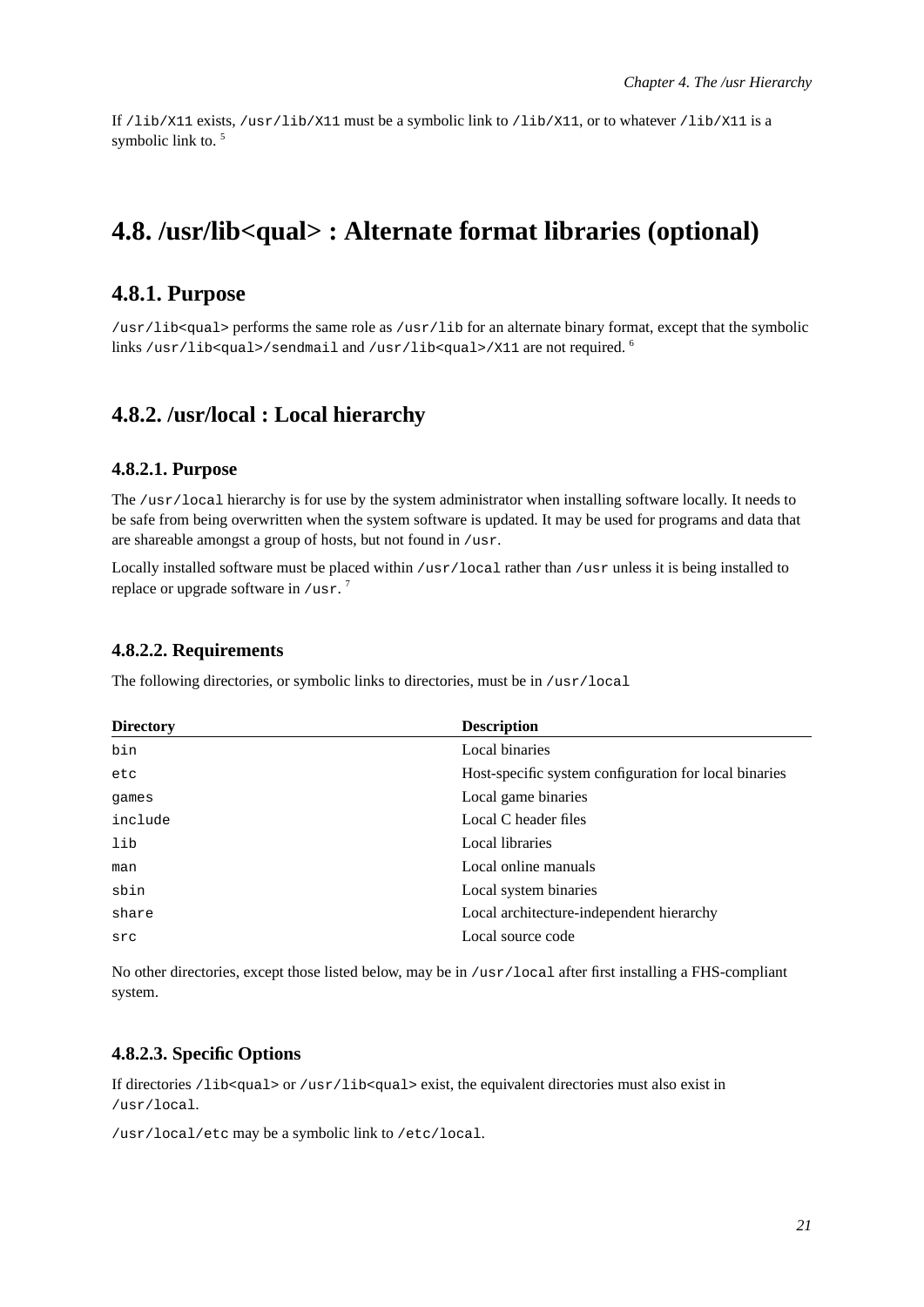If /lib/X11 exists, /usr/lib/X11 must be a symbolic link to /lib/X11, or to whatever /lib/X11 is a symbolic link to.<sup>5</sup>

# <span id="page-26-1"></span><span id="page-26-0"></span>**4.8. /usr/lib<qual> : Alternate format libraries (optional)**

## **4.8.1. Purpose**

/usr/lib<qual> performs the same role as /usr/lib for an alternate binary format, except that the symbolic links /usr/lib<gual>/sendmail and /usr/lib<gual>/X11 are not required.  $6$ 

## <span id="page-26-3"></span><span id="page-26-2"></span>**4.8.2. /usr/local : Local hierarchy**

#### **4.8.2.1. Purpose**

The /usr/local hierarchy is for use by the system administrator when installing software locally. It needs to be safe from being overwritten when the system software is updated. It may be used for programs and data that are shareable amongst a group of hosts, but not found in /usr.

Locally installed software must be placed within /usr/local rather than /usr unless it is being installed to replace or upgrade software in  $/$ usr.<sup>7</sup>

#### <span id="page-26-4"></span>**4.8.2.2. Requirements**

The following directories, or symbolic links to directories, must be in /usr/local

| <b>Directory</b> | <b>Description</b>                                    |
|------------------|-------------------------------------------------------|
| bin              | Local binaries                                        |
| etc              | Host-specific system configuration for local binaries |
| games            | Local game binaries                                   |
| include          | Local C header files                                  |
| lib              | Local libraries                                       |
| man              | Local online manuals                                  |
| sbin             | Local system binaries                                 |
| share            | Local architecture-independent hierarchy              |
| src              | Local source code                                     |

No other directories, except those listed below, may be in /usr/local after first installing a FHS-compliant system.

#### <span id="page-26-5"></span>**4.8.2.3. Specific Options**

If directories /lib<qual> or /usr/lib<qual> exist, the equivalent directories must also exist in /usr/local.

/usr/local/etc may be a symbolic link to /etc/local.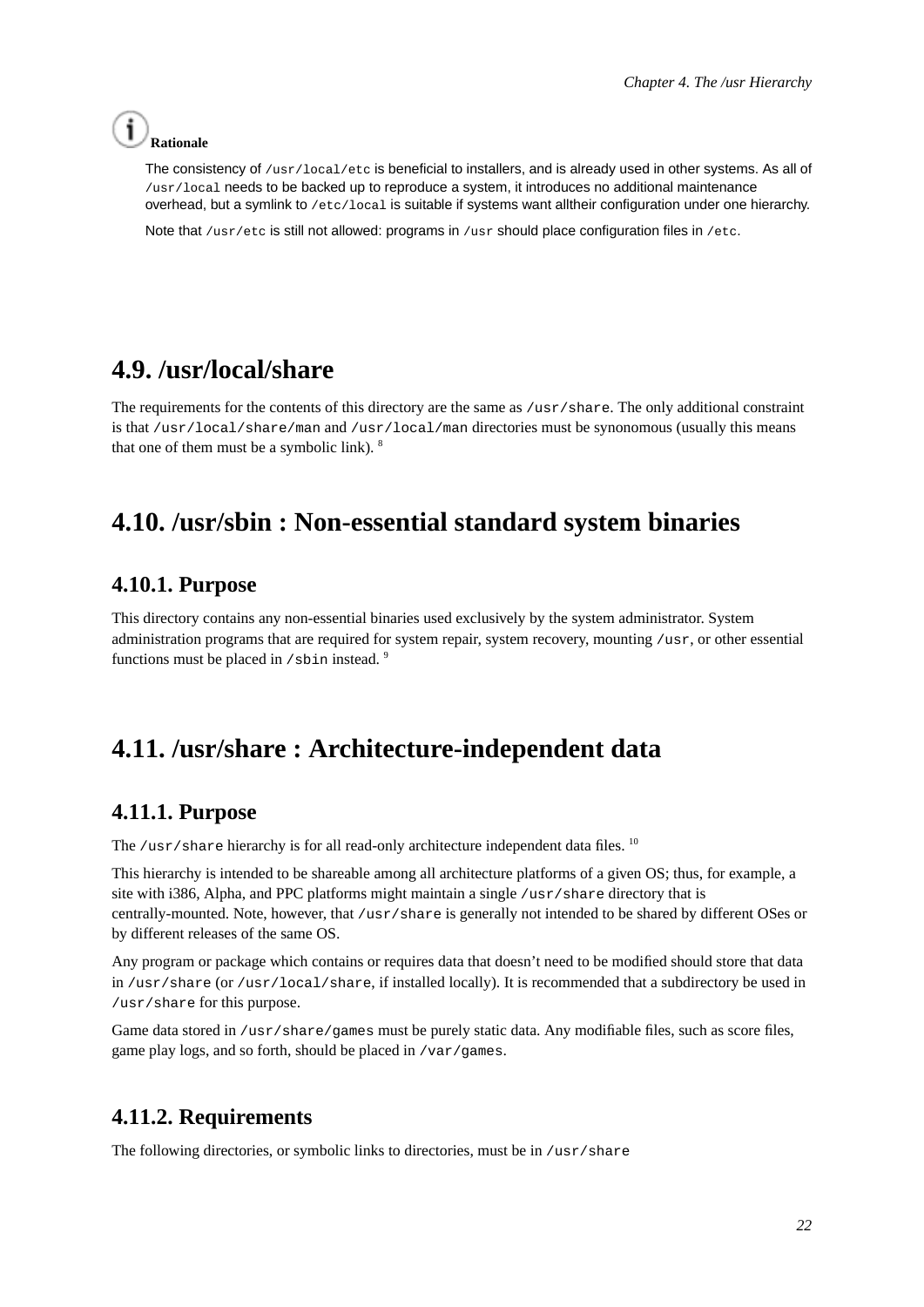# **Rationale**

The consistency of /usr/local/etc is beneficial to installers, and is already used in other systems. As all of /usr/local needs to be backed up to reproduce a system, it introduces no additional maintenance overhead, but a symlink to /etc/local is suitable if systems want alltheir configuration under one hierarchy.

Note that /usr/etc is still not allowed: programs in /usr should place configuration files in /etc.

# <span id="page-27-0"></span>**4.9. /usr/local/share**

The requirements for the contents of this directory are the same as /usr/share. The only additional constraint is that /usr/local/share/man and /usr/local/man directories must be synonomous (usually this means that one of them must be a symbolic link).  $8$ 

# <span id="page-27-2"></span><span id="page-27-1"></span>**4.10. /usr/sbin : Non-essential standard system binaries**

## **4.10.1. Purpose**

This directory contains any non-essential binaries used exclusively by the system administrator. System administration programs that are required for system repair, system recovery, mounting /usr, or other essential functions must be placed in  $/$ sbin instead.  $9$ 

# <span id="page-27-4"></span><span id="page-27-3"></span>**4.11. /usr/share : Architecture-independent data**

## **4.11.1. Purpose**

The /usr/share hierarchy is for all read-only architecture independent data files.  $^{10}$ 

This hierarchy is intended to be shareable among all architecture platforms of a given OS; thus, for example, a site with i386, Alpha, and PPC platforms might maintain a single /usr/share directory that is centrally-mounted. Note, however, that /usr/share is generally not intended to be shared by different OSes or by different releases of the same OS.

Any program or package which contains or requires data that doesn't need to be modified should store that data in /usr/share (or /usr/local/share, if installed locally). It is recommended that a subdirectory be used in /usr/share for this purpose.

Game data stored in /usr/share/games must be purely static data. Any modifiable files, such as score files, game play logs, and so forth, should be placed in /var/games.

## <span id="page-27-5"></span>**4.11.2. Requirements**

The following directories, or symbolic links to directories, must be in /usr/share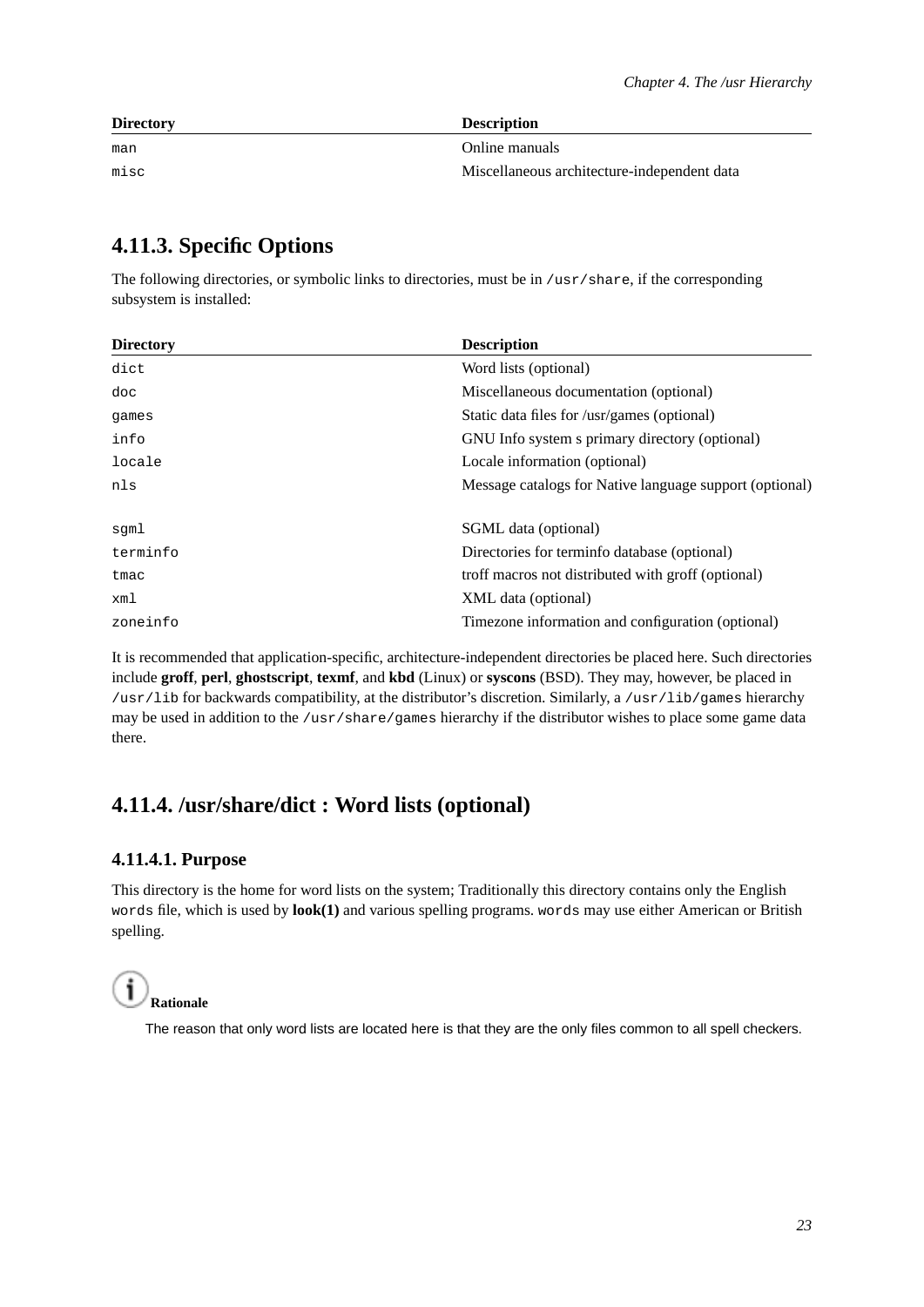| <b>Directory</b> | <b>Description</b>                          |
|------------------|---------------------------------------------|
| man              | Online manuals                              |
| misc             | Miscellaneous architecture-independent data |

## <span id="page-28-0"></span>**4.11.3. Specific Options**

The following directories, or symbolic links to directories, must be in  $/\text{usr}/\text{share}$ , if the corresponding subsystem is installed:

| <b>Directory</b> | <b>Description</b>                                      |
|------------------|---------------------------------------------------------|
| dict             | Word lists (optional)                                   |
| doc              | Miscellaneous documentation (optional)                  |
| games            | Static data files for /usr/games (optional)             |
| info             | GNU Info system s primary directory (optional)          |
| locale           | Locale information (optional)                           |
| nls              | Message catalogs for Native language support (optional) |
| sqml             | SGML data (optional)                                    |
| terminfo         | Directories for terminfo database (optional)            |
| tmac             | troff macros not distributed with groff (optional)      |
| xml              | XML data (optional)                                     |
| zoneinfo         | Timezone information and configuration (optional)       |

It is recommended that application-specific, architecture-independent directories be placed here. Such directories include **groff**, **perl**, **ghostscript**, **texmf**, and **kbd** (Linux) or **syscons** (BSD). They may, however, be placed in /usr/lib for backwards compatibility, at the distributor's discretion. Similarly, a /usr/lib/games hierarchy may be used in addition to the /usr/share/games hierarchy if the distributor wishes to place some game data there.

## <span id="page-28-2"></span><span id="page-28-1"></span>**4.11.4. /usr/share/dict : Word lists (optional)**

## **4.11.4.1. Purpose**

This directory is the home for word lists on the system; Traditionally this directory contains only the English words file, which is used by **look(1)** and various spelling programs. words may use either American or British spelling.

#### i **Rationale**

<span id="page-28-3"></span>The reason that only word lists are located here is that they are the only files common to all spell checkers.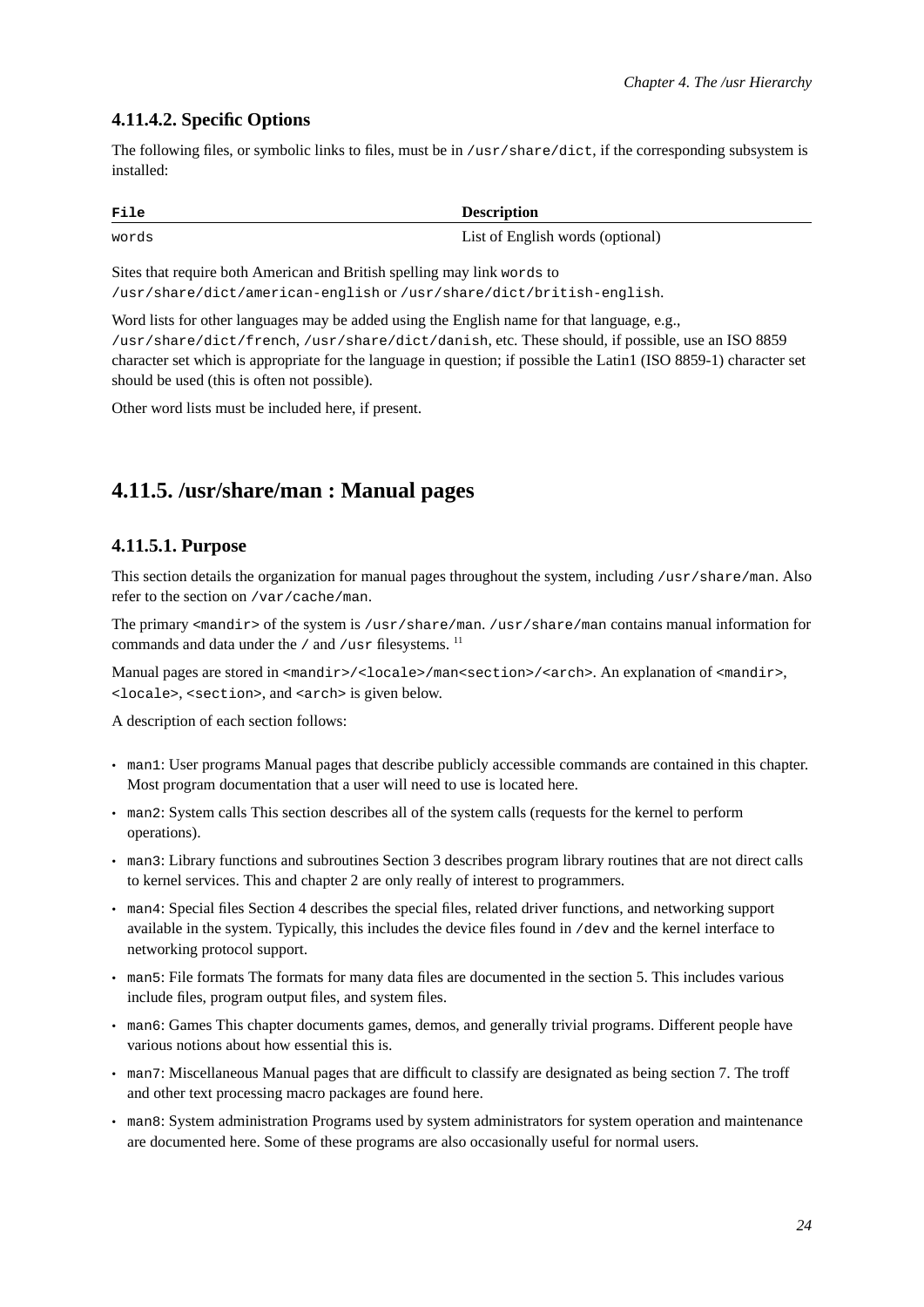#### **4.11.4.2. Specific Options**

The following files, or symbolic links to files, must be in /usr/share/dict, if the corresponding subsystem is installed:

| File  | <b>Description</b>               |
|-------|----------------------------------|
| words | List of English words (optional) |

Sites that require both American and British spelling may link words to

/usr/share/dict/american-english or /usr/share/dict/british-english.

Word lists for other languages may be added using the English name for that language, e.g., /usr/share/dict/french, /usr/share/dict/danish, etc. These should, if possible, use an ISO 8859 character set which is appropriate for the language in question; if possible the Latin1 (ISO 8859-1) character set should be used (this is often not possible).

<span id="page-29-0"></span>Other word lists must be included here, if present.

## <span id="page-29-1"></span>**4.11.5. /usr/share/man : Manual pages**

#### **4.11.5.1. Purpose**

This section details the organization for manual pages throughout the system, including /usr/share/man. Also refer to the section on /var/cache/man.

The primary <mandir> of the system is /usr/share/man. /usr/share/man contains manual information for commands and data under the  $/$  and  $/$ usr filesystems.<sup>11</sup>

Manual pages are stored in <mandir>/<locale>/man<section>/<arch>. An explanation of <mandir>, <locale>, <section>, and <arch> is given below.

A description of each section follows:

- man1: User programs Manual pages that describe publicly accessible commands are contained in this chapter. Most program documentation that a user will need to use is located here.
- man2: System calls This section describes all of the system calls (requests for the kernel to perform operations).
- man3: Library functions and subroutines Section 3 describes program library routines that are not direct calls to kernel services. This and chapter 2 are only really of interest to programmers.
- man4: Special files Section 4 describes the special files, related driver functions, and networking support available in the system. Typically, this includes the device files found in /dev and the kernel interface to networking protocol support.
- man5: File formats The formats for many data files are documented in the section 5. This includes various include files, program output files, and system files.
- man6: Games This chapter documents games, demos, and generally trivial programs. Different people have various notions about how essential this is.
- man7: Miscellaneous Manual pages that are difficult to classify are designated as being section 7. The troff and other text processing macro packages are found here.
- man8: System administration Programs used by system administrators for system operation and maintenance are documented here. Some of these programs are also occasionally useful for normal users.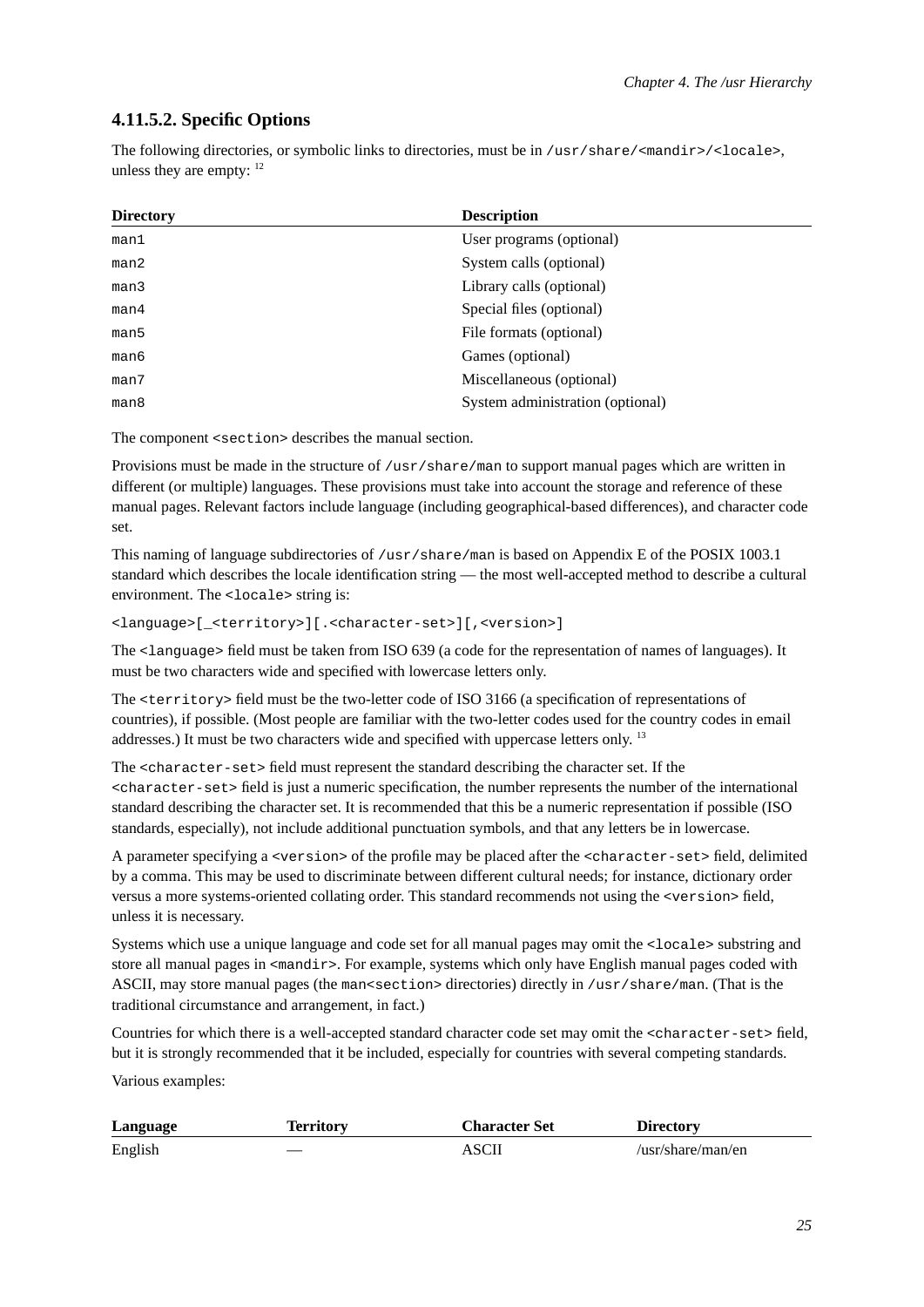### <span id="page-30-0"></span>**4.11.5.2. Specific Options**

The following directories, or symbolic links to directories, must be in /usr/share/<mandir>/<locale>, unless they are empty:  $12$ 

| <b>Directory</b> | <b>Description</b>               |
|------------------|----------------------------------|
| man1             | User programs (optional)         |
| man2             | System calls (optional)          |
| man3             | Library calls (optional)         |
| man4             | Special files (optional)         |
| man5             | File formats (optional)          |
| man6             | Games (optional)                 |
| man7             | Miscellaneous (optional)         |
| man8             | System administration (optional) |

The component <section> describes the manual section.

Provisions must be made in the structure of /usr/share/man to support manual pages which are written in different (or multiple) languages. These provisions must take into account the storage and reference of these manual pages. Relevant factors include language (including geographical-based differences), and character code set.

This naming of language subdirectories of /usr/share/man is based on Appendix E of the POSIX 1003.1 standard which describes the locale identification string — the most well-accepted method to describe a cultural environment. The <locale> string is:

<language>[\_<territory>][.<character-set>][,<version>]

The <language> field must be taken from ISO 639 (a code for the representation of names of languages). It must be two characters wide and specified with lowercase letters only.

The <territory> field must be the two-letter code of ISO 3166 (a specification of representations of countries), if possible. (Most people are familiar with the two-letter codes used for the country codes in email addresses.) It must be two characters wide and specified with uppercase letters only. <sup>13</sup>

The <character-set> field must represent the standard describing the character set. If the <character-set> field is just a numeric specification, the number represents the number of the international standard describing the character set. It is recommended that this be a numeric representation if possible (ISO standards, especially), not include additional punctuation symbols, and that any letters be in lowercase.

A parameter specifying a <version> of the profile may be placed after the <character-set> field, delimited by a comma. This may be used to discriminate between different cultural needs; for instance, dictionary order versus a more systems-oriented collating order. This standard recommends not using the <version> field, unless it is necessary.

Systems which use a unique language and code set for all manual pages may omit the <locale> substring and store all manual pages in  $\epsilon$ mandir>. For example, systems which only have English manual pages coded with ASCII, may store manual pages (the man<section> directories) directly in /usr/share/man. (That is the traditional circumstance and arrangement, in fact.)

Countries for which there is a well-accepted standard character code set may omit the <character-set> field, but it is strongly recommended that it be included, especially for countries with several competing standards.

Various examples:

| Language | <b>Territory</b> | <b>Character Set</b> | <b>Directory</b>  |
|----------|------------------|----------------------|-------------------|
| English  |                  | ASCII                | /usr/share/man/en |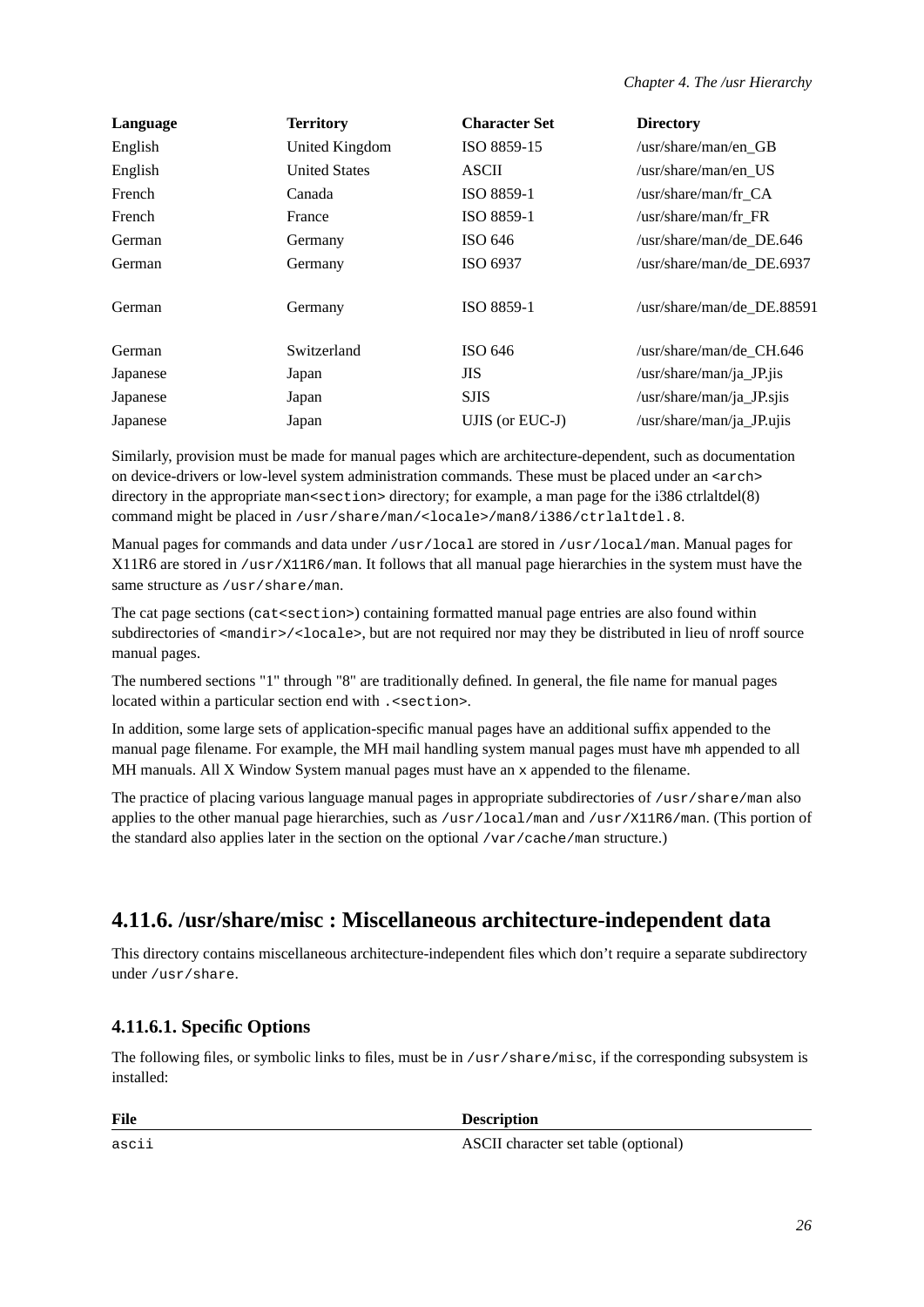| Language | <b>Territory</b>     | <b>Character Set</b> | <b>Directory</b>              |
|----------|----------------------|----------------------|-------------------------------|
| English  | United Kingdom       | ISO 8859-15          | $\sqrt{usr/s}$ hare/man/en GB |
| English  | <b>United States</b> | <b>ASCII</b>         | /usr/share/man/en_US          |
| French   | Canada               | ISO 8859-1           | /usr/share/man/fr_CA          |
| French   | France               | ISO 8859-1           | /usr/share/man/fr_FR          |
| German   | Germany              | ISO 646              | /usr/share/man/de DE.646      |
| German   | Germany              | ISO 6937             | /usr/share/man/de DE.6937     |
| German   | Germany              | ISO 8859-1           | /usr/share/man/de DE.88591    |
| German   | Switzerland          | ISO 646              | /usr/share/man/de_CH.646      |
| Japanese | Japan                | <b>JIS</b>           | $\sqrt{usr/share/man/ja_P}$   |
| Japanese | Japan                | <b>SJIS</b>          | $\sqrt{usr/share/man/ja_JP}.$ |
| Japanese | Japan                | UJIS (or EUC-J)      | /usr/share/man/ja_JP.ujis     |

Similarly, provision must be made for manual pages which are architecture-dependent, such as documentation on device-drivers or low-level system administration commands. These must be placed under an <arch> directory in the appropriate man<section> directory; for example, a man page for the i386 ctrlaltdel(8) command might be placed in /usr/share/man/<locale>/man8/i386/ctrlaltdel.8.

Manual pages for commands and data under /usr/local are stored in /usr/local/man. Manual pages for X11R6 are stored in /usr/X11R6/man. It follows that all manual page hierarchies in the system must have the same structure as /usr/share/man.

The cat page sections (cat<section>) containing formatted manual page entries are also found within subdirectories of <mandir>/<locale>, but are not required nor may they be distributed in lieu of nroff source manual pages.

The numbered sections "1" through "8" are traditionally defined. In general, the file name for manual pages located within a particular section end with . < section >.

In addition, some large sets of application-specific manual pages have an additional suffix appended to the manual page filename. For example, the MH mail handling system manual pages must have mh appended to all MH manuals. All X Window System manual pages must have an x appended to the filename.

The practice of placing various language manual pages in appropriate subdirectories of /usr/share/man also applies to the other manual page hierarchies, such as /usr/local/man and /usr/X11R6/man. (This portion of the standard also applies later in the section on the optional /var/cache/man structure.)

## <span id="page-31-0"></span>**4.11.6. /usr/share/misc : Miscellaneous architecture-independent data**

<span id="page-31-1"></span>This directory contains miscellaneous architecture-independent files which don't require a separate subdirectory under /usr/share.

## **4.11.6.1. Specific Options**

The following files, or symbolic links to files, must be in /usr/share/misc, if the corresponding subsystem is installed:

File Description

ascii ASCII character set table (optional)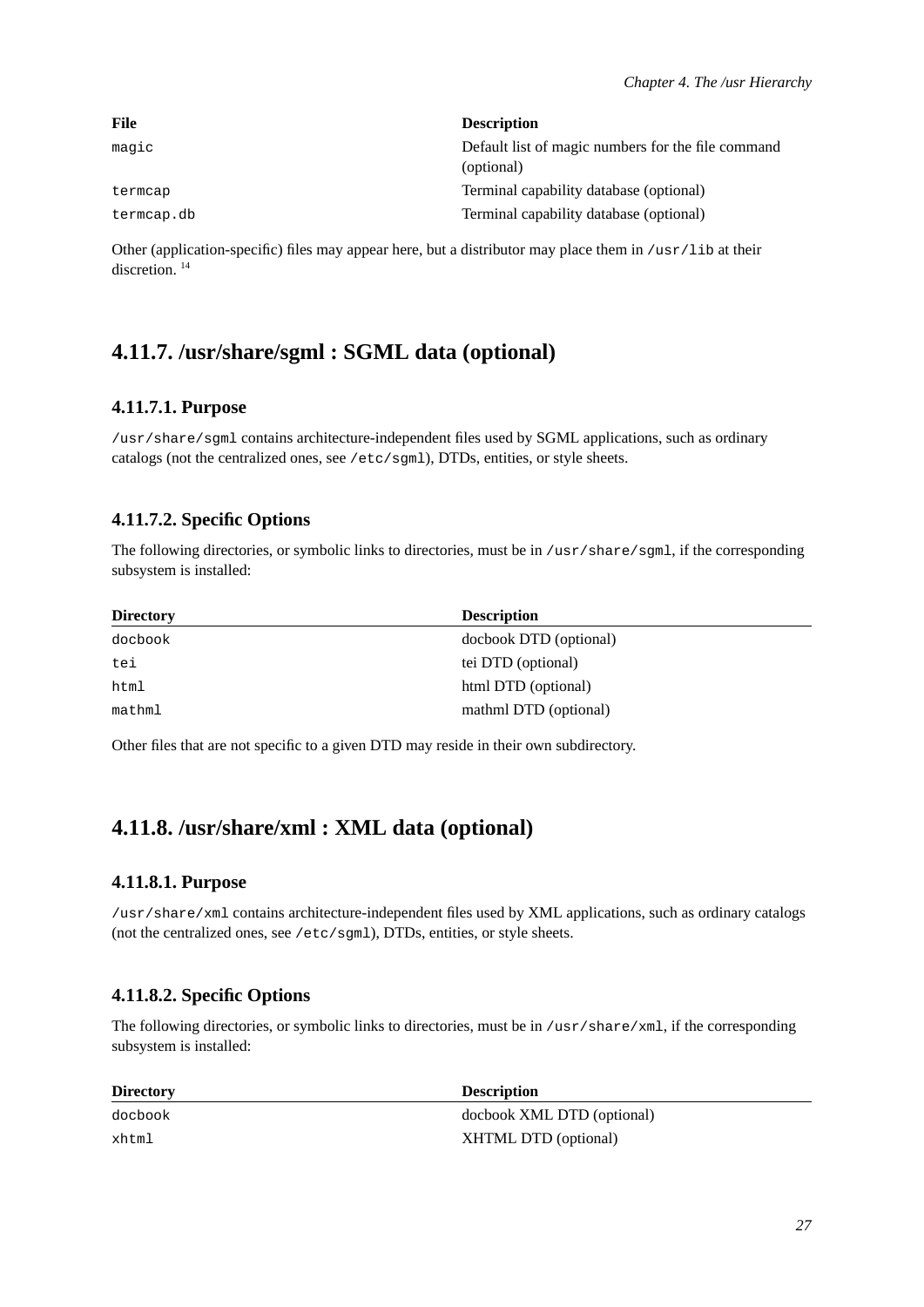| File       | <b>Description</b>                                 |
|------------|----------------------------------------------------|
| magic      | Default list of magic numbers for the file command |
|            | (optional)                                         |
| termcap    | Terminal capability database (optional)            |
| termcap.db | Terminal capability database (optional)            |

Other (application-specific) files may appear here, but a distributor may place them in /usr/lib at their discretion<sup>14</sup>

## <span id="page-32-1"></span><span id="page-32-0"></span>**4.11.7. /usr/share/sgml : SGML data (optional)**

#### **4.11.7.1. Purpose**

/usr/share/sgml contains architecture-independent files used by SGML applications, such as ordinary catalogs (not the centralized ones, see /etc/sgml), DTDs, entities, or style sheets.

#### <span id="page-32-2"></span>**4.11.7.2. Specific Options**

The following directories, or symbolic links to directories, must be in /usr/share/sgml, if the corresponding subsystem is installed:

| <b>Directory</b> | <b>Description</b>     |
|------------------|------------------------|
| docbook          | docbook DTD (optional) |
| tei              | tei DTD (optional)     |
| html             | html DTD (optional)    |
| mathml           | mathml DTD (optional)  |

<span id="page-32-3"></span>Other files that are not specific to a given DTD may reside in their own subdirectory.

## <span id="page-32-4"></span>**4.11.8. /usr/share/xml : XML data (optional)**

#### **4.11.8.1. Purpose**

/usr/share/xml contains architecture-independent files used by XML applications, such as ordinary catalogs (not the centralized ones, see /etc/sgml), DTDs, entities, or style sheets.

#### <span id="page-32-5"></span>**4.11.8.2. Specific Options**

The following directories, or symbolic links to directories, must be in /usr/share/xml, if the corresponding subsystem is installed:

| <b>Directory</b> | <b>Description</b>         |
|------------------|----------------------------|
| docbook          | docbook XML DTD (optional) |
| xhtml            | XHTML DTD (optional)       |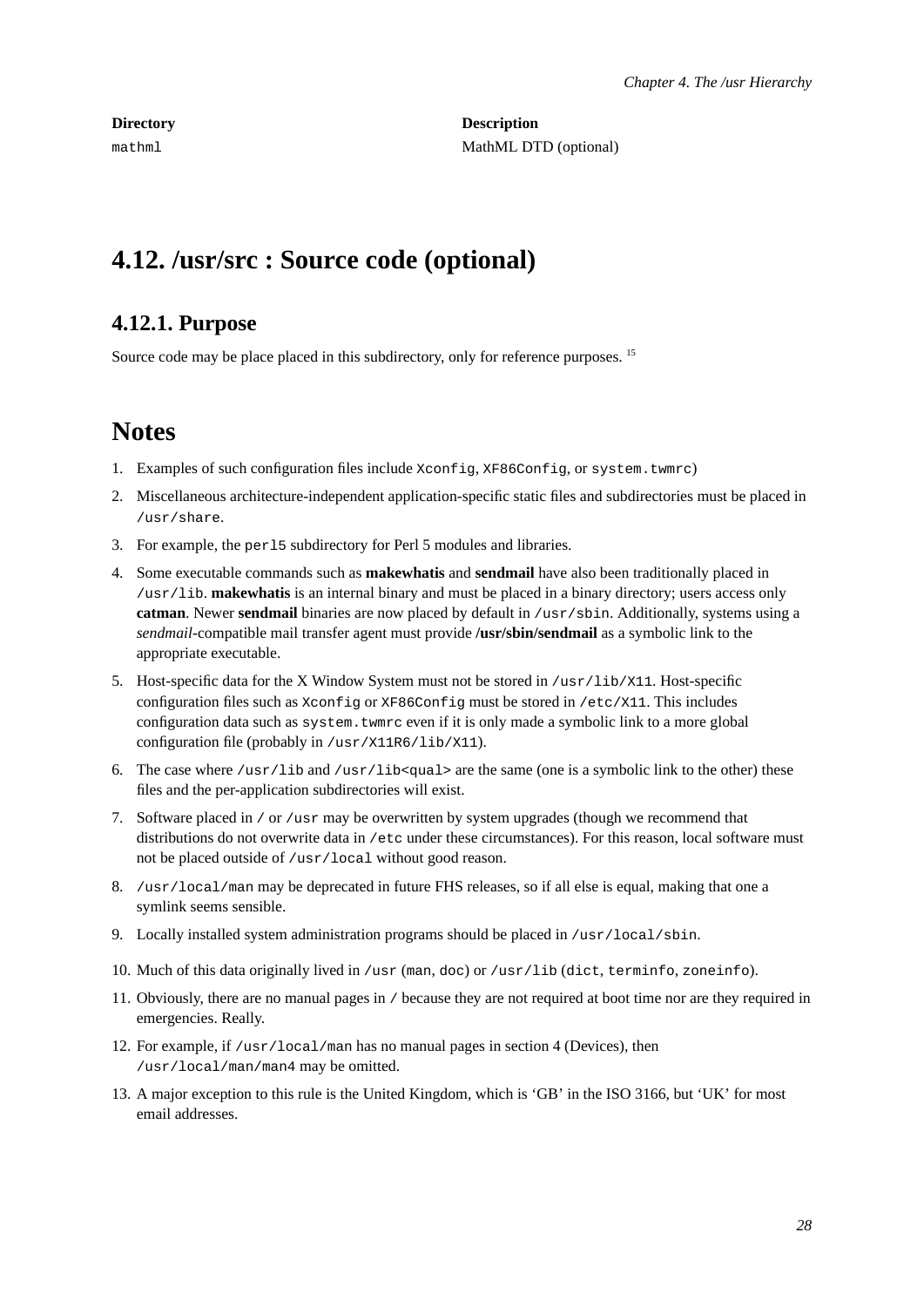**Directory** Description mathml MathML DTD (optional)

# <span id="page-33-1"></span><span id="page-33-0"></span>**4.12. /usr/src : Source code (optional)**

## **4.12.1. Purpose**

Source code may be place placed in this subdirectory, only for reference purposes. <sup>15</sup>

## **Notes**

- 1. Examples of such configuration files include Xconfig, XF86Config, or system.twmrc)
- 2. Miscellaneous architecture-independent application-specific static files and subdirectories must be placed in /usr/share.
- 3. For example, the perl5 subdirectory for Perl 5 modules and libraries.
- 4. Some executable commands such as **makewhatis** and **sendmail** have also been traditionally placed in /usr/lib. **makewhatis** is an internal binary and must be placed in a binary directory; users access only **catman**. Newer **sendmail** binaries are now placed by default in /usr/sbin. Additionally, systems using a *sendmail*-compatible mail transfer agent must provide **/usr/sbin/sendmail** as a symbolic link to the appropriate executable.
- 5. Host-specific data for the X Window System must not be stored in /usr/lib/X11. Host-specific configuration files such as Xconfig or XF86Config must be stored in /etc/X11. This includes configuration data such as system.twmrc even if it is only made a symbolic link to a more global configuration file (probably in /usr/X11R6/lib/X11).
- 6. The case where  $/usr/lib$  and  $/usr/lib$  are the same (one is a symbolic link to the other) these files and the per-application subdirectories will exist.
- 7. Software placed in / or /usr may be overwritten by system upgrades (though we recommend that distributions do not overwrite data in /etc under these circumstances). For this reason, local software must not be placed outside of /usr/local without good reason.
- 8. /usr/local/man may be deprecated in future FHS releases, so if all else is equal, making that one a symlink seems sensible.
- 9. Locally installed system administration programs should be placed in  $/$ usr $/$ local $/$ sbin.
- 10. Much of this data originally lived in /usr (man, doc) or /usr/lib (dict, terminfo, zoneinfo).
- 11. Obviously, there are no manual pages in / because they are not required at boot time nor are they required in emergencies. Really.
- 12. For example, if /usr/local/man has no manual pages in section 4 (Devices), then /usr/local/man/man4 may be omitted.
- 13. A major exception to this rule is the United Kingdom, which is 'GB' in the ISO 3166, but 'UK' for most email addresses.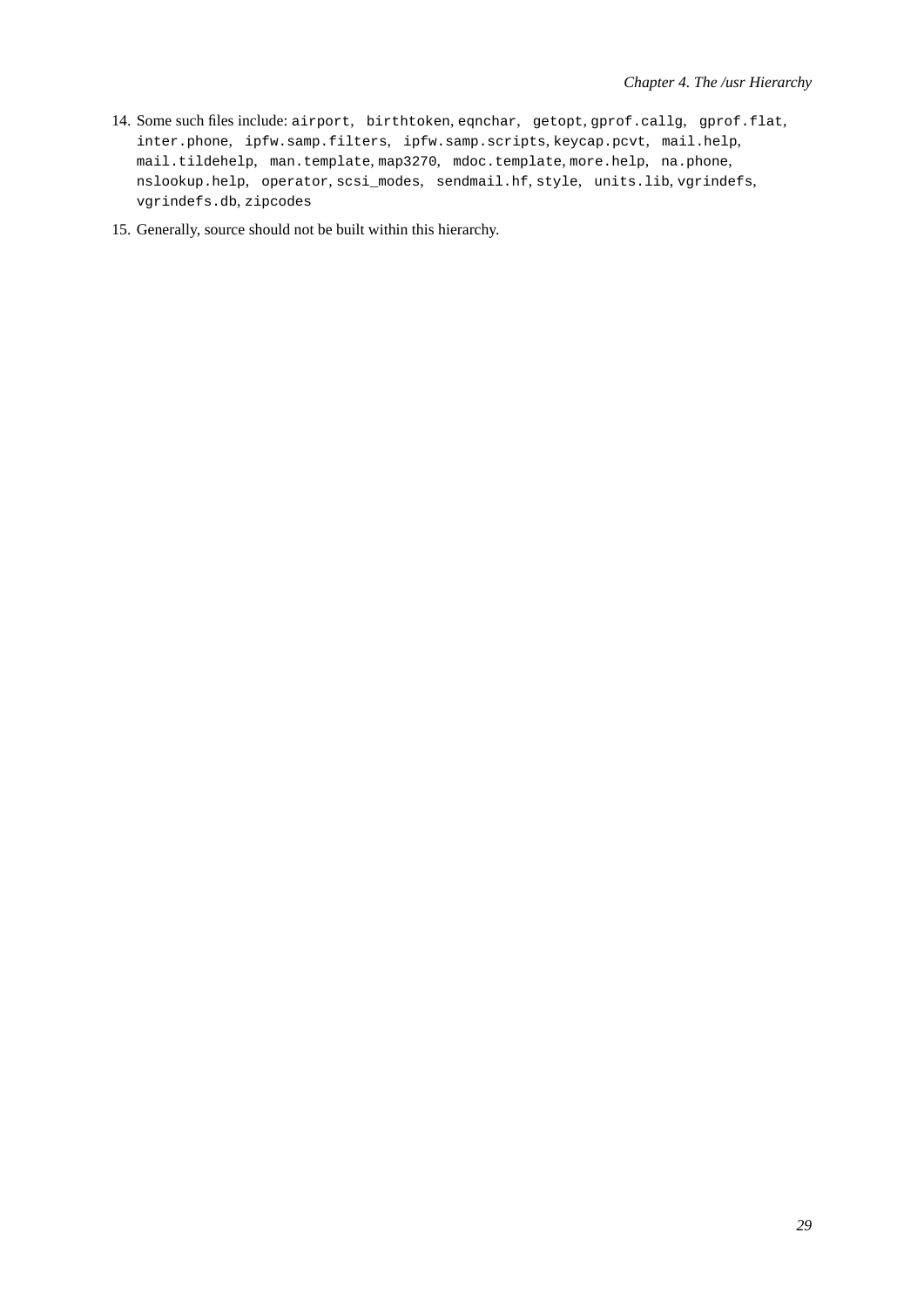- 14. Some such files include: airport, birthtoken, eqnchar, getopt, gprof.callg, gprof.flat, inter.phone, ipfw.samp.filters, ipfw.samp.scripts, keycap.pcvt, mail.help, mail.tildehelp, man.template, map3270, mdoc.template, more.help, na.phone, nslookup.help, operator, scsi\_modes, sendmail.hf, style, units.lib, vgrindefs, vgrindefs.db, zipcodes
- 15. Generally, source should not be built within this hierarchy.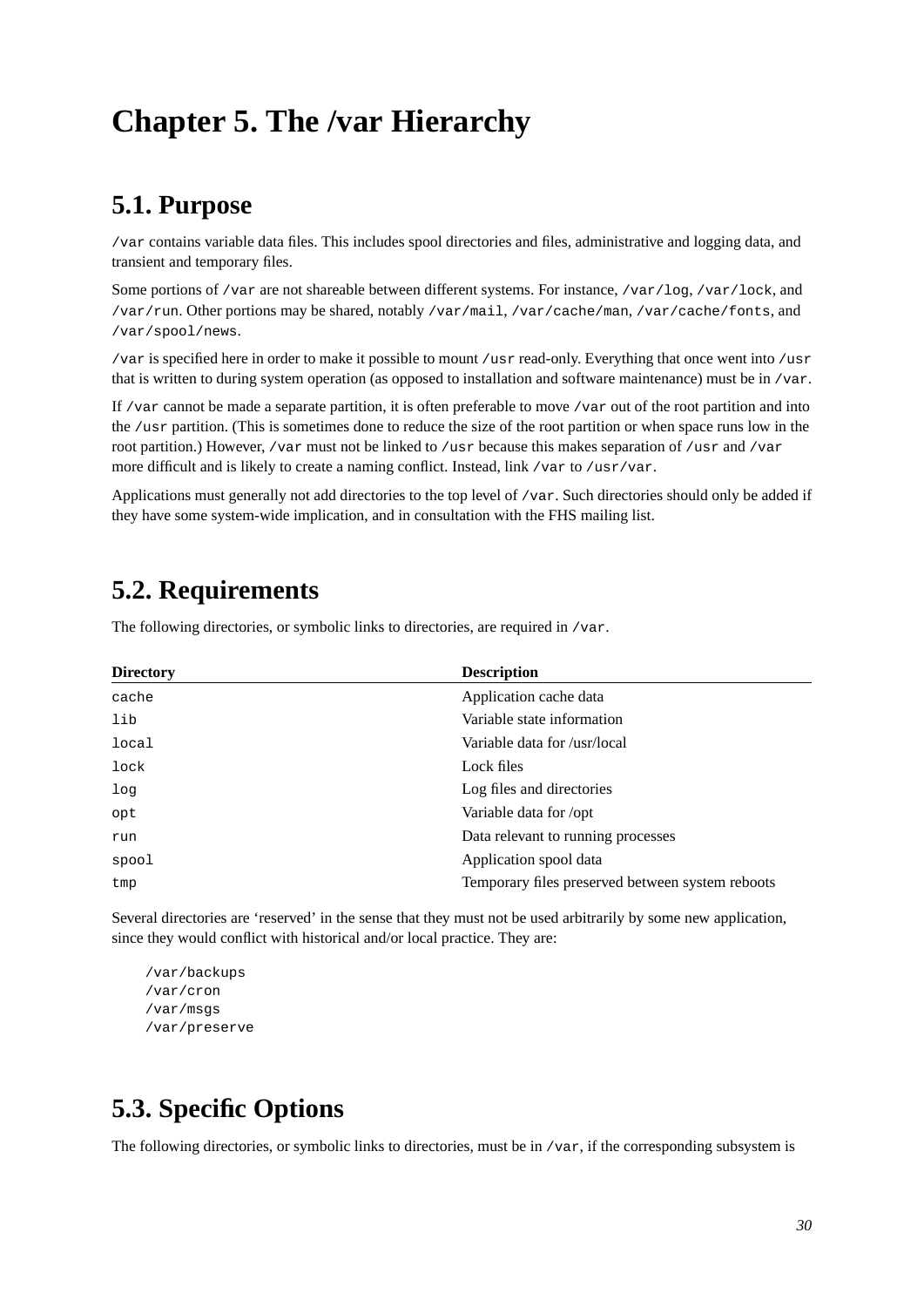# <span id="page-35-1"></span><span id="page-35-0"></span>**Chapter 5. The /var Hierarchy**

# **5.1. Purpose**

/var contains variable data files. This includes spool directories and files, administrative and logging data, and transient and temporary files.

Some portions of /var are not shareable between different systems. For instance, /var/log, /var/lock, and /var/run. Other portions may be shared, notably /var/mail, /var/cache/man, /var/cache/fonts, and /var/spool/news.

/var is specified here in order to make it possible to mount /usr read-only. Everything that once went into /usr that is written to during system operation (as opposed to installation and software maintenance) must be in /var.

If /var cannot be made a separate partition, it is often preferable to move /var out of the root partition and into the /usr partition. (This is sometimes done to reduce the size of the root partition or when space runs low in the root partition.) However, /var must not be linked to /usr because this makes separation of /usr and /var more difficult and is likely to create a naming conflict. Instead, link /var to /usr/var.

<span id="page-35-2"></span>Applications must generally not add directories to the top level of /var. Such directories should only be added if they have some system-wide implication, and in consultation with the FHS mailing list.

# **5.2. Requirements**

The following directories, or symbolic links to directories, are required in /var.

| <b>Directory</b> | <b>Description</b>                               |
|------------------|--------------------------------------------------|
| cache            | Application cache data                           |
| lib              | Variable state information                       |
| local            | Variable data for /usr/local                     |
| lock             | Lock files                                       |
| log              | Log files and directories                        |
| opt              | Variable data for /opt                           |
| run              | Data relevant to running processes               |
| spool            | Application spool data                           |
| tmp              | Temporary files preserved between system reboots |

Several directories are 'reserved' in the sense that they must not be used arbitrarily by some new application, since they would conflict with historical and/or local practice. They are:

/var/backups /var/cron /var/msgs /var/preserve

# <span id="page-35-3"></span>**5.3. Specific Options**

The following directories, or symbolic links to directories, must be in  $/\text{var}$ , if the corresponding subsystem is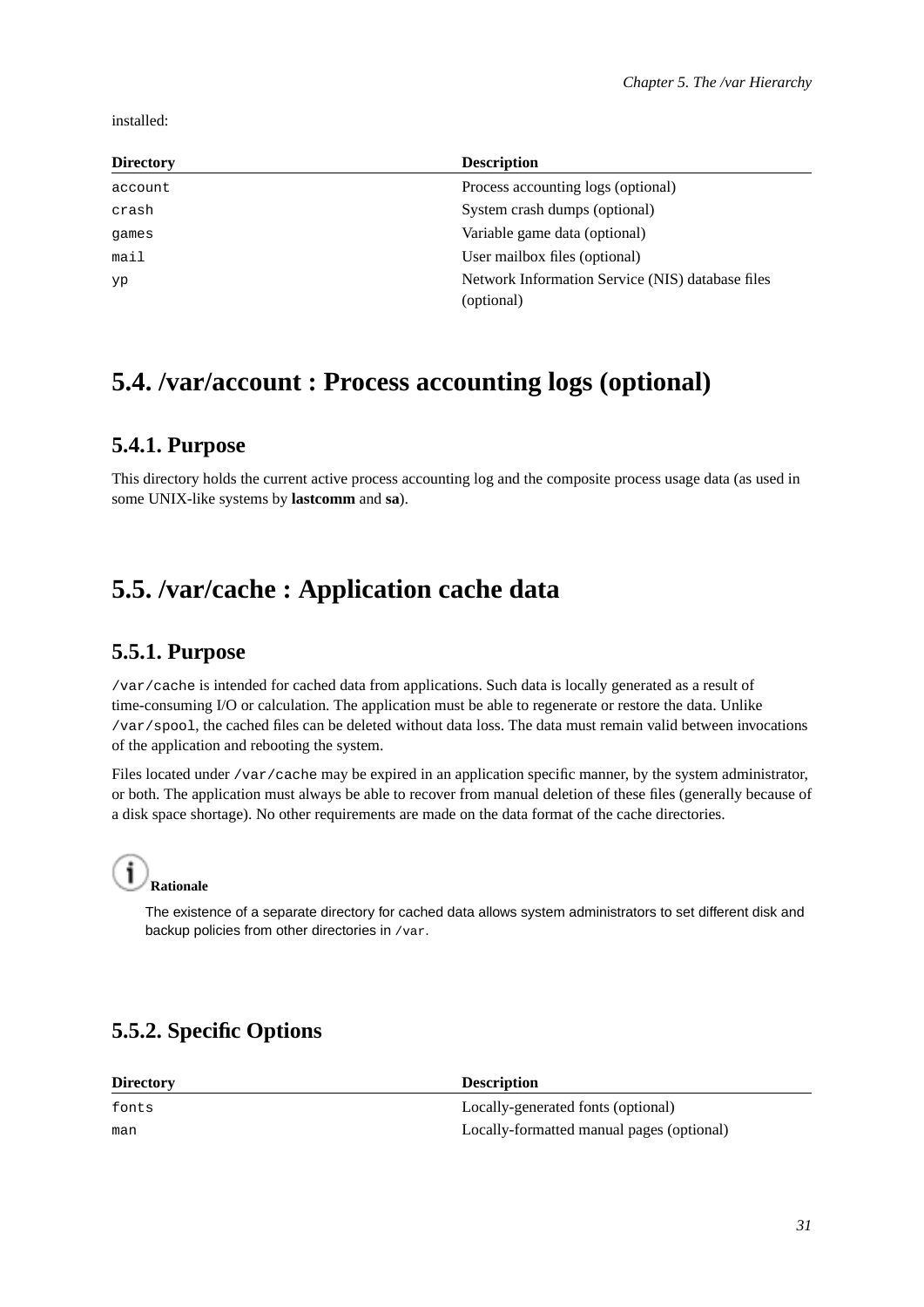installed:

| <b>Directory</b> | <b>Description</b>                               |
|------------------|--------------------------------------------------|
| account          | Process accounting logs (optional)               |
| crash            | System crash dumps (optional)                    |
| games            | Variable game data (optional)                    |
| mail             | User mailbox files (optional)                    |
| yp               | Network Information Service (NIS) database files |
|                  | (optional)                                       |

# <span id="page-36-1"></span><span id="page-36-0"></span>**5.4. /var/account : Process accounting logs (optional)**

## **5.4.1. Purpose**

This directory holds the current active process accounting log and the composite process usage data (as used in some UNIX-like systems by **lastcomm** and **sa**).

# <span id="page-36-3"></span><span id="page-36-2"></span>**5.5. /var/cache : Application cache data**

## **5.5.1. Purpose**

/var/cache is intended for cached data from applications. Such data is locally generated as a result of time-consuming I/O or calculation. The application must be able to regenerate or restore the data. Unlike /var/spool, the cached files can be deleted without data loss. The data must remain valid between invocations of the application and rebooting the system.

Files located under /var/cache may be expired in an application specific manner, by the system administrator, or both. The application must always be able to recover from manual deletion of these files (generally because of a disk space shortage). No other requirements are made on the data format of the cache directories.



The existence of a separate directory for cached data allows system administrators to set different disk and backup policies from other directories in /var.

## <span id="page-36-4"></span>**5.5.2. Specific Options**

| <b>Directory</b> | <b>Description</b>                        |
|------------------|-------------------------------------------|
| fonts            | Locally-generated fonts (optional)        |
| man              | Locally-formatted manual pages (optional) |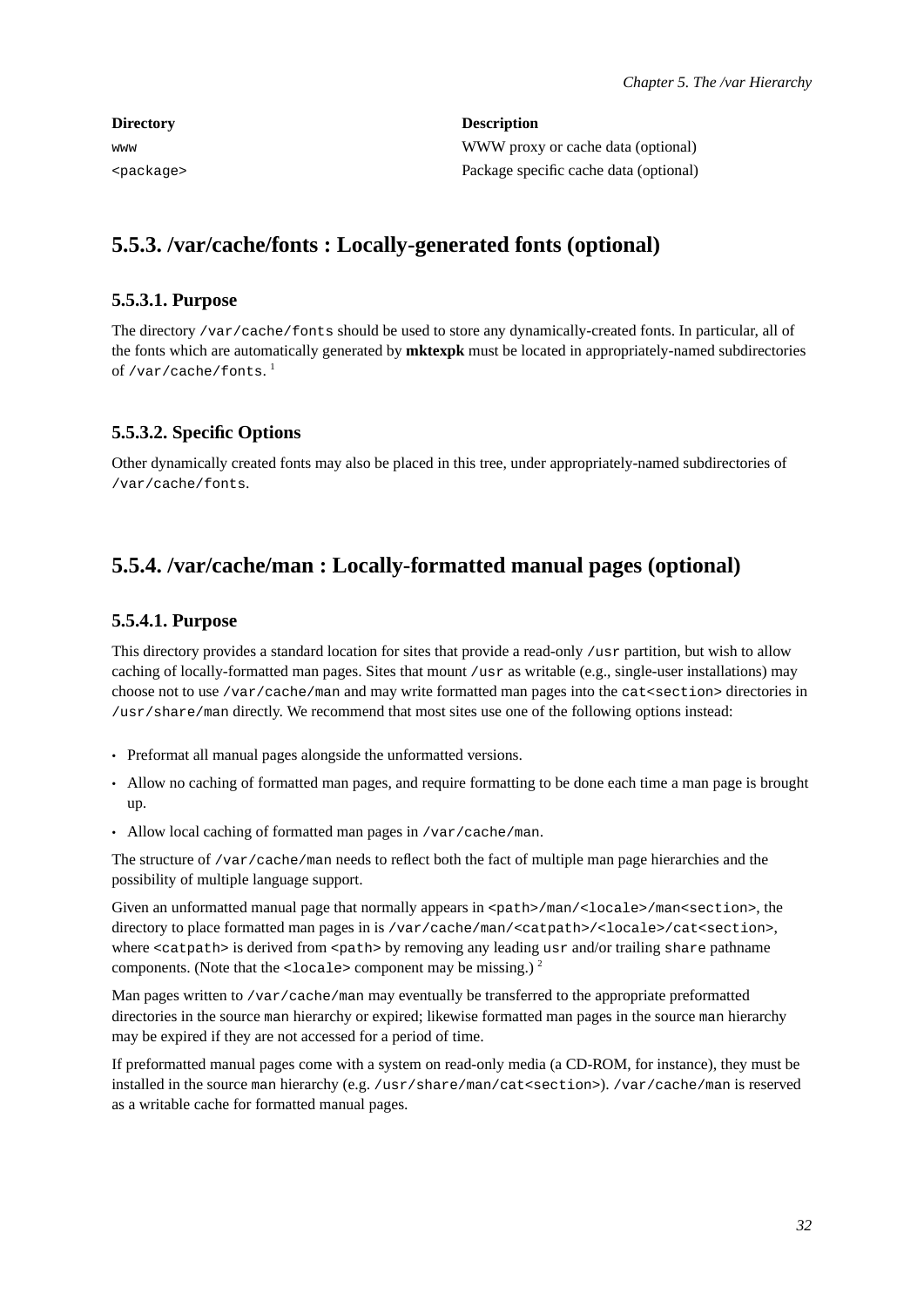| <b>Directory</b>    | <b>Description</b>                     |
|---------------------|----------------------------------------|
| www                 | WWW proxy or cache data (optional)     |
| <package></package> | Package specific cache data (optional) |

## <span id="page-37-1"></span><span id="page-37-0"></span>**5.5.3. /var/cache/fonts : Locally-generated fonts (optional)**

#### **5.5.3.1. Purpose**

The directory /var/cache/fonts should be used to store any dynamically-created fonts. In particular, all of the fonts which are automatically generated by **mktexpk** must be located in appropriately-named subdirectories of /var/cache/fonts. $^{\rm l}$ 

### <span id="page-37-2"></span>**5.5.3.2. Specific Options**

Other dynamically created fonts may also be placed in this tree, under appropriately-named subdirectories of /var/cache/fonts.

## <span id="page-37-4"></span><span id="page-37-3"></span>**5.5.4. /var/cache/man : Locally-formatted manual pages (optional)**

#### **5.5.4.1. Purpose**

This directory provides a standard location for sites that provide a read-only /usr partition, but wish to allow caching of locally-formatted man pages. Sites that mount /usr as writable (e.g., single-user installations) may choose not to use /var/cache/man and may write formatted man pages into the cat<section> directories in /usr/share/man directly. We recommend that most sites use one of the following options instead:

- Preformat all manual pages alongside the unformatted versions.
- Allow no caching of formatted man pages, and require formatting to be done each time a man page is brought up.
- Allow local caching of formatted man pages in /var/cache/man.

The structure of /var/cache/man needs to reflect both the fact of multiple man page hierarchies and the possibility of multiple language support.

Given an unformatted manual page that normally appears in  $\epsilon$  =  $\epsilon$  /man/ $\epsilon$ locale>/man $\epsilon$  section>, the directory to place formatted man pages in is /var/cache/man/<catpath>/<locale>/cat<section>, where <catpath> is derived from <path> by removing any leading usr and/or trailing share pathname components. (Note that the  $\leq$ locale> component may be missing.)  $^{2}$ 

Man pages written to /var/cache/man may eventually be transferred to the appropriate preformatted directories in the source man hierarchy or expired; likewise formatted man pages in the source man hierarchy may be expired if they are not accessed for a period of time.

If preformatted manual pages come with a system on read-only media (a CD-ROM, for instance), they must be installed in the source man hierarchy (e.g. /usr/share/man/cat<section>). /var/cache/man is reserved as a writable cache for formatted manual pages.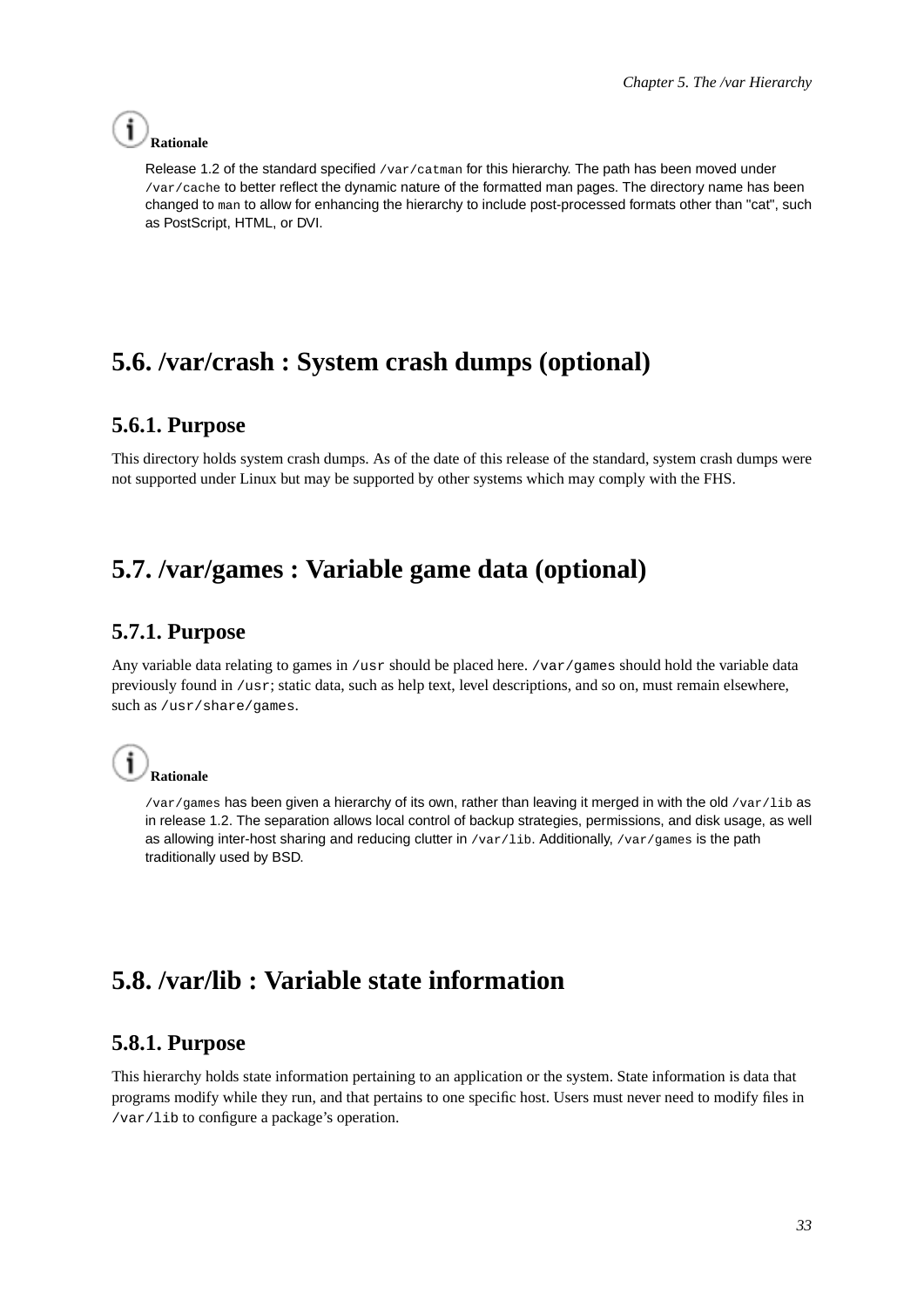## **Rationale**

Release 1.2 of the standard specified /var/catman for this hierarchy. The path has been moved under /var/cache to better reflect the dynamic nature of the formatted man pages. The directory name has been changed to man to allow for enhancing the hierarchy to include post-processed formats other than "cat", such as PostScript, HTML, or DVI.

# <span id="page-38-1"></span><span id="page-38-0"></span>**5.6. /var/crash : System crash dumps (optional)**

## **5.6.1. Purpose**

This directory holds system crash dumps. As of the date of this release of the standard, system crash dumps were not supported under Linux but may be supported by other systems which may comply with the FHS.

# <span id="page-38-3"></span><span id="page-38-2"></span>**5.7. /var/games : Variable game data (optional)**

## **5.7.1. Purpose**

Any variable data relating to games in /usr should be placed here. /var/games should hold the variable data previously found in /usr; static data, such as help text, level descriptions, and so on, must remain elsewhere, such as /usr/share/games.

# **Rationale**

/var/games has been given a hierarchy of its own, rather than leaving it merged in with the old /var/lib as in release 1.2. The separation allows local control of backup strategies, permissions, and disk usage, as well as allowing inter-host sharing and reducing clutter in  $/var/1$ ib. Additionally,  $/var/games$  is the path traditionally used by BSD.

# <span id="page-38-5"></span><span id="page-38-4"></span>**5.8. /var/lib : Variable state information**

## **5.8.1. Purpose**

This hierarchy holds state information pertaining to an application or the system. State information is data that programs modify while they run, and that pertains to one specific host. Users must never need to modify files in /var/lib to configure a package's operation.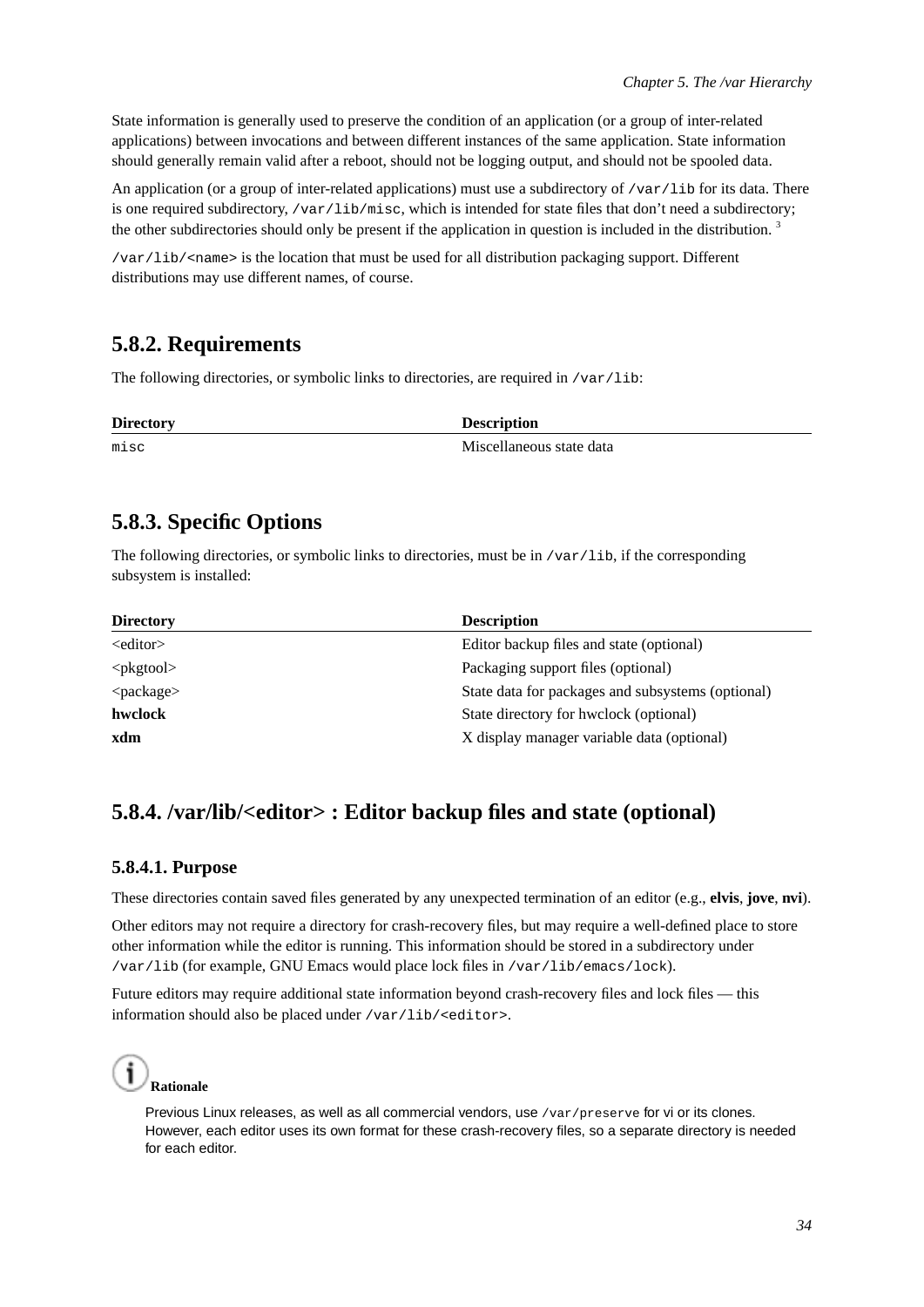State information is generally used to preserve the condition of an application (or a group of inter-related applications) between invocations and between different instances of the same application. State information should generally remain valid after a reboot, should not be logging output, and should not be spooled data.

An application (or a group of inter-related applications) must use a subdirectory of  $/\text{var}/\text{lib}$  for its data. There is one required subdirectory, /var/lib/misc, which is intended for state files that don't need a subdirectory; the other subdirectories should only be present if the application in question is included in the distribution.<sup>3</sup>

/var/lib/<name> is the location that must be used for all distribution packaging support. Different distributions may use different names, of course.

## <span id="page-39-0"></span>**5.8.2. Requirements**

The following directories, or symbolic links to directories, are required in /var/lib:

| <b>Directory</b> | <b>Description</b>       |
|------------------|--------------------------|
| misc             | Miscellaneous state data |

## <span id="page-39-1"></span>**5.8.3. Specific Options**

The following directories, or symbolic links to directories, must be in /var/lib, if the corresponding subsystem is installed:

| <b>Directory</b>    | <b>Description</b>                                |
|---------------------|---------------------------------------------------|
| $\le$ editor $>$    | Editor backup files and state (optional)          |
| $<$ p $k$ gtool $>$ | Packaging support files (optional)                |
| $<$ package $>$     | State data for packages and subsystems (optional) |
| hwclock             | State directory for hwelock (optional)            |
| xdm                 | X display manager variable data (optional)        |

## <span id="page-39-3"></span><span id="page-39-2"></span>**5.8.4. /var/lib/<editor> : Editor backup files and state (optional)**

#### **5.8.4.1. Purpose**

These directories contain saved files generated by any unexpected termination of an editor (e.g., **elvis**, **jove**, **nvi**).

Other editors may not require a directory for crash-recovery files, but may require a well-defined place to store other information while the editor is running. This information should be stored in a subdirectory under /var/lib (for example, GNU Emacs would place lock files in /var/lib/emacs/lock).

Future editors may require additional state information beyond crash-recovery files and lock files — this information should also be placed under /var/lib/<editor>.



Previous Linux releases, as well as all commercial vendors, use /var/preserve for vi or its clones. However, each editor uses its own format for these crash-recovery files, so a separate directory is needed for each editor.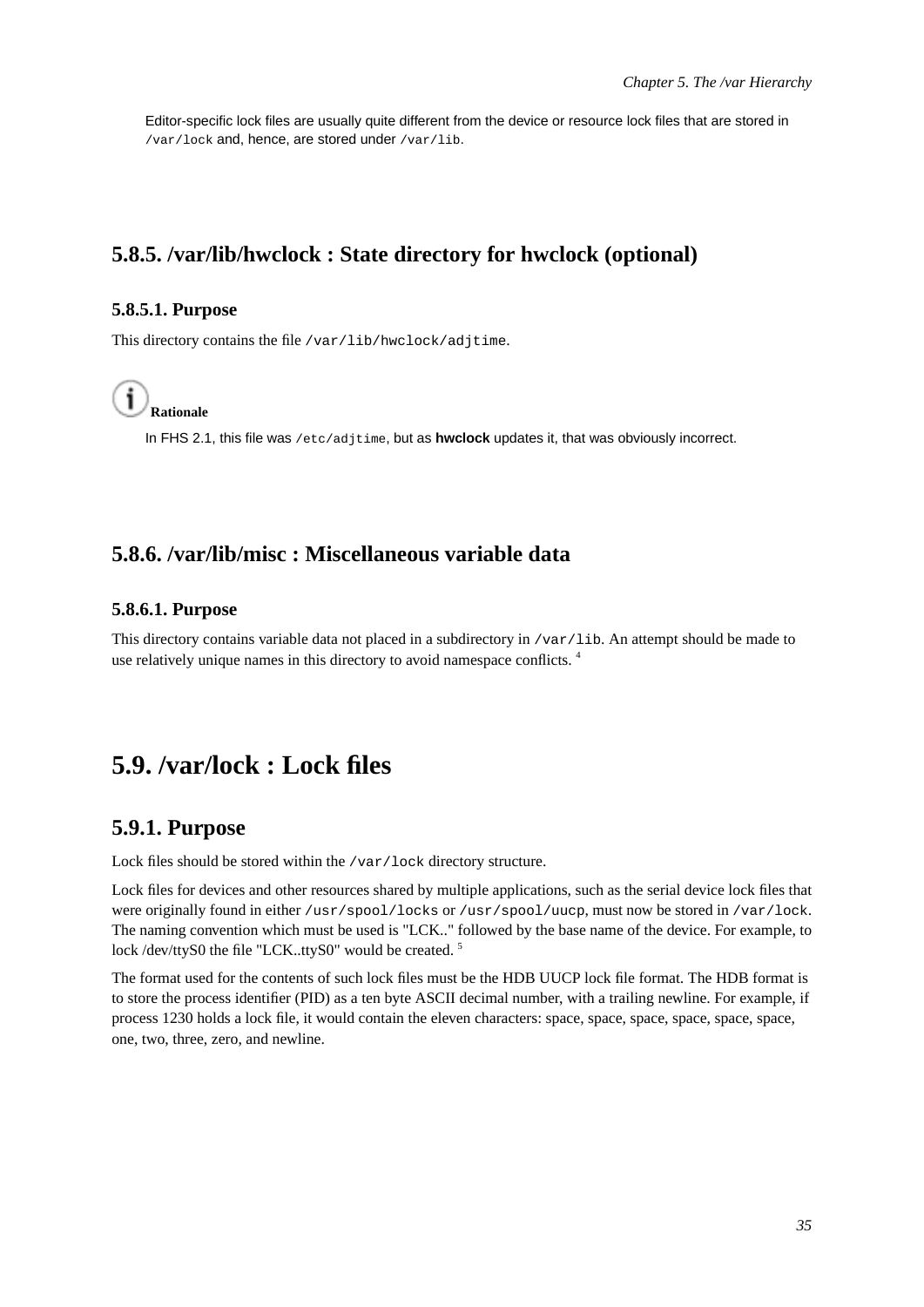Editor-specific lock files are usually quite different from the device or resource lock files that are stored in /var/lock and, hence, are stored under /var/lib.

## <span id="page-40-1"></span><span id="page-40-0"></span>**5.8.5. /var/lib/hwclock : State directory for hwclock (optional)**

#### **5.8.5.1. Purpose**

This directory contains the file /var/lib/hwclock/adjtime.



In FHS 2.1, this file was /etc/adjtime, but as **hwclock** updates it, that was obviously incorrect.

## <span id="page-40-3"></span><span id="page-40-2"></span>**5.8.6. /var/lib/misc : Miscellaneous variable data**

#### **5.8.6.1. Purpose**

This directory contains variable data not placed in a subdirectory in  $/\text{var}/\text{lib}$ . An attempt should be made to use relatively unique names in this directory to avoid namespace conflicts. <sup>4</sup>

## <span id="page-40-5"></span><span id="page-40-4"></span>**5.9. /var/lock : Lock files**

#### **5.9.1. Purpose**

Lock files should be stored within the /var/lock directory structure.

Lock files for devices and other resources shared by multiple applications, such as the serial device lock files that were originally found in either /usr/spool/locks or /usr/spool/uucp, must now be stored in /var/lock. The naming convention which must be used is "LCK.." followed by the base name of the device. For example, to lock /dev/ttyS0 the file "LCK..ttyS0" would be created.<sup>5</sup>

<span id="page-40-6"></span>The format used for the contents of such lock files must be the HDB UUCP lock file format. The HDB format is to store the process identifier (PID) as a ten byte ASCII decimal number, with a trailing newline. For example, if process 1230 holds a lock file, it would contain the eleven characters: space, space, space, space, space, space, one, two, three, zero, and newline.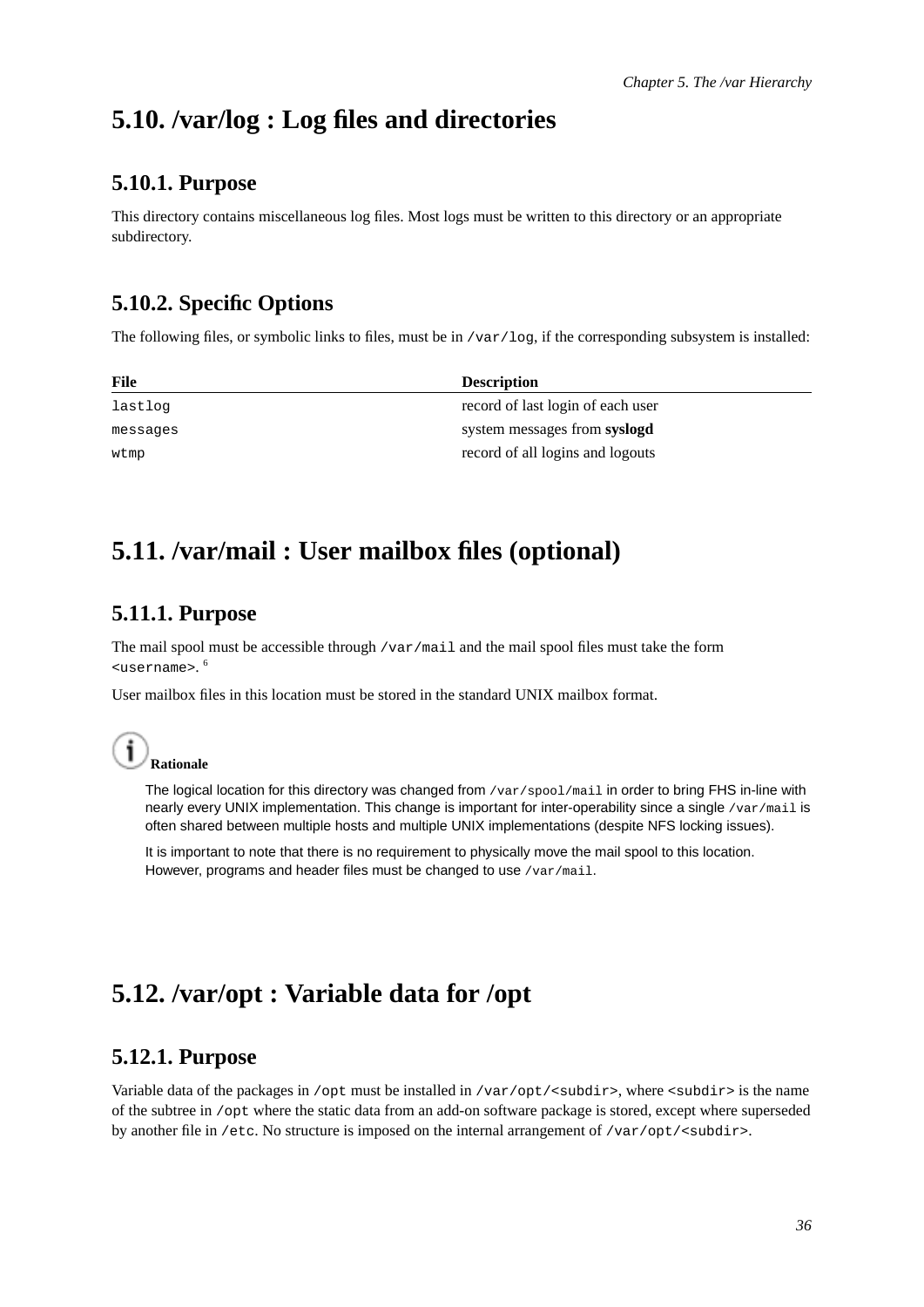# <span id="page-41-0"></span>**5.10. /var/log : Log files and directories**

## **5.10.1. Purpose**

This directory contains miscellaneous log files. Most logs must be written to this directory or an appropriate subdirectory.

## <span id="page-41-1"></span>**5.10.2. Specific Options**

The following files, or symbolic links to files, must be in /var/log, if the corresponding subsystem is installed:

| File     | <b>Description</b>                |
|----------|-----------------------------------|
| lastlog  | record of last login of each user |
| messages | system messages from syslogd      |
| wtmp     | record of all logins and logouts  |

# <span id="page-41-3"></span><span id="page-41-2"></span>**5.11. /var/mail : User mailbox files (optional)**

## **5.11.1. Purpose**

The mail spool must be accessible through /var/mail and the mail spool files must take the form <username>. 6

User mailbox files in this location must be stored in the standard UNIX mailbox format.

## **Rationale**

The logical location for this directory was changed from /var/spool/mail in order to bring FHS in-line with nearly every UNIX implementation. This change is important for inter-operability since a single /var/mail is often shared between multiple hosts and multiple UNIX implementations (despite NFS locking issues).

It is important to note that there is no requirement to physically move the mail spool to this location. However, programs and header files must be changed to use /var/mail.

# <span id="page-41-5"></span><span id="page-41-4"></span>**5.12. /var/opt : Variable data for /opt**

## **5.12.1. Purpose**

Variable data of the packages in /opt must be installed in /var/opt/<subdir>, where <subdir> is the name of the subtree in /opt where the static data from an add-on software package is stored, except where superseded by another file in /etc. No structure is imposed on the internal arrangement of /var/opt/<subdir>.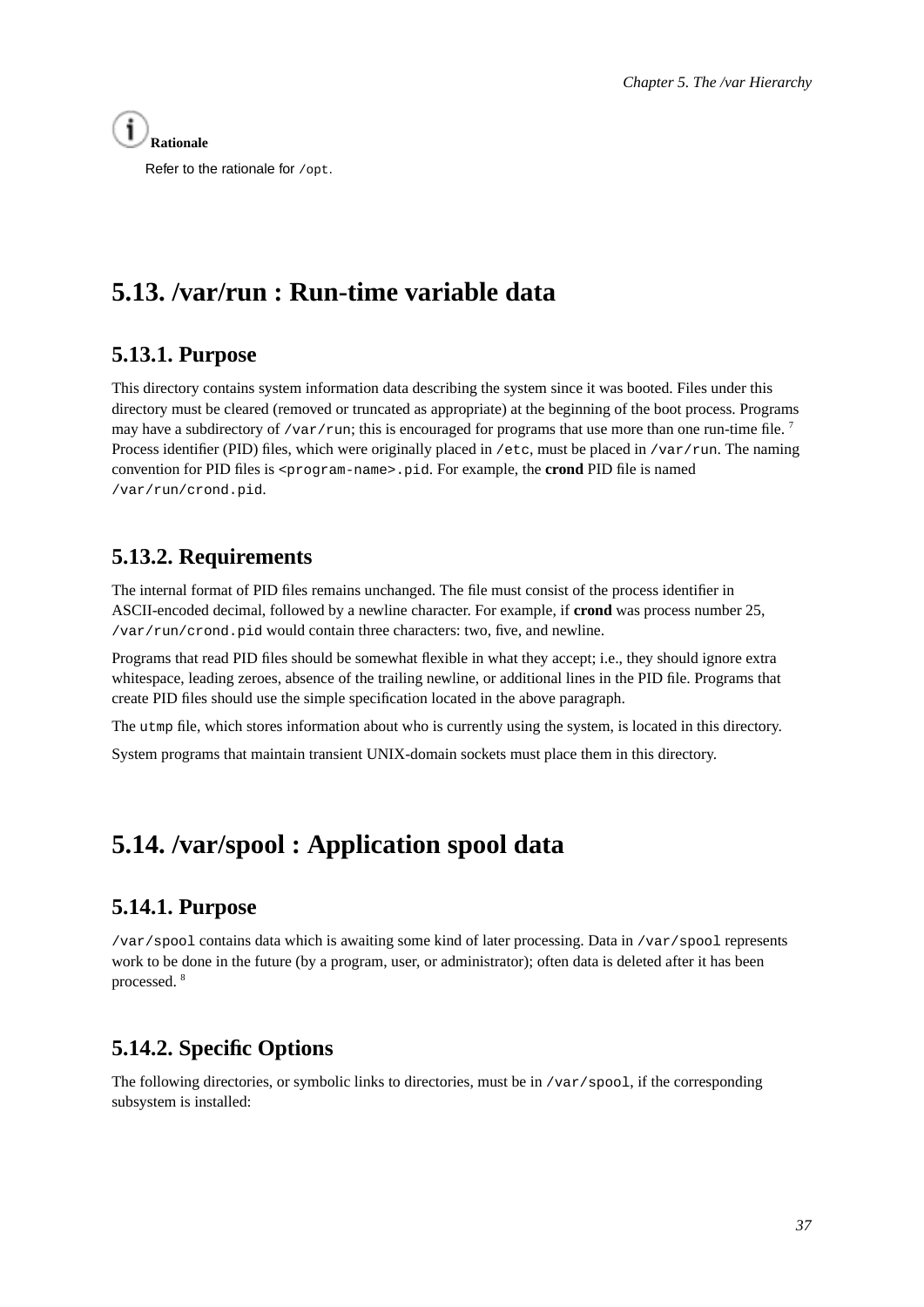

Refer to the rationale for /opt.

# <span id="page-42-1"></span><span id="page-42-0"></span>**5.13. /var/run : Run-time variable data**

## **5.13.1. Purpose**

This directory contains system information data describing the system since it was booted. Files under this directory must be cleared (removed or truncated as appropriate) at the beginning of the boot process. Programs may have a subdirectory of /var/run; this is encouraged for programs that use more than one run-time file.<sup>7</sup> Process identifier (PID) files, which were originally placed in /etc, must be placed in /var/run. The naming convention for PID files is <program-name>.pid. For example, the **crond** PID file is named /var/run/crond.pid.

## <span id="page-42-2"></span>**5.13.2. Requirements**

The internal format of PID files remains unchanged. The file must consist of the process identifier in ASCII-encoded decimal, followed by a newline character. For example, if **crond** was process number 25, /var/run/crond.pid would contain three characters: two, five, and newline.

Programs that read PID files should be somewhat flexible in what they accept; i.e., they should ignore extra whitespace, leading zeroes, absence of the trailing newline, or additional lines in the PID file. Programs that create PID files should use the simple specification located in the above paragraph.

The utmp file, which stores information about who is currently using the system, is located in this directory.

<span id="page-42-3"></span>System programs that maintain transient UNIX-domain sockets must place them in this directory.

# <span id="page-42-4"></span>**5.14. /var/spool : Application spool data**

## **5.14.1. Purpose**

/var/spool contains data which is awaiting some kind of later processing. Data in /var/spool represents work to be done in the future (by a program, user, or administrator); often data is deleted after it has been processed. <sup>8</sup>

## <span id="page-42-5"></span>**5.14.2. Specific Options**

The following directories, or symbolic links to directories, must be in /var/spool, if the corresponding subsystem is installed: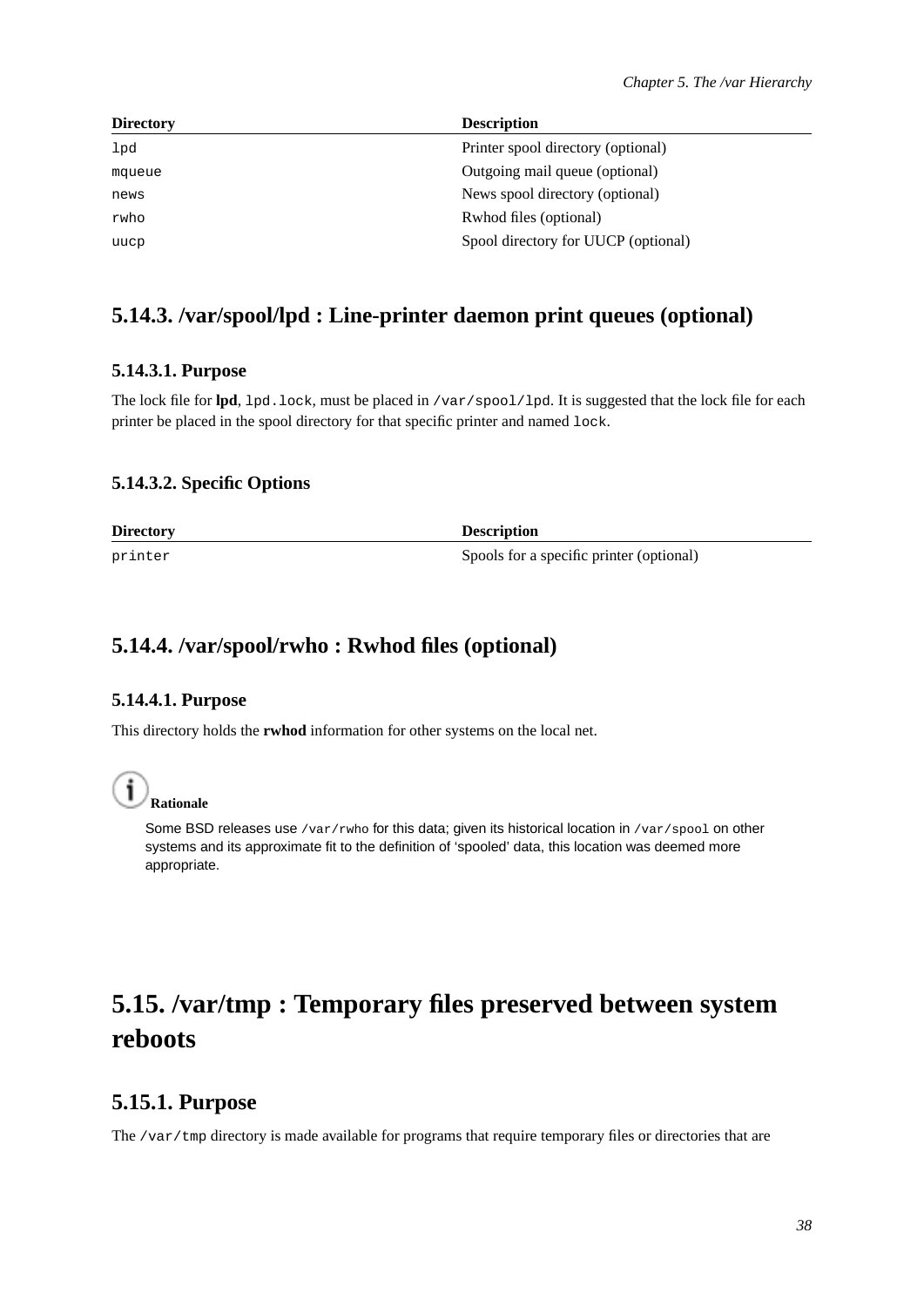| <b>Directory</b> | <b>Description</b>                  |
|------------------|-------------------------------------|
| lpd              | Printer spool directory (optional)  |
| mqueue           | Outgoing mail queue (optional)      |
| news             | News spool directory (optional)     |
| rwho             | Rwhod files (optional)              |
| uucp             | Spool directory for UUCP (optional) |
|                  |                                     |

## <span id="page-43-1"></span><span id="page-43-0"></span>**5.14.3. /var/spool/lpd : Line-printer daemon print queues (optional)**

#### **5.14.3.1. Purpose**

The lock file for **lpd**, lpd.lock, must be placed in /var/spool/lpd. It is suggested that the lock file for each printer be placed in the spool directory for that specific printer and named lock.

#### <span id="page-43-2"></span>**5.14.3.2. Specific Options**

**Directory Description** printer Spools for a specific printer (optional)

## <span id="page-43-4"></span><span id="page-43-3"></span>**5.14.4. /var/spool/rwho : Rwhod files (optional)**

#### **5.14.4.1. Purpose**

This directory holds the **rwhod** information for other systems on the local net.



Some BSD releases use /var/rwho for this data; given its historical location in /var/spool on other systems and its approximate fit to the definition of 'spooled' data, this location was deemed more appropriate.

# <span id="page-43-5"></span>**5.15. /var/tmp : Temporary files preserved between system reboots**

## <span id="page-43-6"></span>**5.15.1. Purpose**

The /var/tmp directory is made available for programs that require temporary files or directories that are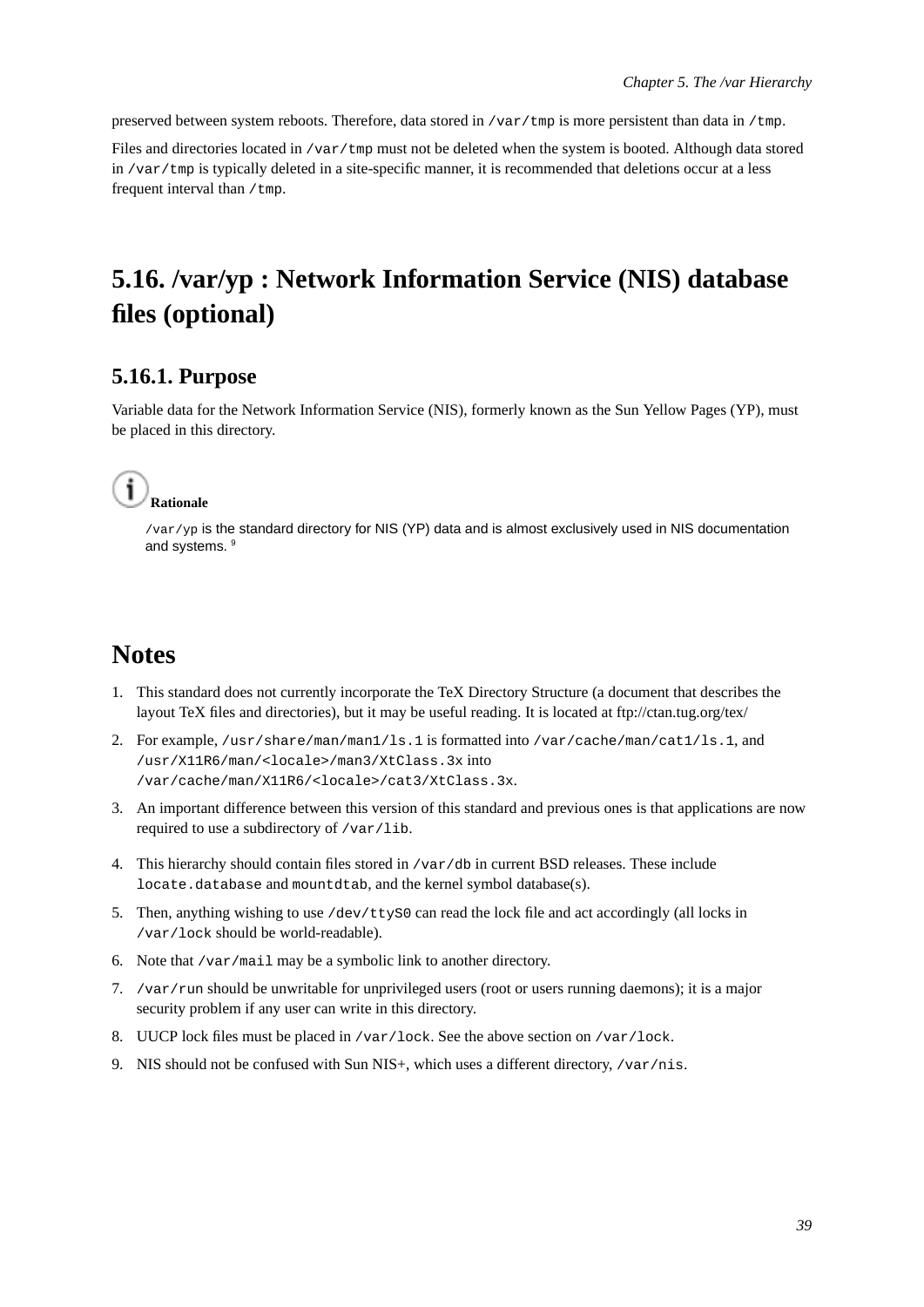preserved between system reboots. Therefore, data stored in /var/tmp is more persistent than data in /tmp.

Files and directories located in /var/tmp must not be deleted when the system is booted. Although data stored in /var/tmp is typically deleted in a site-specific manner, it is recommended that deletions occur at a less frequent interval than /tmp.

# <span id="page-44-0"></span>**5.16. /var/yp : Network Information Service (NIS) database files (optional)**

## <span id="page-44-1"></span>**5.16.1. Purpose**

Variable data for the Network Information Service (NIS), formerly known as the Sun Yellow Pages (YP), must be placed in this directory.



/var/yp is the standard directory for NIS (YP) data and is almost exclusively used in NIS documentation and systems. <sup>9</sup>

# **Notes**

- 1. This standard does not currently incorporate the TeX Directory Structure (a document that describes the layout TeX files and directories), but it may be useful reading. It is located at ftp://ctan.tug.org/tex/
- 2. For example, /usr/share/man/man1/ls.1 is formatted into /var/cache/man/cat1/ls.1, and /usr/X11R6/man/<locale>/man3/XtClass.3x into /var/cache/man/X11R6/<locale>/cat3/XtClass.3x.
- 3. An important difference between this version of this standard and previous ones is that applications are now required to use a subdirectory of /var/lib.
- 4. This hierarchy should contain files stored in /var/db in current BSD releases. These include locate.database and mountdtab, and the kernel symbol database(s).
- 5. Then, anything wishing to use /dev/ttyS0 can read the lock file and act accordingly (all locks in /var/lock should be world-readable).
- 6. Note that /var/mail may be a symbolic link to another directory.
- 7. /var/run should be unwritable for unprivileged users (root or users running daemons); it is a major security problem if any user can write in this directory.
- 8. UUCP lock files must be placed in /var/lock. See the above section on /var/lock.
- 9. NIS should not be confused with Sun NIS+, which uses a different directory, /var/nis.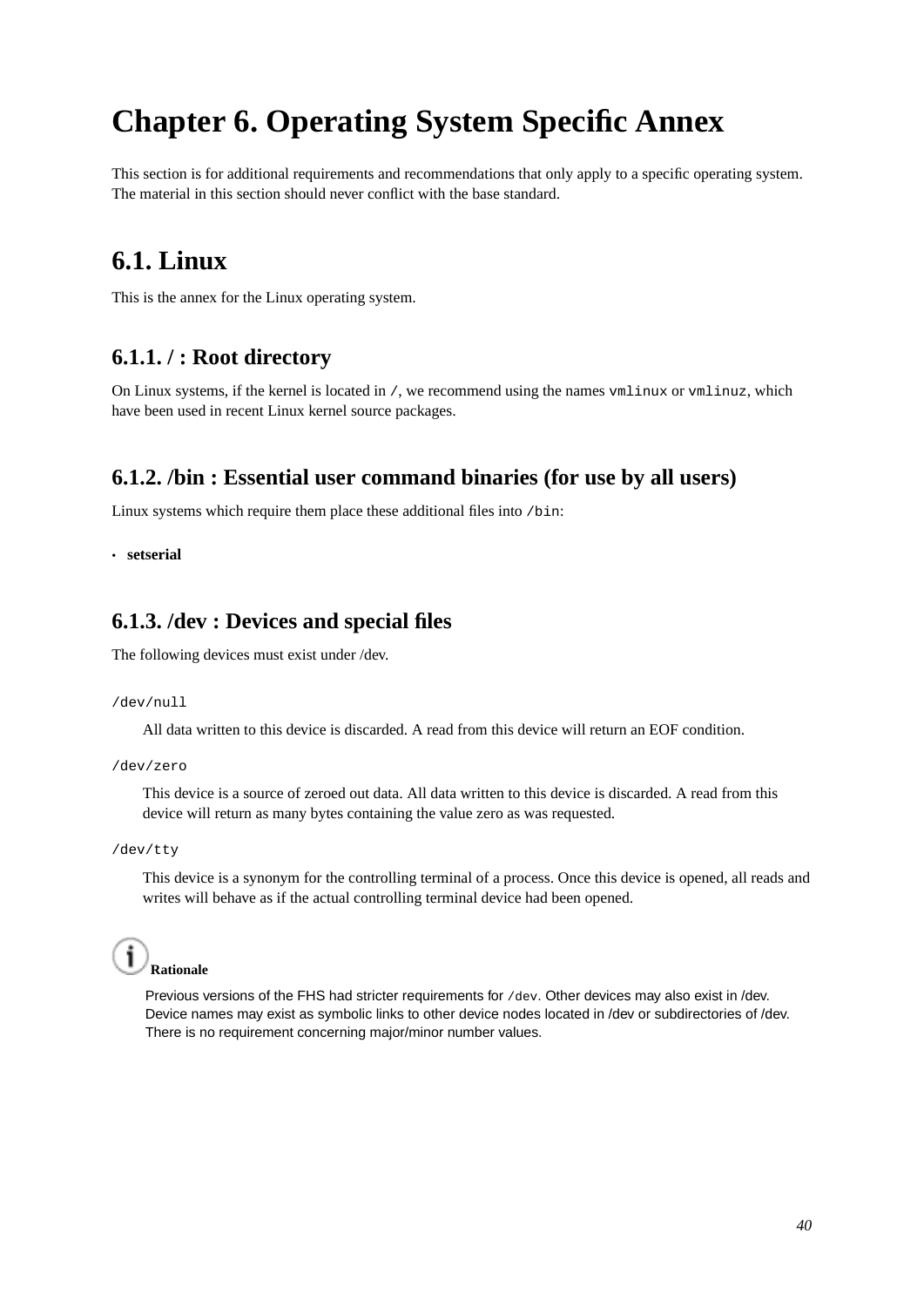# <span id="page-45-0"></span>**Chapter 6. Operating System Specific Annex**

<span id="page-45-1"></span>This section is for additional requirements and recommendations that only apply to a specific operating system. The material in this section should never conflict with the base standard.

## **6.1. Linux**

<span id="page-45-2"></span>This is the annex for the Linux operating system.

## **6.1.1. / : Root directory**

On Linux systems, if the kernel is located in /, we recommend using the names vmlinux or vmlinuz, which have been used in recent Linux kernel source packages.

## <span id="page-45-3"></span>**6.1.2. /bin : Essential user command binaries (for use by all users)**

Linux systems which require them place these additional files into /bin:

<span id="page-45-4"></span>• **setserial**

## **6.1.3. /dev : Devices and special files**

The following devices must exist under /dev.

/dev/null

All data written to this device is discarded. A read from this device will return an EOF condition.

/dev/zero

This device is a source of zeroed out data. All data written to this device is discarded. A read from this device will return as many bytes containing the value zero as was requested.

/dev/tty

This device is a synonym for the controlling terminal of a process. Once this device is opened, all reads and writes will behave as if the actual controlling terminal device had been opened.



<span id="page-45-5"></span>Previous versions of the FHS had stricter requirements for /dev. Other devices may also exist in /dev. Device names may exist as symbolic links to other device nodes located in /dev or subdirectories of /dev. There is no requirement concerning major/minor number values.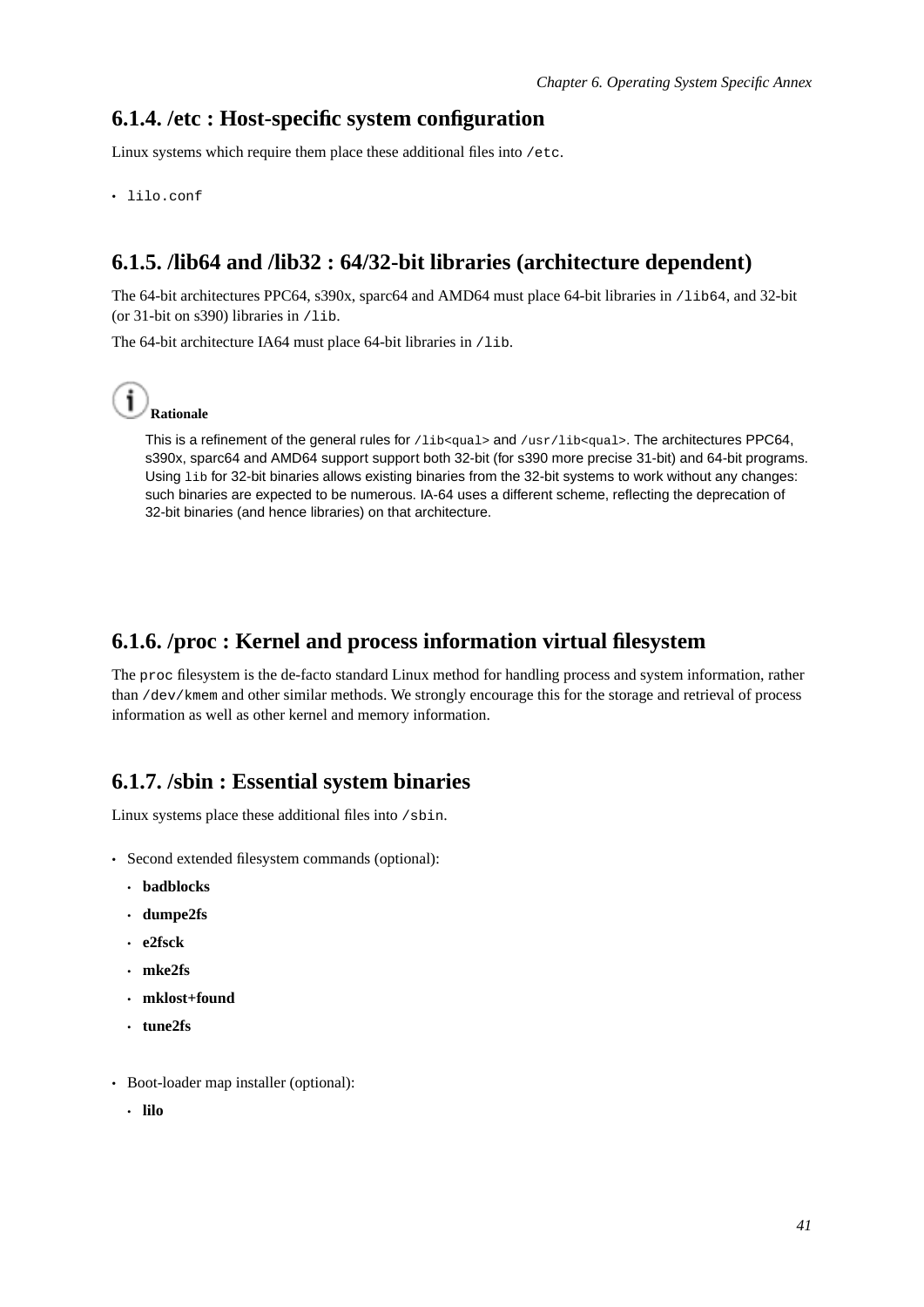### **6.1.4. /etc : Host-specific system configuration**

Linux systems which require them place these additional files into /etc.

<span id="page-46-0"></span>• lilo.conf

## **6.1.5. /lib64 and /lib32 : 64/32-bit libraries (architecture dependent)**

The 64-bit architectures PPC64, s390x, sparc64 and AMD64 must place 64-bit libraries in /1ib64, and 32-bit (or 31-bit on s390) libraries in /lib.

The 64-bit architecture IA64 must place 64-bit libraries in /lib.



This is a refinement of the general rules for  $/$ lib $\epsilon$ qual> and  $/$ usr $/$ lib $\epsilon$ qual>. The architectures PPC64, s390x, sparc64 and AMD64 support support both 32-bit (for s390 more precise 31-bit) and 64-bit programs. Using lib for 32-bit binaries allows existing binaries from the 32-bit systems to work without any changes: such binaries are expected to be numerous. IA-64 uses a different scheme, reflecting the deprecation of 32-bit binaries (and hence libraries) on that architecture.

## <span id="page-46-1"></span>**6.1.6. /proc : Kernel and process information virtual filesystem**

The proc filesystem is the de-facto standard Linux method for handling process and system information, rather than /dev/kmem and other similar methods. We strongly encourage this for the storage and retrieval of process information as well as other kernel and memory information.

#### <span id="page-46-2"></span>**6.1.7. /sbin : Essential system binaries**

Linux systems place these additional files into /sbin.

- Second extended filesystem commands (optional):
	- **badblocks**
	- **dumpe2fs**
	- **e2fsck**
	- **mke2fs**
	- **mklost+found**
	- **tune2fs**
- Boot-loader map installer (optional):
	- **lilo**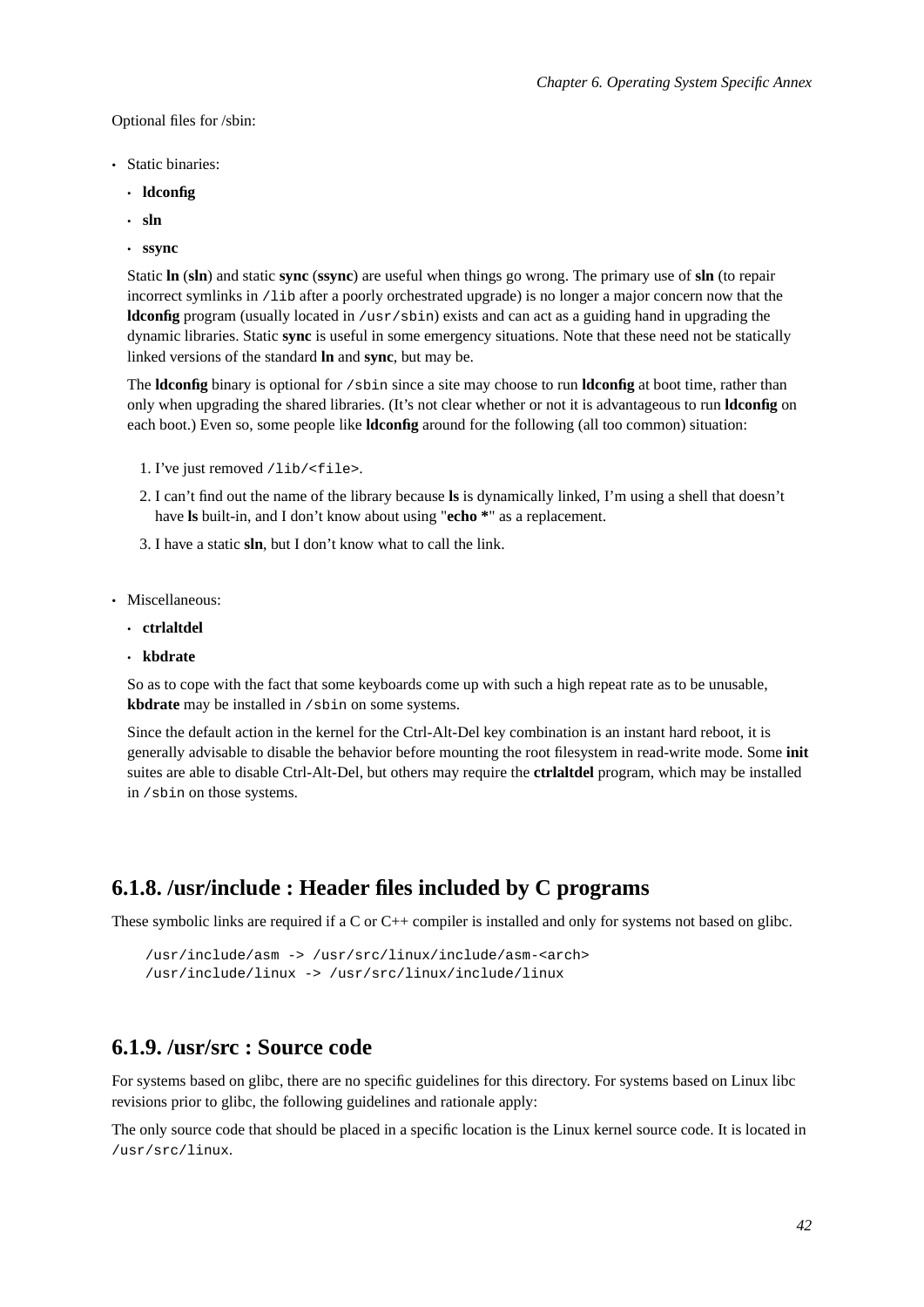Optional files for /sbin:

- Static binaries:
	- **ldconfig**
	- **sln**
	- **ssync**

Static **ln** (**sln**) and static **sync** (**ssync**) are useful when things go wrong. The primary use of **sln** (to repair incorrect symlinks in /lib after a poorly orchestrated upgrade) is no longer a major concern now that the **ldconfig** program (usually located in /usr/sbin) exists and can act as a guiding hand in upgrading the dynamic libraries. Static **sync** is useful in some emergency situations. Note that these need not be statically linked versions of the standard **ln** and **sync**, but may be.

The **ldconfig** binary is optional for /sbin since a site may choose to run **ldconfig** at boot time, rather than only when upgrading the shared libraries. (It's not clear whether or not it is advantageous to run **ldconfig** on each boot.) Even so, some people like **ldconfig** around for the following (all too common) situation:

- 1. I've just removed /lib/<file>.
- 2. I can't find out the name of the library because **ls** is dynamically linked, I'm using a shell that doesn't have **ls** built-in, and I don't know about using "**echo \***" as a replacement.
- 3. I have a static **sln**, but I don't know what to call the link.
- Miscellaneous:
	- **ctrlaltdel**
	- **kbdrate**

So as to cope with the fact that some keyboards come up with such a high repeat rate as to be unusable, **kbdrate** may be installed in /sbin on some systems.

Since the default action in the kernel for the Ctrl-Alt-Del key combination is an instant hard reboot, it is generally advisable to disable the behavior before mounting the root filesystem in read-write mode. Some **init** suites are able to disable Ctrl-Alt-Del, but others may require the **ctrlaltdel** program, which may be installed in /sbin on those systems.

### <span id="page-47-0"></span>**6.1.8. /usr/include : Header files included by C programs**

These symbolic links are required if a C or C++ compiler is installed and only for systems not based on glibc.

```
/usr/include/asm -> /usr/src/linux/include/asm-<arch>
/usr/include/linux -> /usr/src/linux/include/linux
```
## <span id="page-47-1"></span>**6.1.9. /usr/src : Source code**

For systems based on glibc, there are no specific guidelines for this directory. For systems based on Linux libc revisions prior to glibc, the following guidelines and rationale apply:

The only source code that should be placed in a specific location is the Linux kernel source code. It is located in /usr/src/linux.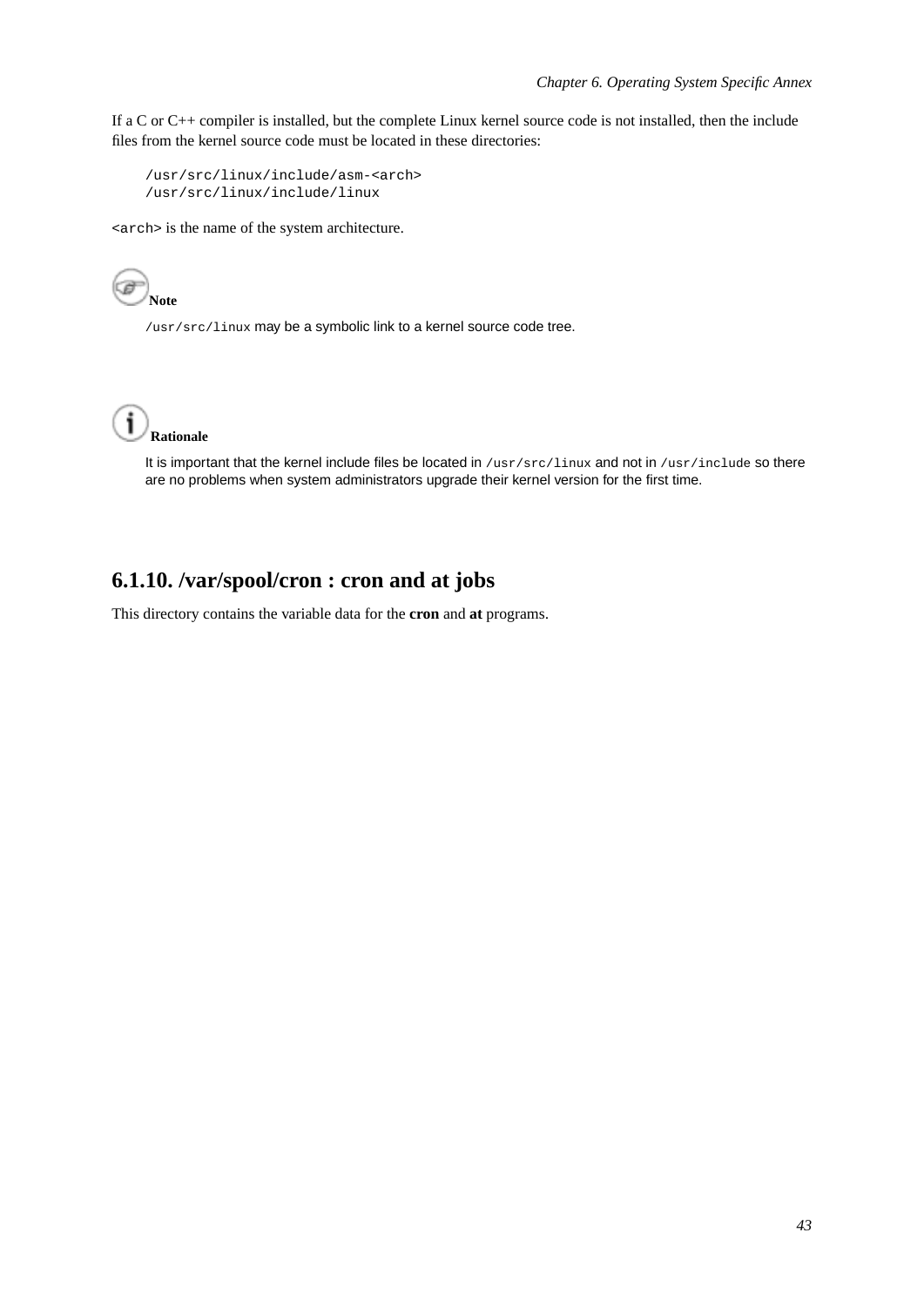If a C or C++ compiler is installed, but the complete Linux kernel source code is not installed, then the include files from the kernel source code must be located in these directories:

```
/usr/src/linux/include/asm-<arch>
/usr/src/linux/include/linux
```
<arch> is the name of the system architecture.



/usr/src/linux may be a symbolic link to a kernel source code tree.



It is important that the kernel include files be located in /usr/src/linux and not in /usr/include so there are no problems when system administrators upgrade their kernel version for the first time.

## <span id="page-48-0"></span>**6.1.10. /var/spool/cron : cron and at jobs**

This directory contains the variable data for the **cron** and **at** programs.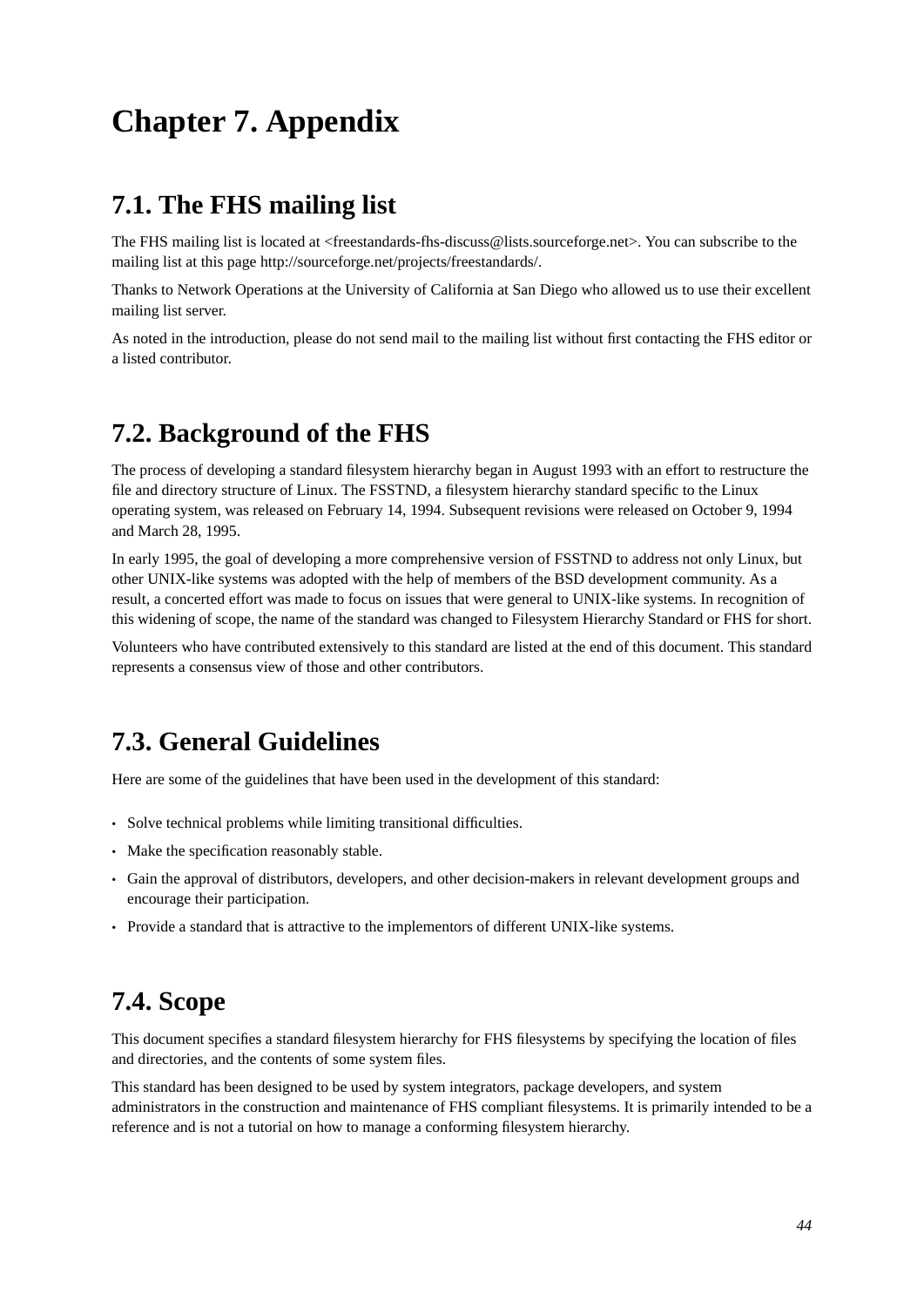# <span id="page-49-0"></span>**Chapter 7. Appendix**

# <span id="page-49-1"></span>**7.1. The FHS mailing list**

The FHS mailing list is located at <freestandards-fhs-discuss@lists.sourceforge.net>. You can subscribe to the mailing list at this page http://sourceforge.net/projects/freestandards/.

Thanks to Network Operations at the University of California at San Diego who allowed us to use their excellent mailing list server.

<span id="page-49-2"></span>As noted in the introduction, please do not send mail to the mailing list without first contacting the FHS editor or a listed contributor.

# **7.2. Background of the FHS**

The process of developing a standard filesystem hierarchy began in August 1993 with an effort to restructure the file and directory structure of Linux. The FSSTND, a filesystem hierarchy standard specific to the Linux operating system, was released on February 14, 1994. Subsequent revisions were released on October 9, 1994 and March 28, 1995.

In early 1995, the goal of developing a more comprehensive version of FSSTND to address not only Linux, but other UNIX-like systems was adopted with the help of members of the BSD development community. As a result, a concerted effort was made to focus on issues that were general to UNIX-like systems. In recognition of this widening of scope, the name of the standard was changed to Filesystem Hierarchy Standard or FHS for short.

<span id="page-49-3"></span>Volunteers who have contributed extensively to this standard are listed at the end of this document. This standard represents a consensus view of those and other contributors.

# **7.3. General Guidelines**

Here are some of the guidelines that have been used in the development of this standard:

- Solve technical problems while limiting transitional difficulties.
- Make the specification reasonably stable.
- Gain the approval of distributors, developers, and other decision-makers in relevant development groups and encourage their participation.
- <span id="page-49-4"></span>• Provide a standard that is attractive to the implementors of different UNIX-like systems.

# **7.4. Scope**

This document specifies a standard filesystem hierarchy for FHS filesystems by specifying the location of files and directories, and the contents of some system files.

This standard has been designed to be used by system integrators, package developers, and system administrators in the construction and maintenance of FHS compliant filesystems. It is primarily intended to be a reference and is not a tutorial on how to manage a conforming filesystem hierarchy.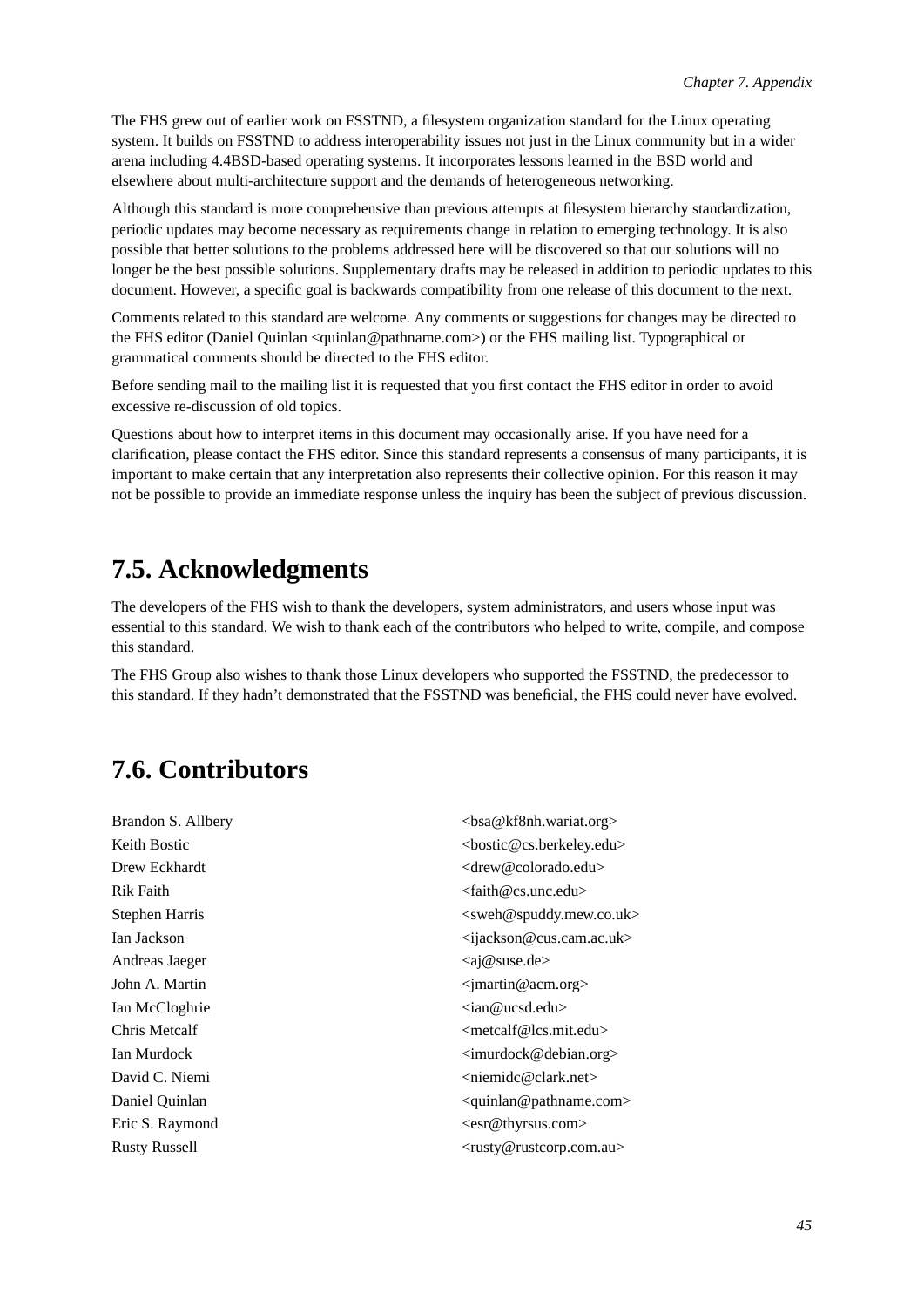The FHS grew out of earlier work on FSSTND, a filesystem organization standard for the Linux operating system. It builds on FSSTND to address interoperability issues not just in the Linux community but in a wider arena including 4.4BSD-based operating systems. It incorporates lessons learned in the BSD world and elsewhere about multi-architecture support and the demands of heterogeneous networking.

Although this standard is more comprehensive than previous attempts at filesystem hierarchy standardization, periodic updates may become necessary as requirements change in relation to emerging technology. It is also possible that better solutions to the problems addressed here will be discovered so that our solutions will no longer be the best possible solutions. Supplementary drafts may be released in addition to periodic updates to this document. However, a specific goal is backwards compatibility from one release of this document to the next.

Comments related to this standard are welcome. Any comments or suggestions for changes may be directed to the FHS editor (Daniel Quinlan <quinlan@pathname.com>) or the FHS mailing list. Typographical or grammatical comments should be directed to the FHS editor.

Before sending mail to the mailing list it is requested that you first contact the FHS editor in order to avoid excessive re-discussion of old topics.

Questions about how to interpret items in this document may occasionally arise. If you have need for a clarification, please contact the FHS editor. Since this standard represents a consensus of many participants, it is important to make certain that any interpretation also represents their collective opinion. For this reason it may not be possible to provide an immediate response unless the inquiry has been the subject of previous discussion.

# <span id="page-50-0"></span>**7.5. Acknowledgments**

The developers of the FHS wish to thank the developers, system administrators, and users whose input was essential to this standard. We wish to thank each of the contributors who helped to write, compile, and compose this standard.

<span id="page-50-1"></span>The FHS Group also wishes to thank those Linux developers who supported the FSSTND, the predecessor to this standard. If they hadn't demonstrated that the FSSTND was beneficial, the FHS could never have evolved.

# **7.6. Contributors**

Brandon S. Allbery  $\triangle$  Sta@kf8nh.wariat.org> Keith Bostic  $\leq$  bostic  $\leq$  costic  $\leq$  costic  $\leq$  costic  $\leq$  costic  $\leq$  costic  $\leq$  costic  $\leq$  costic  $\leq$  costic  $\leq$  costic  $\leq$  costic  $\leq$  costic  $\leq$  costic  $\leq$  costic  $\leq$  costic  $\leq$  costic Drew Eckhardt <drew @colorado.edu> Rik Faith  $\alpha$  and  $\alpha$  and  $\alpha$  and  $\alpha$  and  $\alpha$  and  $\alpha$  and  $\alpha$  and  $\alpha$  and  $\alpha$  and  $\alpha$  and  $\alpha$  and  $\alpha$  and  $\alpha$  and  $\alpha$  and  $\alpha$  and  $\alpha$  and  $\alpha$  and  $\alpha$  and  $\alpha$  and  $\alpha$  and  $\alpha$  and  $\alpha$  and  $\alpha$  and  $\alpha$  Stephen Harris  $\leq$ Stephen Harris  $\leq$ Sweh@spuddy.mew.co.uk> Ian Jackson  $\alpha$  ijackson @cus.cam.ac.uk> Andreas Jaeger  $\langle ai@suse.de \rangle$ John A. Martin  $\langle j \rangle$  <  $\langle j \rangle$  =  $\langle j \rangle$ Ian McCloghrie <ian@ucsd.edu> Chris Metcalf <metcalf@lcs.mit.edu> Ian Murdock  $\leq$ imurdock $\leq$ debian.org> David C. Niemi <niemidc@clark.net> Daniel Quinlan  $\alpha$ Eric S. Raymond  $\langle \text{esr} \mathcal{Q} \text{th} \rangle$ Rusty Russell  $\langle \text{rusty } @ \text{rusty } @ \text{rustcorp.com.au} \rangle$